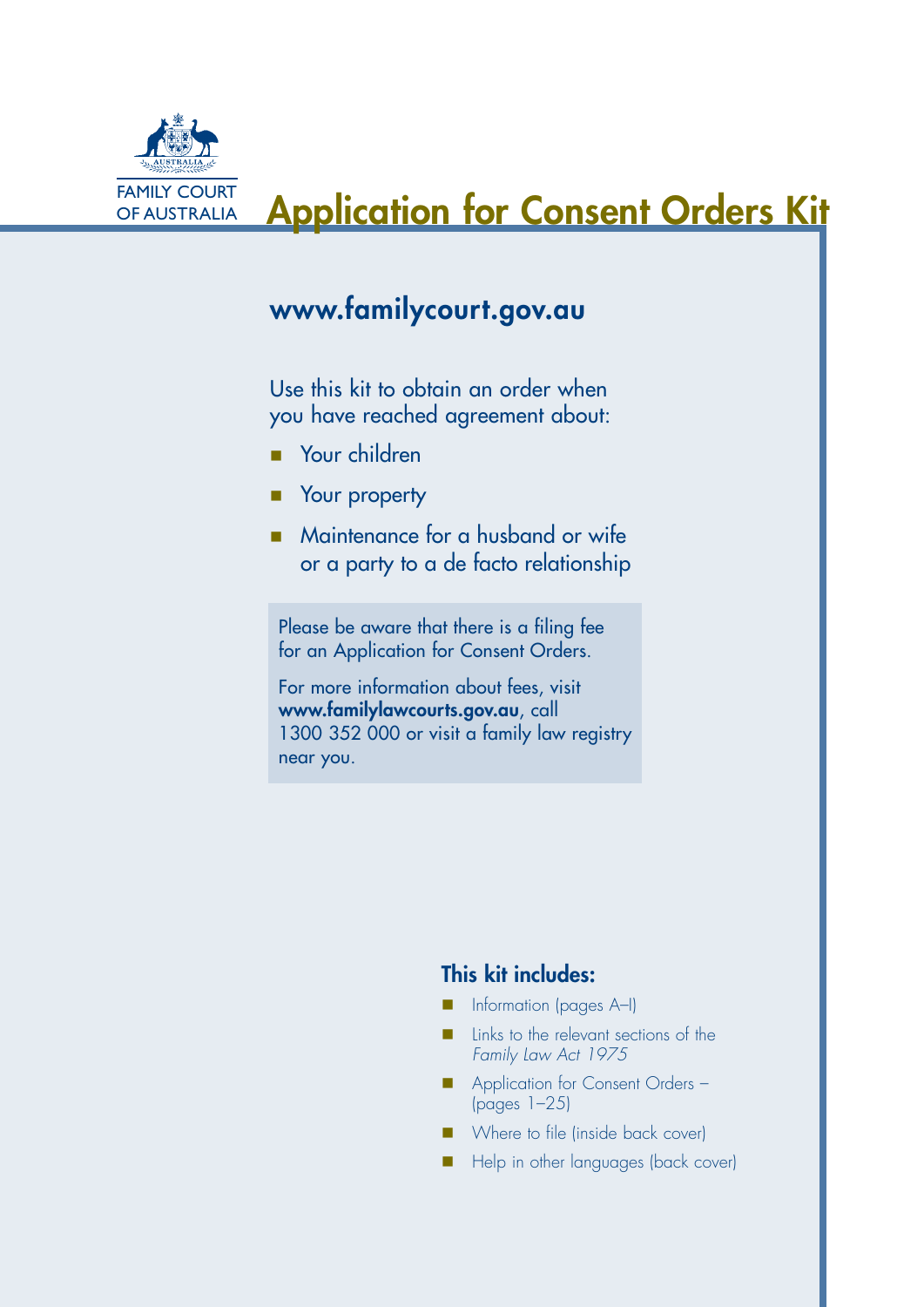

# OF AUSTRALIA **Application for Consent Orders Kit**

## www.familycourt.gov.au

Use this kit to obtain an order when you have reached agreement about:

- **Nour children**
- **Nour property**
- Maintenance for a husband or wife or a party to a de facto relationship

Please be aware that there is a filing fee for an Application for Consent Orders.

For more information about fees, visit www.familylawcourts.gov.au, call 1300 352 000 or visit a family law registry near you.

## This kit includes:

- Information (pages A–I)
- Links to the relevant sections of the *Family Law Act 1975*
- Application for Consent Orders (pages 1–25)
- **n** Where to file (inside back cover)
- **n** Help in other languages (back cover)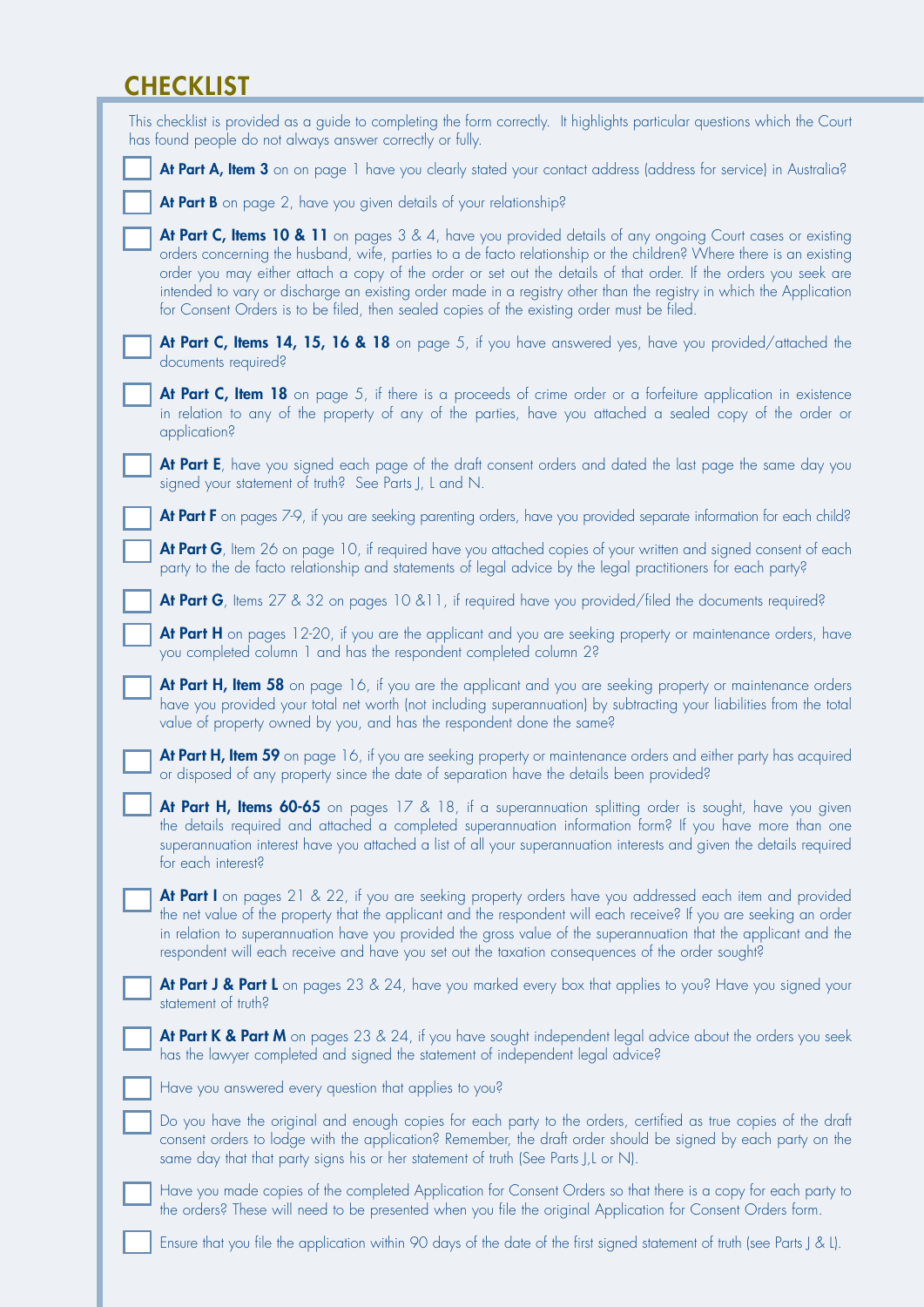## **CHECKLIST**

| This checklist is provided as a guide to completing the form correctly. It highlights particular questions which the Court<br>has found people do not always answer correctly or fully.                                                                                                                                                                                                                                                                                                                                                                                   |
|---------------------------------------------------------------------------------------------------------------------------------------------------------------------------------------------------------------------------------------------------------------------------------------------------------------------------------------------------------------------------------------------------------------------------------------------------------------------------------------------------------------------------------------------------------------------------|
| At Part A, Item 3 on on page 1 have you clearly stated your contact address (address for service) in Australia?                                                                                                                                                                                                                                                                                                                                                                                                                                                           |
| At Part B on page 2, have you given details of your relationship?                                                                                                                                                                                                                                                                                                                                                                                                                                                                                                         |
| At Part C, Items 10 & 11 on pages 3 & 4, have you provided details of any ongoing Court cases or existing<br>orders concerning the husband, wife, parties to a de facto relationship or the children? Where there is an existing<br>order you may either attach a copy of the order or set out the details of that order. If the orders you seek are<br>intended to vary or discharge an existing order made in a registry other than the registry in which the Application<br>for Consent Orders is to be filed, then sealed copies of the existing order must be filed. |
| At Part C, Items 14, 15, 16 & 18 on page 5, if you have answered yes, have you provided/attached the<br>documents required?                                                                                                                                                                                                                                                                                                                                                                                                                                               |
| At Part C, Item 18 on page 5, if there is a proceeds of crime order or a forfeiture application in existence<br>in relation to any of the property of any of the parties, have you attached a sealed copy of the order or<br>application?                                                                                                                                                                                                                                                                                                                                 |
| At Part E, have you signed each page of the draft consent orders and dated the last page the same day you<br>signed your statement of truth? See Parts J, L and N.                                                                                                                                                                                                                                                                                                                                                                                                        |
| At Part F on pages 7-9, if you are seeking parenting orders, have you provided separate information for each child?                                                                                                                                                                                                                                                                                                                                                                                                                                                       |
| At Part G, Item 26 on page 10, if required have you attached copies of your written and signed consent of each<br>party to the de facto relationship and statements of legal advice by the legal practitioners for each party?                                                                                                                                                                                                                                                                                                                                            |
| <b>At Part G</b> , Items 27 & 32 on pages 10 & 11, if required have you provided/filed the documents required?                                                                                                                                                                                                                                                                                                                                                                                                                                                            |
| At Part H on pages 12-20, if you are the applicant and you are seeking property or maintenance orders, have<br>you completed column 1 and has the respondent completed column 2?                                                                                                                                                                                                                                                                                                                                                                                          |
| At Part H, Item 58 on page 16, if you are the applicant and you are seeking property or maintenance orders<br>have you provided your total net worth (not including superannuation) by subtracting your liabilities from the total<br>value of property owned by you, and has the respondent done the same?                                                                                                                                                                                                                                                               |
| At Part H, Item 59 on page 16, if you are seeking property or maintenance orders and either party has acquired<br>or disposed of any property since the date of separation have the details been provided?                                                                                                                                                                                                                                                                                                                                                                |
| At Part H, Items 60-65 on pages 17 & 18, if a superannuation splitting order is sought, have you given<br>the details required and attached a completed superannuation information form? If you have more than one<br>superannuation interest have you attached a list of all your superannuation interests and given the details required<br>for each interest?                                                                                                                                                                                                          |
| At Part I on pages 21 & 22, if you are seeking property orders have you addressed each item and provided<br>the net value of the property that the applicant and the respondent will each receive? If you are seeking an order<br>in relation to superannuation have you provided the gross value of the superannuation that the applicant and the<br>respondent will each receive and have you set out the taxation consequences of the order sought?                                                                                                                    |
| <b>At Part J &amp; Part L</b> on pages 23 & 24, have you marked every box that applies to you? Have you signed your<br>statement of truth?                                                                                                                                                                                                                                                                                                                                                                                                                                |
| At Part K & Part M on pages 23 & 24, if you have sought independent legal advice about the orders you seek<br>has the lawyer completed and signed the statement of independent legal advice?                                                                                                                                                                                                                                                                                                                                                                              |
| Have you answered every question that applies to you?                                                                                                                                                                                                                                                                                                                                                                                                                                                                                                                     |
| Do you have the original and enough copies for each party to the orders, certified as true copies of the draft<br>consent orders to lodge with the application? Remember, the draft order should be signed by each party on the<br>same day that that party signs his or her statement of truth (See Parts J,L or N).                                                                                                                                                                                                                                                     |
| Have you made copies of the completed Application for Consent Orders so that there is a copy for each party to<br>the orders? These will need to be presented when you file the original Application for Consent Orders form.                                                                                                                                                                                                                                                                                                                                             |
| Ensure that you file the application within 90 days of the date of the first signed statement of truth (see Parts J & L).                                                                                                                                                                                                                                                                                                                                                                                                                                                 |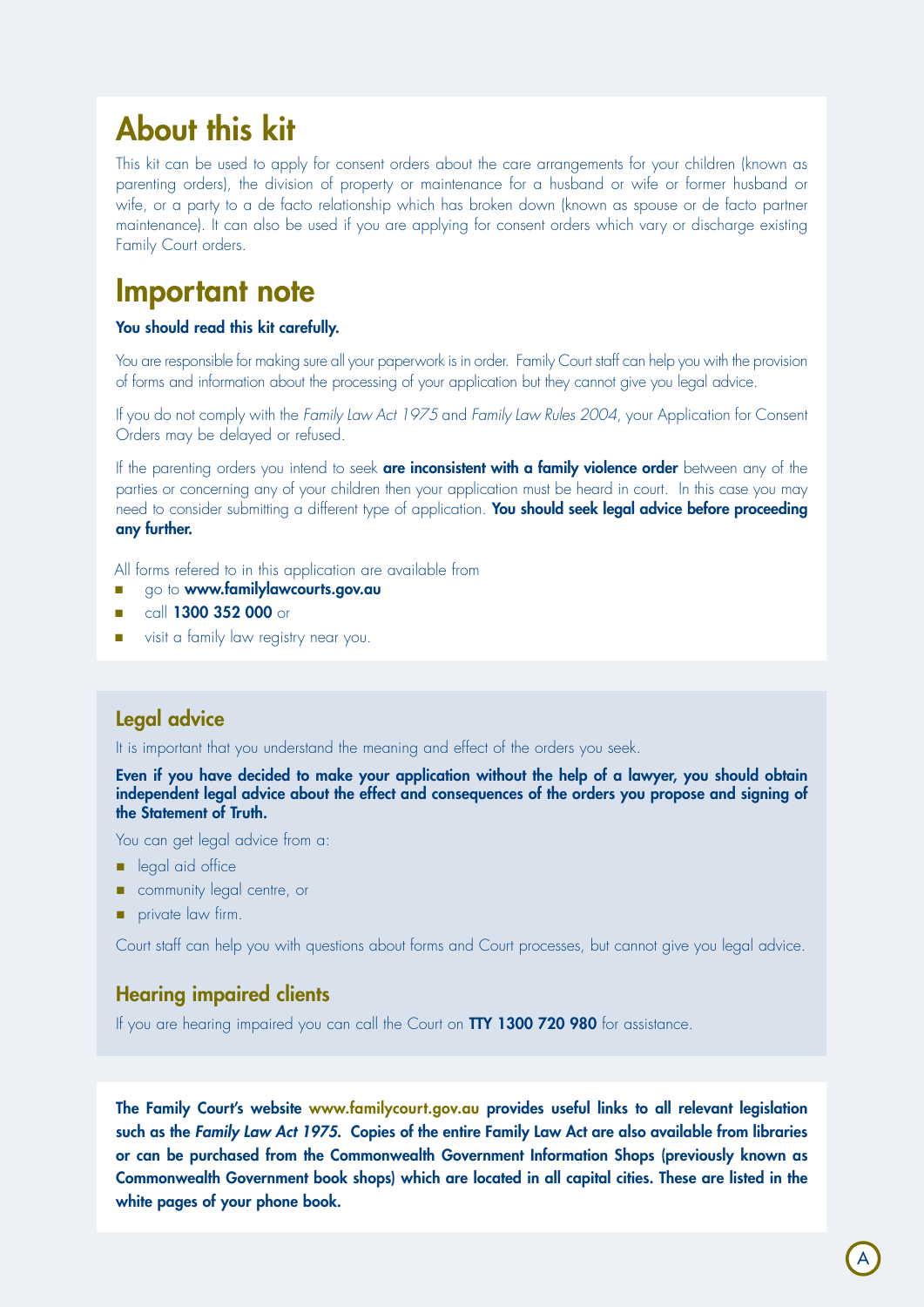# About this kit

This kit can be used to apply for consent orders about the care arrangements for your children (known as parenting orders), the division of property or maintenance for a husband or wife or former husband or wife, or a party to a de facto relationship which has broken down (known as spouse or de facto partner maintenance). It can also be used if you are applying for consent orders which vary or discharge existing Family Court orders.

## Important note

#### You should read this kit carefully.

You are responsible for making sure all your paperwork is in order. Family Court staff can help you with the provision of forms and information about the processing of your application but they cannot give you legal advice.

If you do not comply with the *Family Law Act 1975* and *Family Law Rules 2004*, your Application for Consent Orders may be delayed or refused.

If the parenting orders you intend to seek are inconsistent with a family violence order between any of the parties or concerning any of your children then your application must be heard in court. In this case you may need to consider submitting a different type of application. You should seek legal advice before proceeding any further.

All forms refered to in this application are available from

- **n** go to **www.familylawcourts.gov.au**
- $\blacksquare$  call 1300 352 000 or
- visit a family law registry near you.

## Legal advice

It is important that you understand the meaning and effect of the orders you seek.

Even if you have decided to make your application without the help of a lawyer, you should obtain independent legal advice about the effect and consequences of the orders you propose and signing of the Statement of Truth.

You can get legal advice from a:

- eqal aid office
- **n** community legal centre, or
- **n** private law firm.

Court staff can help you with questions about forms and Court processes, but cannot give you legal advice.

### Hearing impaired clients

If you are hearing impaired you can call the Court on TTY 1300 720 980 for assistance.

The Family Court's website www.familycourt.gov.au provides useful links to all relevant legislation such as the *Family Law Act 1975*. Copies of the entire Family Law Act are also available from libraries or can be purchased from the Commonwealth Government Information Shops (previously known as Commonwealth Government book shops) which are located in all capital cities. These are listed in the white pages of your phone book.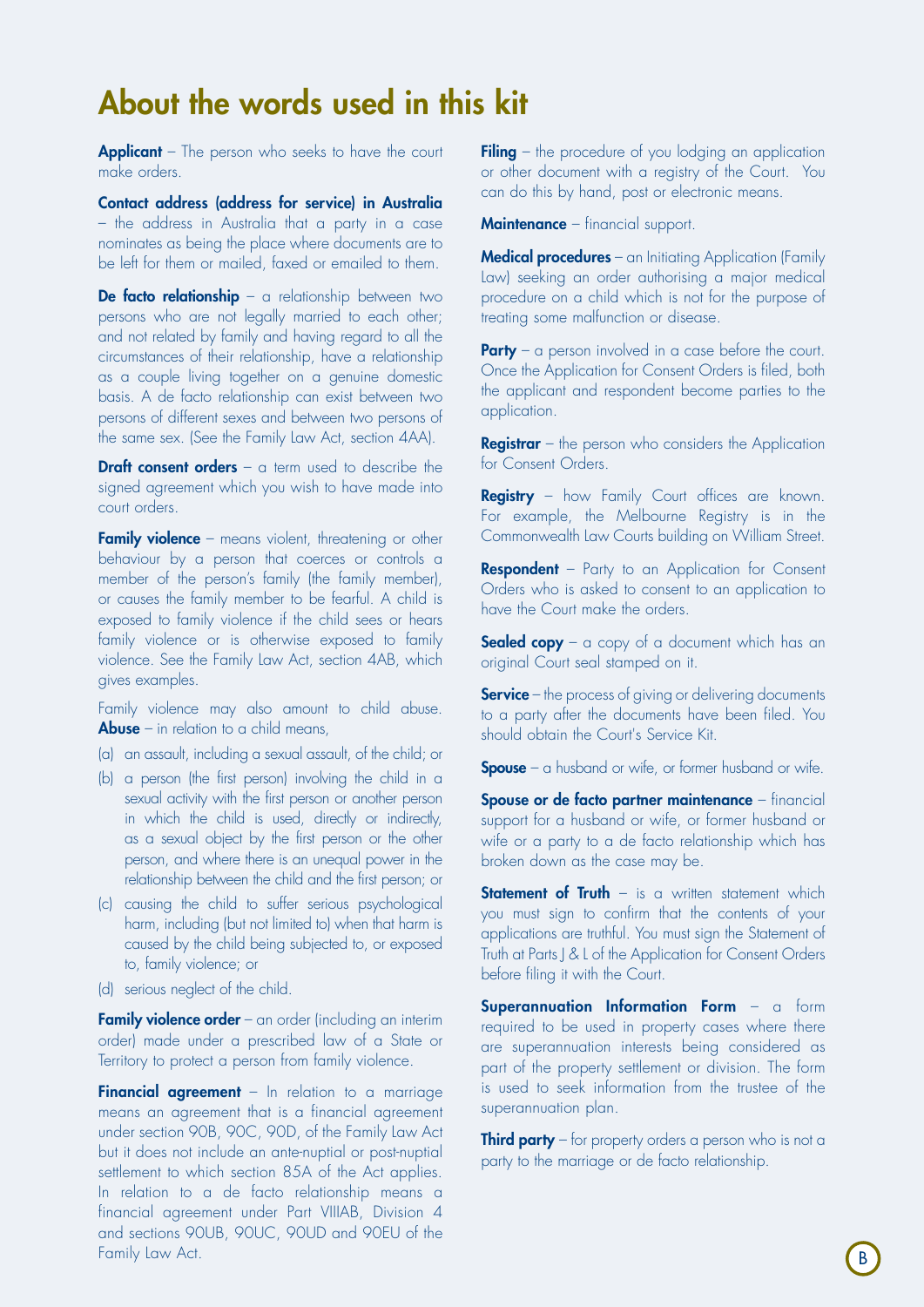# About the words used in this kit

**Applicant** – The person who seeks to have the court make orders.

Contact address (address for service) in Australia – the address in Australia that a party in a case nominates as being the place where documents are to be left for them or mailed, faxed or emailed to them.

De facto relationship - a relationship between two persons who are not legally married to each other; and not related by family and having regard to all the circumstances of their relationship, have a relationship as a couple living together on a genuine domestic basis. A de facto relationship can exist between two persons of different sexes and between two persons of the same sex. (See the Family Law Act, section 4AA).

**Draft consent orders**  $-$  a term used to describe the signed agreement which you wish to have made into court orders.

Family violence – means violent, threatening or other behaviour by a person that coerces or controls a member of the person's family (the family member), or causes the family member to be fearful. A child is exposed to family violence if the child sees or hears family violence or is otherwise exposed to family violence. See the Family Law Act, section 4AB, which gives examples.

Family violence may also amount to child abuse. **Abuse** – in relation to a child means,

- (a) an assault, including a sexual assault, of the child; or
- (b) a person (the first person) involving the child in a sexual activity with the first person or another person in which the child is used, directly or indirectly, as a sexual object by the first person or the other person, and where there is an unequal power in the relationship between the child and the first person; or
- (c) causing the child to suffer serious psychological harm, including (but not limited to) when that harm is caused by the child being subjected to, or exposed to, family violence; or
- (d) serious neglect of the child.

Family violence order – an order (including an interim order) made under a prescribed law of a State or Territory to protect a person from family violence.

**Financial agreement** – In relation to a marriage means an agreement that is a financial agreement under section 90B, 90C, 90D, of the Family Law Act but it does not include an ante-nuptial or post-nuptial settlement to which section 85A of the Act applies. In relation to a de facto relationship means a financial agreement under Part VIIIAB, Division 4 and sections 90UB, 90UC, 90UD and 90EU of the Family Law Act.

**Filing** – the procedure of you lodging an application or other document with a registry of the Court. You can do this by hand, post or electronic means.

Maintenance – financial support.

Medical procedures – an Initiating Application (Family Law) seeking an order authorising a major medical procedure on a child which is not for the purpose of treating some malfunction or disease.

**Party** – a person involved in a case before the court. Once the Application for Consent Orders is filed, both the applicant and respondent become parties to the application.

**Registrar** – the person who considers the Application for Consent Orders.

Registry – how Family Court offices are known. For example, the Melbourne Registry is in the Commonwealth Law Courts building on William Street.

**Respondent** – Party to an Application for Consent Orders who is asked to consent to an application to have the Court make the orders.

**Sealed copy** – a copy of a document which has an original Court seal stamped on it.

Service – the process of giving or delivering documents to a party after the documents have been filed. You should obtain the Court's Service Kit.

**Spouse** – a husband or wife, or former husband or wife.

Spouse or de facto partner maintenance - financial support for a husband or wife, or former husband or wife or a party to a de facto relationship which has broken down as the case may be.

**Statement of Truth**  $-$  is a written statement which you must sign to confirm that the contents of your applications are truthful. You must sign the Statement of Truth at Parts J & L of the Application for Consent Orders before filing it with the Court.

Superannuation Information Form - a form required to be used in property cases where there are superannuation interests being considered as part of the property settlement or division. The form is used to seek information from the trustee of the superannuation plan.

**Third party** – for property orders a person who is not a party to the marriage or de facto relationship.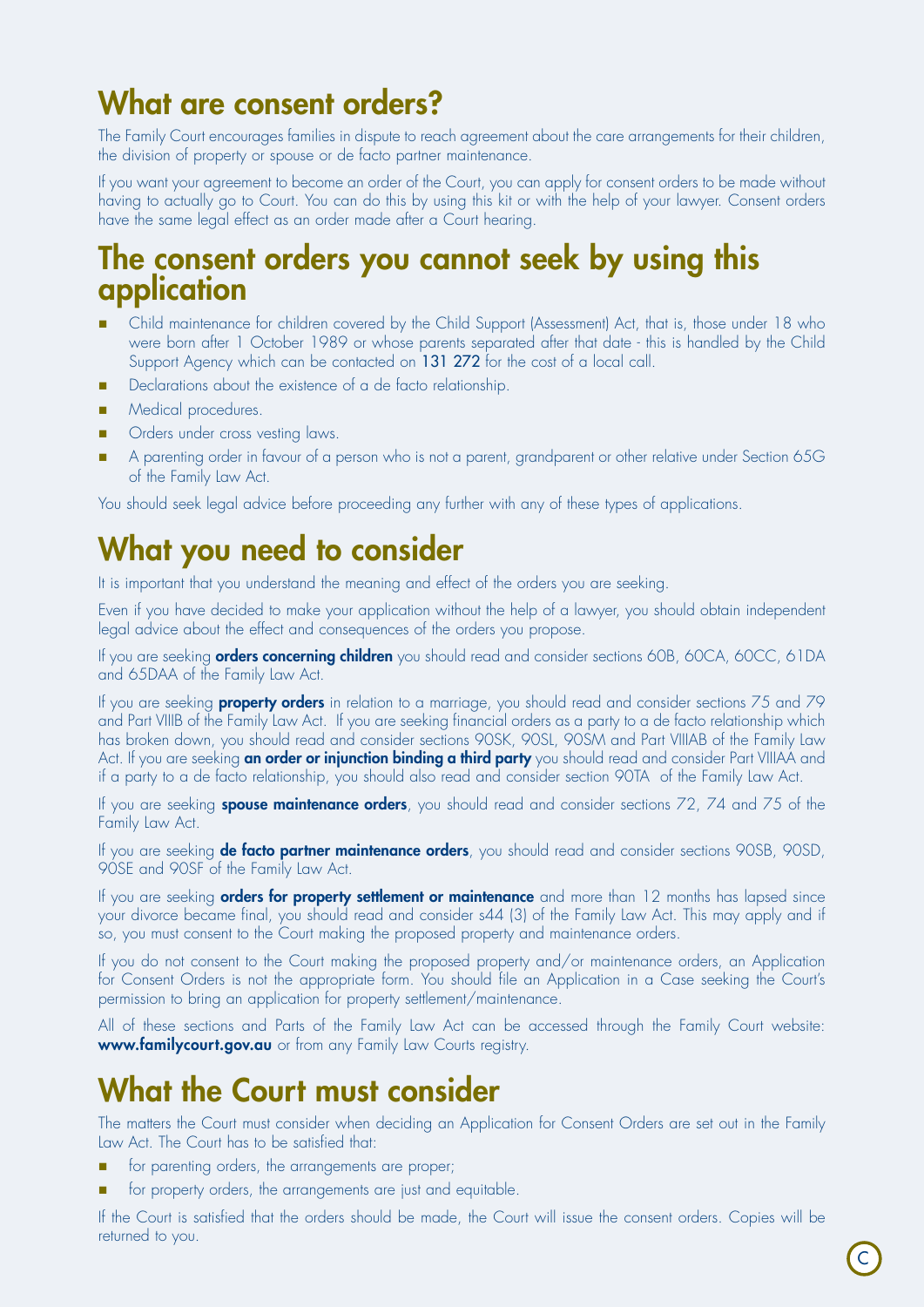# What are consent orders?

The Family Court encourages families in dispute to reach agreement about the care arrangements for their children, the division of property or spouse or de facto partner maintenance.

If you want your agreement to become an order of the Court, you can apply for consent orders to be made without having to actually go to Court. You can do this by using this kit or with the help of your lawyer. Consent orders have the same legal effect as an order made after a Court hearing.

## The consent orders you cannot seek by using this application

- n Child maintenance for children covered by the Child Support (Assessment) Act, that is, those under 18 who were born after 1 October 1989 or whose parents separated after that date - this is handled by the Child Support Agency which can be contacted on 131 272 for the cost of a local call.
- Declarations about the existence of a de facto relationship.
- Medical procedures.
- Orders under cross vesting laws.
- n A parenting order in favour of a person who is not a parent, grandparent or other relative under Section 65G of the Family Law Act.

You should seek legal advice before proceeding any further with any of these types of applications.

## What you need to consider

It is important that you understand the meaning and effect of the orders you are seeking.

Even if you have decided to make your application without the help of a lawyer, you should obtain independent legal advice about the effect and consequences of the orders you propose.

If you are seeking **orders concerning children** you should read and consider sections 60B, 60CA, 60CC, 61DA and 65DAA of the Family Law Act.

If you are seeking **property orders** in relation to a marriage, you should read and consider sections 75 and 79 and Part VIIIB of the Family Law Act. If you are seeking financial orders as a party to a de facto relationship which has broken down, you should read and consider sections 90SK, 90SL, 90SM and Part VIIIAB of the Family Law Act. If you are seeking an order or injunction binding a third party you should read and consider Part VIIIAA and if a party to a de facto relationship, you should also read and consider section 90TA of the Family Law Act.

If you are seeking spouse maintenance orders, you should read and consider sections 72, 74 and 75 of the Family Law Act.

If you are seeking de facto partner maintenance orders, you should read and consider sections 90SB, 90SD, 90SE and 90SF of the Family Law Act.

If you are seeking **orders for property settlement or maintenance** and more than 12 months has lapsed since your divorce became final, you should read and consider s44 (3) of the Family Law Act. This may apply and if so, you must consent to the Court making the proposed property and maintenance orders.

If you do not consent to the Court making the proposed property and/or maintenance orders, an Application for Consent Orders is not the appropriate form. You should file an Application in a Case seeking the Court's permission to bring an application for property settlement/maintenance.

All of these sections and Parts of the Family Law Act can be accessed through the Family Court website: www.familycourt.gov.au or from any Family Law Courts registry.

# What the Court must consider

The matters the Court must consider when deciding an Application for Consent Orders are set out in the Family Law Act. The Court has to be satisfied that:

- for parenting orders, the arrangements are proper;
- for property orders, the arrangements are just and equitable.

If the Court is satisfied that the orders should be made, the Court will issue the consent orders. Copies will be returned to you.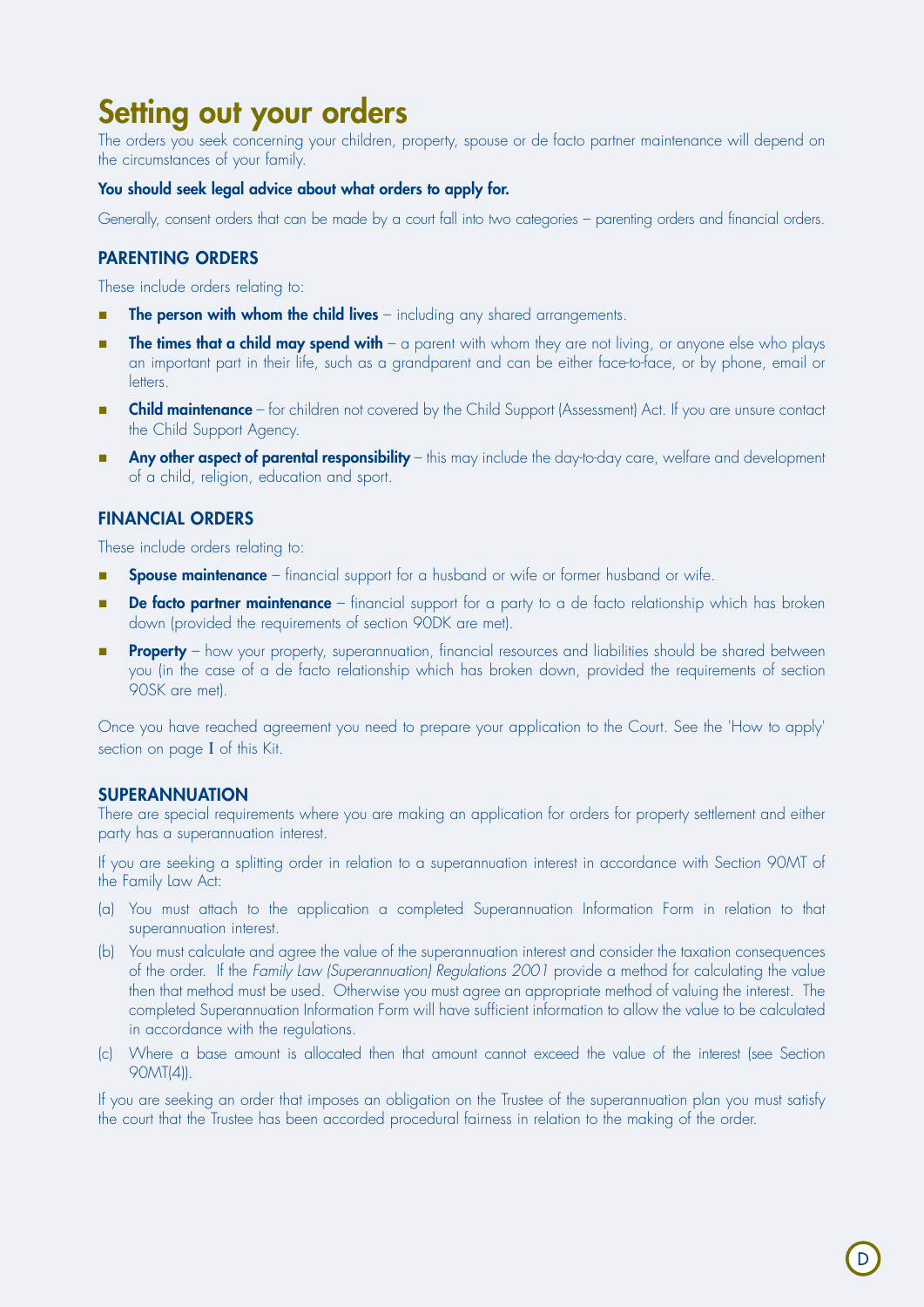# Setting out your orders

The orders you seek concerning your children, property, spouse or de facto partner maintenance will depend on the circumstances of your family.

#### You should seek legal advice about what orders to apply for.

Generally, consent orders that can be made by a court fall into two categories – parenting orders and financial orders.

### Parenting orders

These include orders relating to:

- $\blacksquare$  The person with whom the child lives including any shared arrangements.
- **The times that a child may spend with** a parent with whom they are not living, or anyone else who plays an important part in their life, such as a grandparent and can be either face-to-face, or by phone, email or **Letters**
- **Child maintenance** for children not covered by the Child Support (Assessment) Act. If you are unsure contact the Child Support Agency.
- **n** Any other aspect of parental responsibility this may include the day-to-day care, welfare and development of a child, religion, education and sport.

### Financial orders

These include orders relating to:

- **Spouse maintenance** financial support for a husband or wife or former husband or wife.
- **De facto partner maintenance** financial support for a party to a de facto relationship which has broken down (provided the requirements of section 90DK are met).
- Property how your property, superannuation, financial resources and liabilities should be shared between you (in the case of a de facto relationship which has broken down, provided the requirements of section 90SK are met).

Once you have reached agreement you need to prepare your application to the Court. See the 'How to apply' section on page I of this Kit.

### **SUPERANNUATION**

There are special requirements where you are making an application for orders for property settlement and either party has a superannuation interest.

If you are seeking a splitting order in relation to a superannuation interest in accordance with Section 90MT of the Family Law Act:

- (a) You must attach to the application a completed Superannuation Information Form in relation to that superannuation interest.
- (b) You must calculate and agree the value of the superannuation interest and consider the taxation consequences of the order. If the *Family Law (Superannuation) Regulations 2001* provide a method for calculating the value then that method must be used. Otherwise you must agree an appropriate method of valuing the interest. The completed Superannuation Information Form will have sufficient information to allow the value to be calculated in accordance with the regulations.
- (c) Where a base amount is allocated then that amount cannot exceed the value of the interest (see Section 90MT(4)).

If you are seeking an order that imposes an obligation on the Trustee of the superannuation plan you must satisfy the court that the Trustee has been accorded procedural fairness in relation to the making of the order.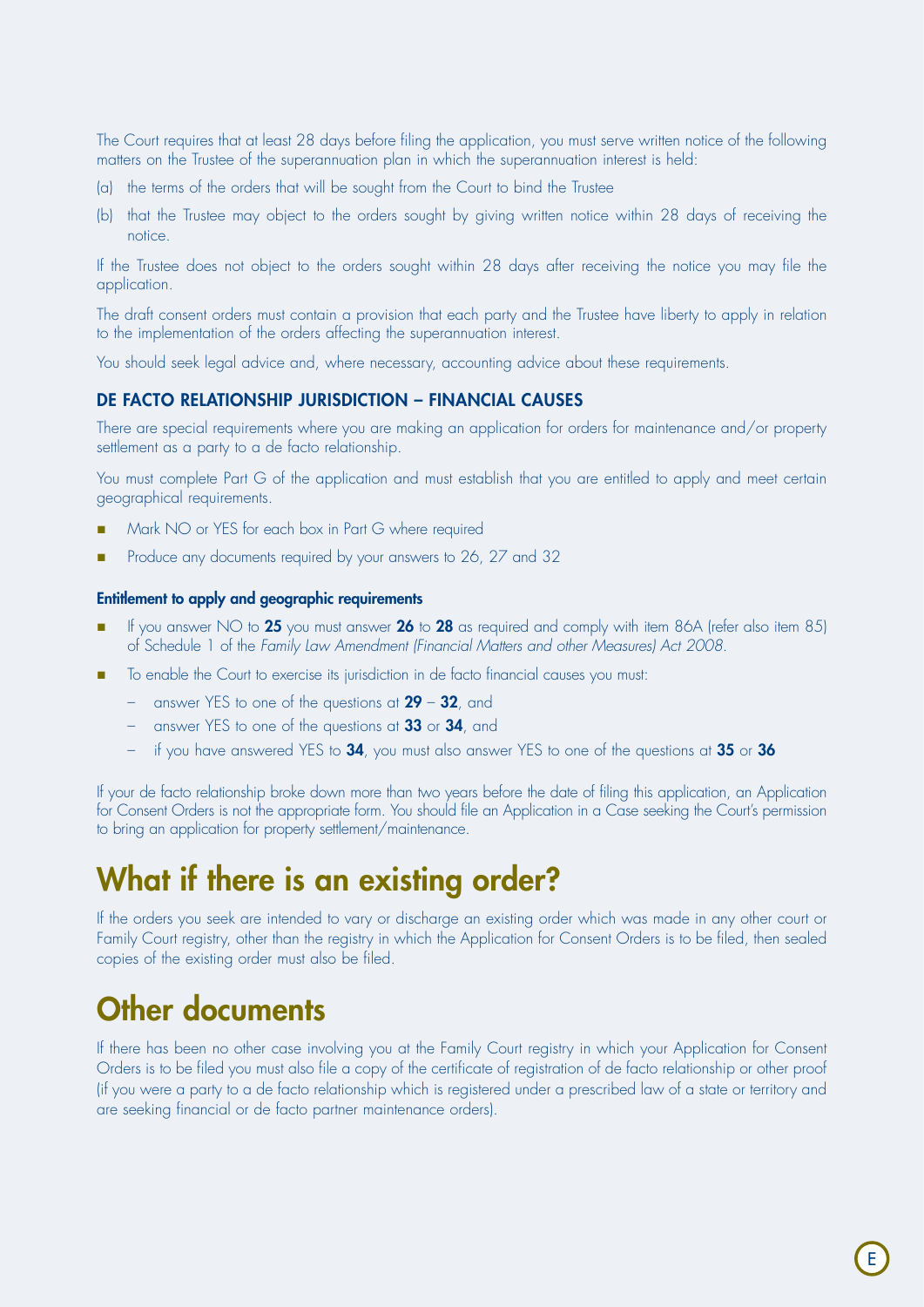The Court requires that at least 28 days before filing the application, you must serve written notice of the following matters on the Trustee of the superannuation plan in which the superannuation interest is held:

- (a) the terms of the orders that will be sought from the Court to bind the Trustee
- (b) that the Trustee may object to the orders sought by giving written notice within 28 days of receiving the notice.

If the Trustee does not object to the orders sought within 28 days after receiving the notice you may file the application.

The draft consent orders must contain a provision that each party and the Trustee have liberty to apply in relation to the implementation of the orders affecting the superannuation interest.

You should seek legal advice and, where necessary, accounting advice about these requirements.

### DE FACTO RELATIONSHIP JURISDICTION – FINANCIAL CAUSES

There are special requirements where you are making an application for orders for maintenance and/or property settlement as a party to a de facto relationship.

You must complete Part G of the application and must establish that you are entitled to apply and meet certain geographical requirements.

- Mark NO or YES for each box in Part G where required
- Produce any documents required by your answers to 26, 27 and 32

#### Entitlement to apply and geographic requirements

- If you answer NO to 25 you must answer 26 to 28 as required and comply with item 86A (refer also item 85) of Schedule 1 of the *Family Law Amendment (Financial Matters and other Measures) Act 2008*.
- To enable the Court to exercise its jurisdiction in de facto financial causes you must:
	- answer YES to one of the questions at  $29 32$ , and
	- answer YES to one of the questions at 33 or 34, and
	- if you have answered YES to 34, you must also answer YES to one of the questions at 35 or 36

If your de facto relationship broke down more than two years before the date of filing this application, an Application for Consent Orders is not the appropriate form. You should file an Application in a Case seeking the Court's permission to bring an application for property settlement/maintenance.

## What if there is an existing order?

If the orders you seek are intended to vary or discharge an existing order which was made in any other court or Family Court registry, other than the registry in which the Application for Consent Orders is to be filed, then sealed copies of the existing order must also be filed.

# Other documents

If there has been no other case involving you at the Family Court registry in which your Application for Consent Orders is to be filed you must also file a copy of the certificate of registration of de facto relationship or other proof (if you were a party to a de facto relationship which is registered under a prescribed law of a state or territory and are seeking financial or de facto partner maintenance orders).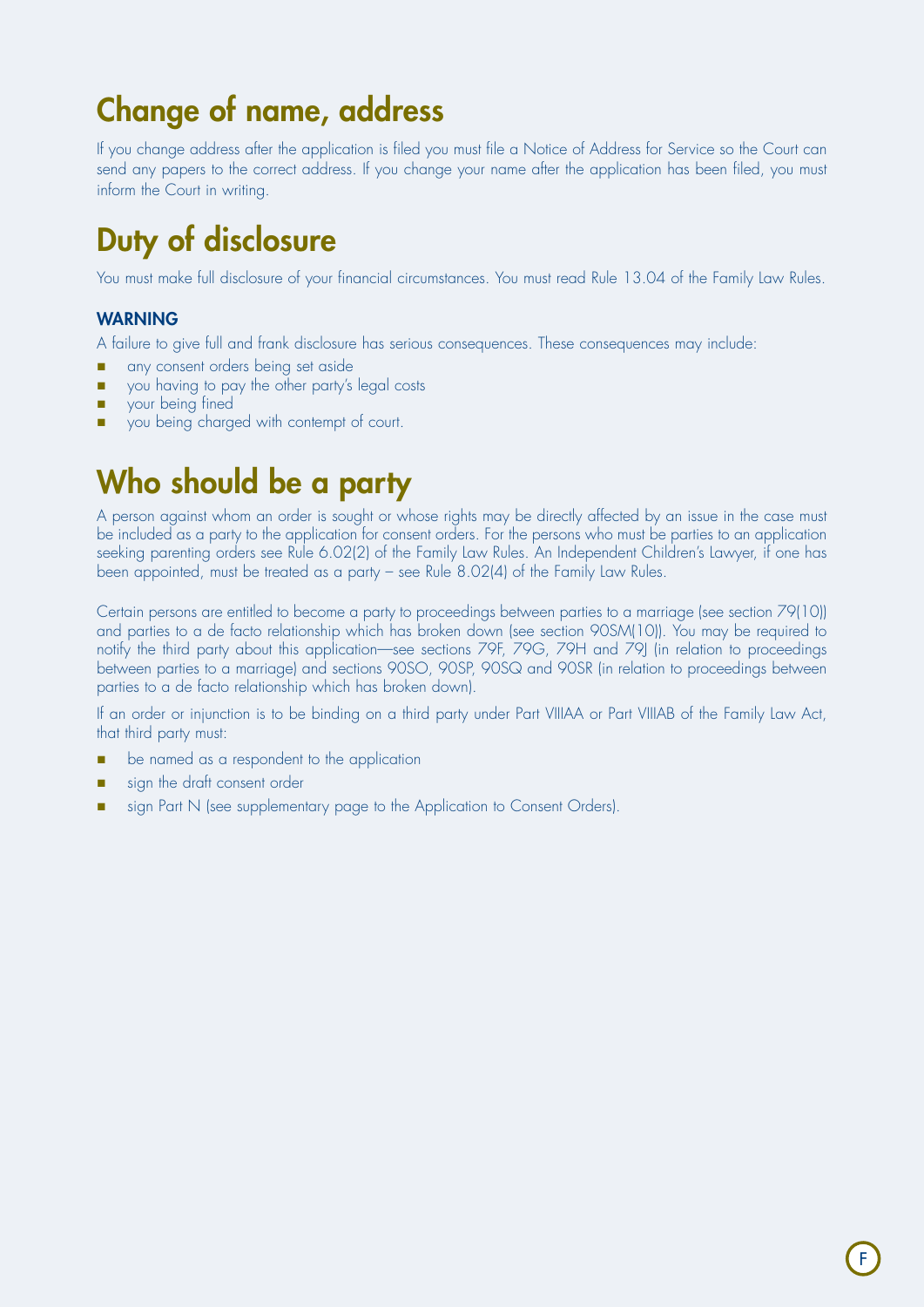# Change of name, address

If you change address after the application is filed you must file a Notice of Address for Service so the Court can send any papers to the correct address. If you change your name after the application has been filed, you must inform the Court in writing.

# Duty of disclosure

You must make full disclosure of your financial circumstances. You must read Rule 13.04 of the Family Law Rules.

### **WARNING**

A failure to give full and frank disclosure has serious consequences. These consequences may include:

- n any consent orders being set aside
- vou having to pay the other party's legal costs
- **n** your being fined
- you being charged with contempt of court.

# Who should be a party

A person against whom an order is sought or whose rights may be directly affected by an issue in the case must be included as a party to the application for consent orders. For the persons who must be parties to an application seeking parenting orders see Rule 6.02(2) of the Family Law Rules. An Independent Children's Lawyer, if one has been appointed, must be treated as a party – see Rule 8.02(4) of the Family Law Rules.

Certain persons are entitled to become a party to proceedings between parties to a marriage (see section 79(10)) and parties to a de facto relationship which has broken down (see section 90SM(10)). You may be required to notify the third party about this application—see sections 79F, 79G, 79H and 79J (in relation to proceedings between parties to a marriage) and sections 90SO, 90SP, 90SQ and 90SR (in relation to proceedings between parties to a de facto relationship which has broken down).

If an order or injunction is to be binding on a third party under Part VIIIAA or Part VIIIAB of the Family Law Act, that third party must:

- **n** be named as a respondent to the application
- sign the draft consent order
- sign Part N (see supplementary page to the Application to Consent Orders).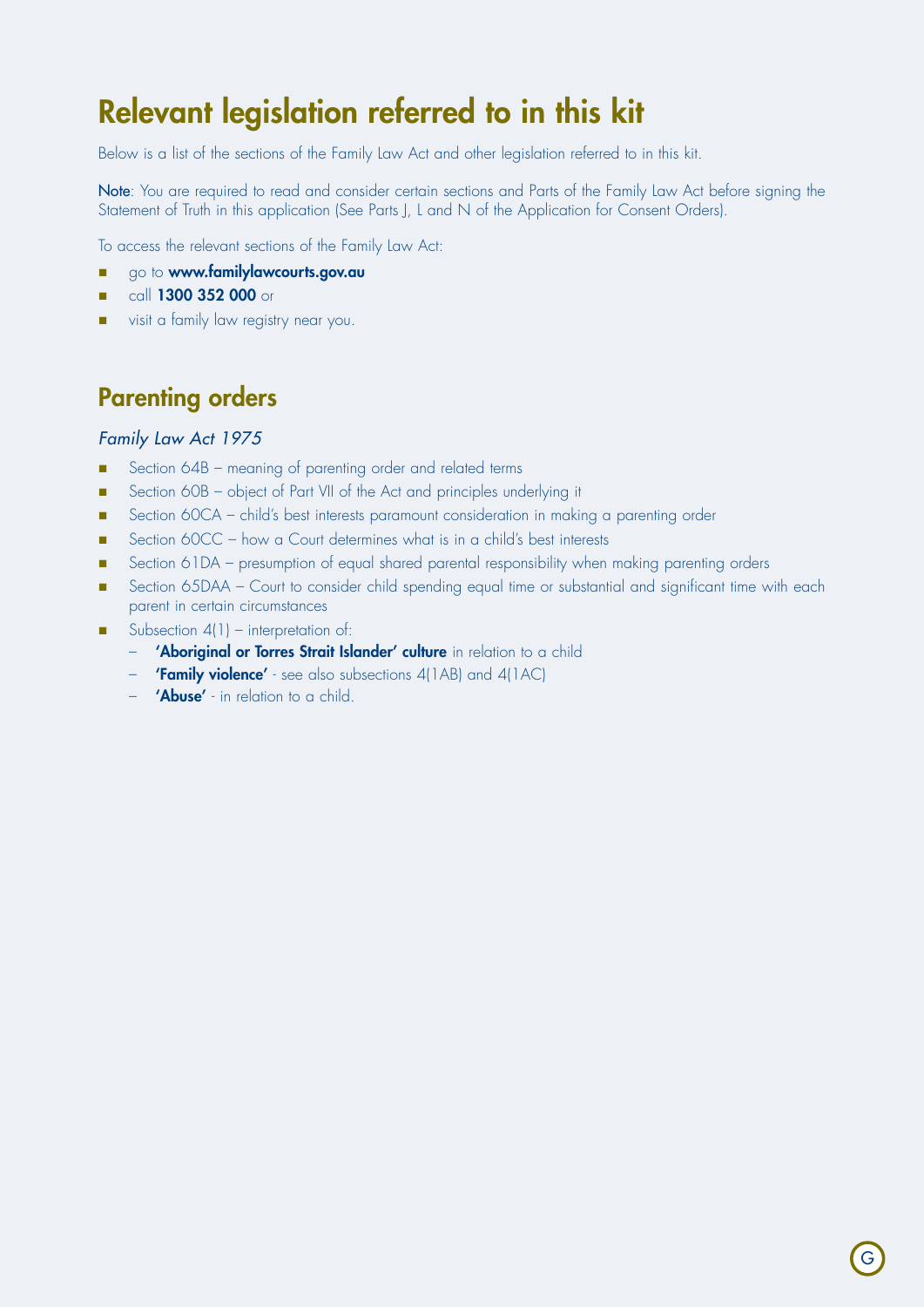# Relevant legislation referred to in this kit

Below is a list of the sections of the Family Law Act and other legislation referred to in this kit.

Note: You are required to read and consider certain sections and Parts of the Family Law Act before signing the Statement of Truth in this application (See Parts J, L and N of the Application for Consent Orders).

To access the relevant sections of the Family Law Act:

- **n** go to **www.familylawcourts.gov.au**
- call 1300 352 000 or
- visit a family law registry near you.

## Parenting orders

### *Family Law Act 1975*

- Section 64B meaning of parenting order and related terms
- Section 60B object of Part VII of the Act and principles underlying it
- **n** Section 60CA child's best interests paramount consideration in making a parenting order
- Section 60CC how a Court determines what is in a child's best interests
- Section 61DA presumption of equal shared parental responsibility when making parenting orders
- Section 65DAA Court to consider child spending equal time or substantial and significant time with each parent in certain circumstances
- Subsection  $4(1)$  interpretation of:
	- 'Aboriginal or Torres Strait Islander' culture in relation to a child
	- **'Family violence'** see also subsections 4(1AB) and 4(1AC)
	- **'Abuse'** in relation to a child.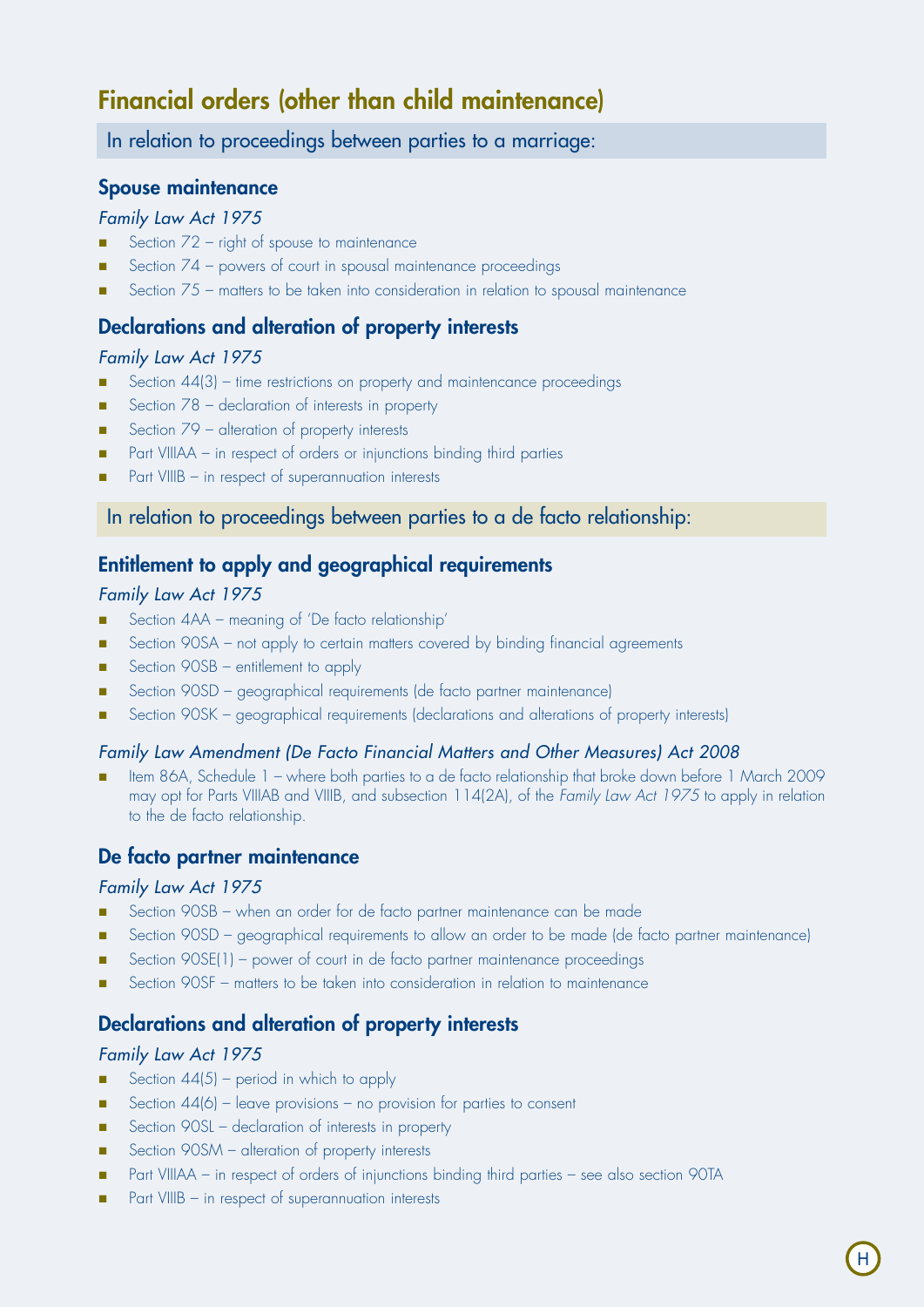## Financial orders (other than child maintenance)

In relation to proceedings between parties to a marriage:

### Spouse maintenance

### *Family Law Act 1975*

- Section  $72$  right of spouse to maintenance
- Section  $74$  powers of court in spousal maintenance proceedings
- Section  $75$  matters to be taken into consideration in relation to spousal maintenance

## Declarations and alteration of property interests

### *Family Law Act 1975*

- Section 44(3) time restrictions on property and maintencance proceedings
- Section  $78$  declaration of interests in property
- Section  $79$  alteration of property interests
- Part VIIIAA in respect of orders or injunctions binding third parties
- Part VIIIB in respect of superannuation interests

### In relation to proceedings between parties to a de facto relationship:

## Entitlement to apply and geographical requirements

### *Family Law Act 1975*

- Section 4AA meaning of 'De facto relationship'
- **n** Section 90SA not apply to certain matters covered by binding financial agreements
- Section 90SB entitlement to apply
- Section 90SD geographical requirements (de facto partner maintenance)
- Section 90SK geographical requirements (declarations and alterations of property interests)

### *Family Law Amendment (De Facto Financial Matters and Other Measures) Act 2008*

Item 86A, Schedule 1 – where both parties to a de facto relationship that broke down before 1 March 2009 may opt for Parts VIIIAB and VIIIB, and subsection 114(2A), of the *Family Law Act 1975* to apply in relation to the de facto relationship.

## De facto partner maintenance

### *Family Law Act 1975*

- Section 90SB when an order for de facto partner maintenance can be made
- Section 90SD geographical requirements to allow an order to be made (de facto partner maintenance)
- Section 90SE(1) power of court in de facto partner maintenance proceedings
- Section 90SF matters to be taken into consideration in relation to maintenance

## Declarations and alteration of property interests

### *Family Law Act 1975*

- Section  $44(5)$  period in which to apply
- Section  $44(6)$  leave provisions no provision for parties to consent
- Section 90SL declaration of interests in property
- Section 90SM alteration of property interests
- n Part VIIIAA in respect of orders of injunctions binding third parties see also section 90TA
- Part VIIIB in respect of superannuation interests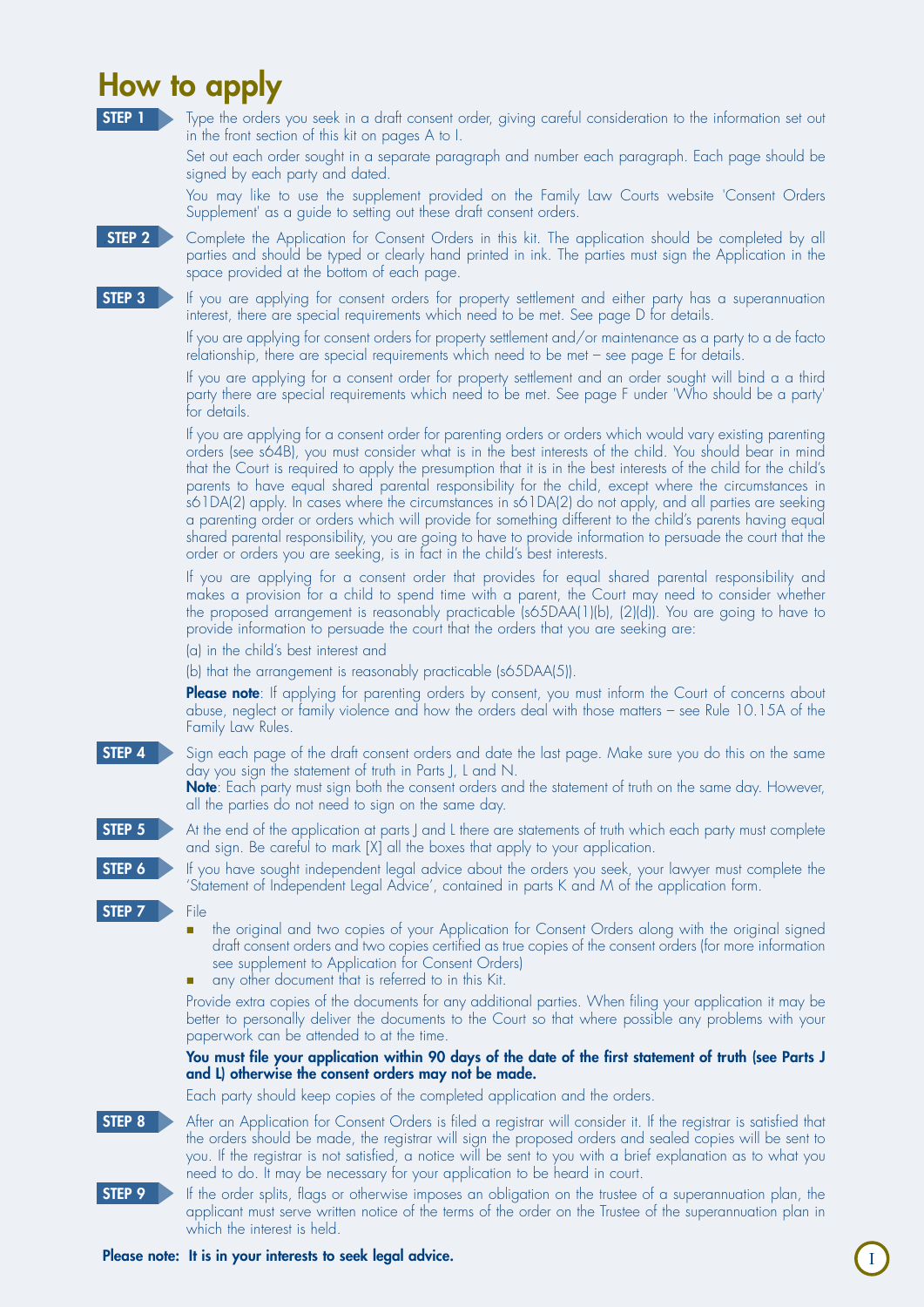# How to apply

Type the orders you seek in a draft consent order, giving careful consideration to the information set out in the front section of this kit on pages A to I.

Set out each order sought in a separate paragraph and number each paragraph. Each page should be signed by each party and dated.

You may like to use the supplement provided on the Family Law Courts website 'Consent Orders Supplement' as a guide to setting out these draft consent orders.

**STEP 2** Complete the Application for Consent Orders in this kit. The application should be completed by all parties and should be typed or clearly hand printed in ink. The parties must sign the Application in the space provided at the bottom of each page.

STEP 3 If you are applying for consent orders for property settlement and either party has a superannuation interest, there are special requirements which need to be met. See page D for details.

> If you are applying for consent orders for property settlement and/or maintenance as a party to a de facto relationship, there are special requirements which need to be met – see page E for details.

> If you are applying for a consent order for property settlement and an order sought will bind a a third party there are special requirements which need to be met. See page F under 'Who should be a party' for details.

> If you are applying for a consent order for parenting orders or orders which would vary existing parenting orders (see s64B), you must consider what is in the best interests of the child. You should bear in mind that the Court is required to apply the presumption that it is in the best interests of the child for the child's parents to have equal shared parental responsibility for the child, except where the circumstances in s61DA(2) apply. In cases where the circumstances in s61DA(2) do not apply, and all parties are seeking a parenting order or orders which will provide for something different to the child's parents having equal shared parental responsibility, you are going to have to provide information to persuade the court that the order or orders you are seeking, is in fact in the child's best interests.

> If you are applying for a consent order that provides for equal shared parental responsibility and makes a provision for a child to spend time with a parent, the Court may need to consider whether the proposed arrangement is reasonably practicable (s65DAA(1)(b), (2)(d)). You are going to have to provide information to persuade the court that the orders that you are seeking are:

(a) in the child's best interest and

(b) that the arrangement is reasonably practicable (s65DAA(5)).

Please note: If applying for parenting orders by consent, you must inform the Court of concerns about abuse, neglect or family violence and how the orders deal with those matters – see Rule 10.15A of the Family Law Rules.

**STEP 4** Sign each page of the draft consent orders and date the last page. Make sure you do this on the same day you sign the statement of truth in Parts J, L and N.

Note: Each party must sign both the consent orders and the statement of truth on the same day. However, all the parties do not need to sign on the same day.



STEP 5 At the end of the application at parts J and L there are statements of truth which each party must complete and sign. Be careful to mark [X] all the boxes that apply to your application.

**STEP 6** If you have sought independent legal advice about the orders you seek, your lawyer must complete the 'Statement of Independent Legal Advice', contained in parts K and M of the application form.

- STEP 7 **File** 
	- the original and two copies of your Application for Consent Orders along with the original signed draft consent orders and two copies certified as true copies of the consent orders (for more information see supplement to Application for Consent Orders)
	- n any other document that is referred to in this Kit.

Provide extra copies of the documents for any additional parties. When filing your application it may be better to personally deliver the documents to the Court so that where possible any problems with your paperwork can be attended to at the time.

#### You must file your application within 90 days of the date of the first statement of truth (see Parts J and L) otherwise the consent orders may not be made.

I

Each party should keep copies of the completed application and the orders.

**STEP 8** After an Application for Consent Orders is filed a registrar will consider it. If the registrar is satisfied that the orders should be made, the registrar will sign the proposed orders and sealed copies will be sent to you. If the registrar is not satisfied, a notice will be sent to you with a brief explanation as to what you need to do. It may be necessary for your application to be heard in court.

STEP 9 **IF the order splits, flags or otherwise imposes an obligation on the trustee of a superannuation plan, the** applicant must serve written notice of the terms of the order on the Trustee of the superannuation plan in which the interest is held.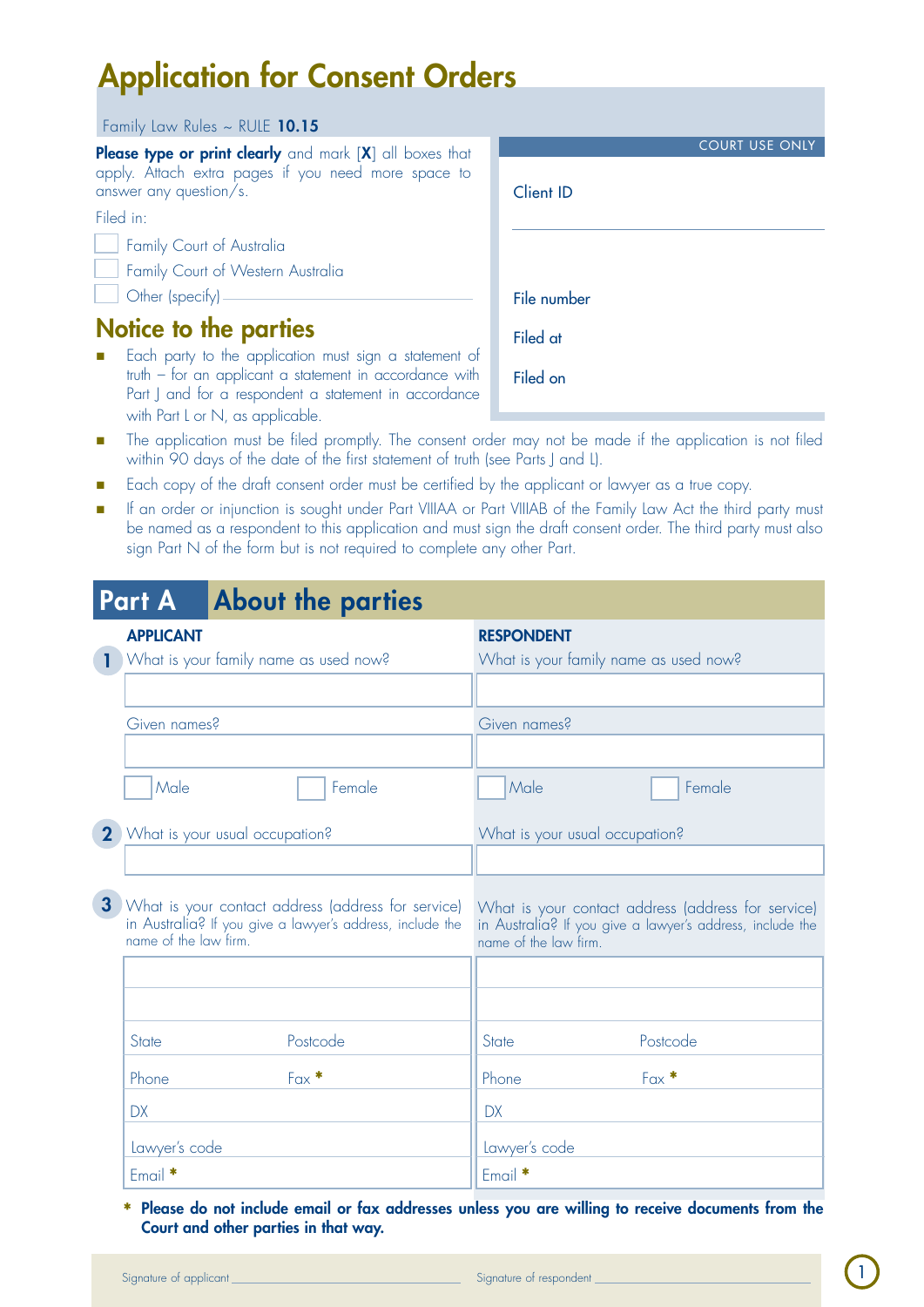# Application for Consent Orders

#### Family Law Rules ~ RULE 10.15

Please type or print clearly and mark [X] all boxes that apply. Attach extra pages if you need more space to answer any question/s.

Filed in:

Family Court of Australia

Family Court of Western Australia

Other (specify)

## Notice to the parties

Each party to the application must sign a statement of truth – for an applicant a statement in accordance with Part J and for a respondent a statement in accordance with Part L or N, as applicable.

| the contract of the contract of the contract of the contract of the contract of the contract of the contract of |
|-----------------------------------------------------------------------------------------------------------------|
| The application must be filed promptly. The consent order may not be made if the application is not filed       |
| within 90 days of the date of the first statement of truth (see Parts J and L).                                 |

- Each copy of the draft consent order must be certified by the applicant or lawyer as a true copy.
- If an order or injunction is sought under Part VIIIAA or Part VIIIAB of the Family Law Act the third party must be named as a respondent to this application and must sign the draft consent order. The third party must also sign Part N of the form but is not required to complete any other Part.

|                | <b>Part A</b>         | <b>About the parties</b>                                                                                        |                                                                                                                                          |  |
|----------------|-----------------------|-----------------------------------------------------------------------------------------------------------------|------------------------------------------------------------------------------------------------------------------------------------------|--|
|                | <b>APPLICANT</b>      |                                                                                                                 | <b>RESPONDENT</b>                                                                                                                        |  |
|                |                       | What is your family name as used now?                                                                           | What is your family name as used now?                                                                                                    |  |
|                |                       |                                                                                                                 |                                                                                                                                          |  |
|                | Given names?          |                                                                                                                 | Given names?                                                                                                                             |  |
|                |                       |                                                                                                                 |                                                                                                                                          |  |
|                | Male                  | Female                                                                                                          | Male<br>Female                                                                                                                           |  |
| $\mathbf 2$    |                       | What is your usual occupation?                                                                                  | What is your usual occupation?                                                                                                           |  |
|                |                       |                                                                                                                 |                                                                                                                                          |  |
| 3 <sup>1</sup> | name of the law firm. | What is your contact address (address for service)<br>in Australia? If you give a lawyer's address, include the | What is your contact address (address for service)<br>in Australia? If you give a lawyer's address, include the<br>name of the law firm. |  |
|                |                       |                                                                                                                 |                                                                                                                                          |  |
|                |                       |                                                                                                                 |                                                                                                                                          |  |
|                | State                 | Postcode                                                                                                        | Postcode<br>State                                                                                                                        |  |
|                | Phone                 | $Fax *$                                                                                                         | $Fax *$<br>Phone                                                                                                                         |  |
|                | <b>DX</b>             |                                                                                                                 | <b>DX</b>                                                                                                                                |  |
|                | Lawyer's code         |                                                                                                                 | Lawyer's code                                                                                                                            |  |
|                | Email *               |                                                                                                                 | Email *                                                                                                                                  |  |

Please do not include email or fax addresses unless you are willing to receive documents from the \* Court and other parties in that way.

|                  | <b>COURT USE ONLY</b> |
|------------------|-----------------------|
| <b>Client ID</b> |                       |
|                  |                       |
| File number      |                       |
| Filed at         |                       |
| Filed on         |                       |

1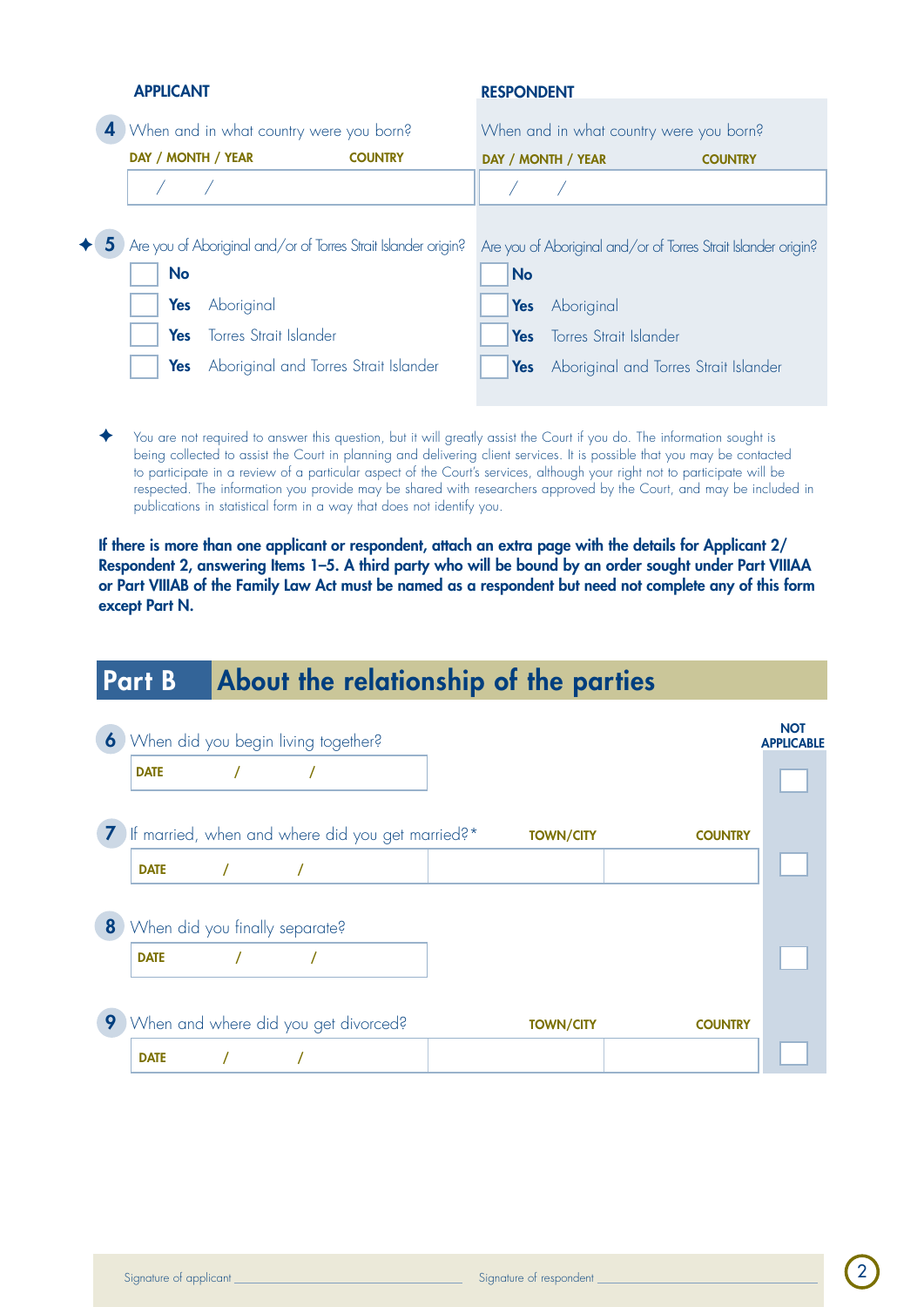| 4                  | When and in what country were you born? |                                                                                                |      | When and in what country were you born? |                                                                |
|--------------------|-----------------------------------------|------------------------------------------------------------------------------------------------|------|-----------------------------------------|----------------------------------------------------------------|
| DAY / MONTH / YEAR |                                         | <b>COUNTRY</b>                                                                                 |      | DAY / MONTH / YEAR                      | <b>COUNTRY</b>                                                 |
|                    |                                         |                                                                                                |      |                                         |                                                                |
|                    |                                         |                                                                                                |      |                                         |                                                                |
| <b>No</b>          |                                         | $\blacklozenge$ $\blacklozenge$ Are you of Aboriginal and/or of Torres Strait Islander origin? | No   |                                         | Are you of Aboriginal and/or of Torres Strait Islander origin? |
| <b>Yes</b>         | Aboriginal                              |                                                                                                | Yes  | Aboriginal                              |                                                                |
| Yes                | <b>Torres Strait Islander</b>           |                                                                                                | Yes: | Torres Strait Islander                  |                                                                |
| Yes                | Aboriginal and Torres Strait Islander   |                                                                                                | Yes  | Aboriginal and Torres Strait Islander   |                                                                |

You are not required to answer this question, but it will greatly assist the Court if you do. The information sought is being collected to assist the Court in planning and delivering client services. It is possible that you may be contacted to participate in a review of a particular aspect of the Court's services, although your right not to participate will be respected. The information you provide may be shared with researchers approved by the Court, and may be included in publications in statistical form in a way that does not identify you.

If there is more than one applicant or respondent, attach an extra page with the details for Applicant 2/ Respondent 2, answering Items 1–5. A third party who will be bound by an order sought under Part VIIIAA or Part VIIIAB of the Family Law Act must be named as a respondent but need not complete any of this form except Part N.

## Part B About the relationship of the parties

|   |             |                                | 6 When did you begin living together? |                                                    |                  |                | <b>NOT</b><br><b>APPLICABLE</b> |
|---|-------------|--------------------------------|---------------------------------------|----------------------------------------------------|------------------|----------------|---------------------------------|
|   | <b>DATE</b> |                                |                                       |                                                    |                  |                |                                 |
|   |             |                                |                                       | 7 If married, when and where did you get married?* | <b>TOWN/CITY</b> | <b>COUNTRY</b> |                                 |
|   | <b>DATE</b> |                                |                                       |                                                    |                  |                |                                 |
| 8 |             | When did you finally separate? |                                       |                                                    |                  |                |                                 |
|   | <b>DATE</b> |                                |                                       |                                                    |                  |                |                                 |
|   |             |                                |                                       |                                                    |                  |                |                                 |
| 9 |             |                                | When and where did you get divorced?  |                                                    | <b>TOWN/CITY</b> | <b>COUNTRY</b> |                                 |
|   | <b>DATE</b> |                                |                                       |                                                    |                  |                |                                 |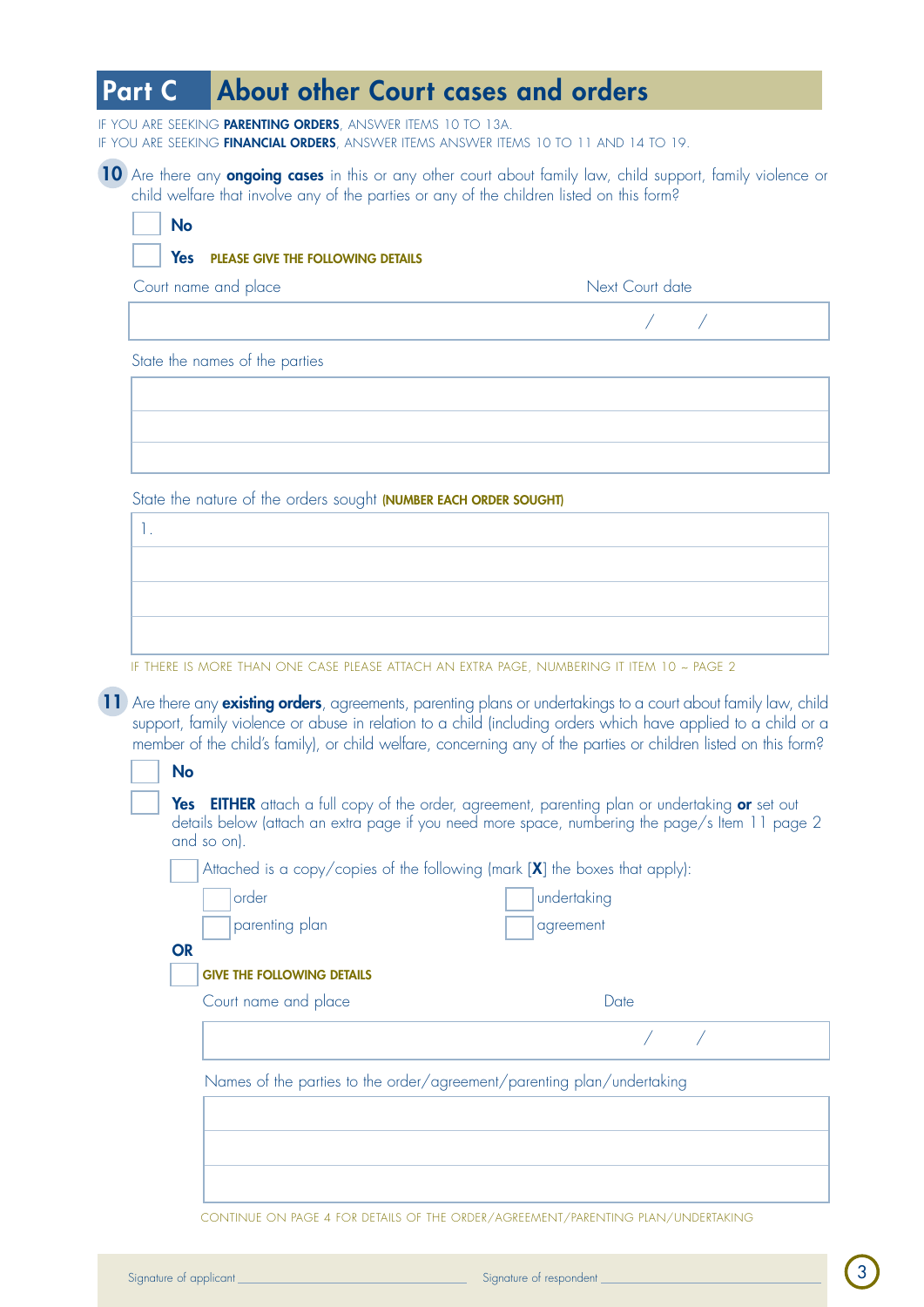## Part C About other Court cases and orders

IF YOU ARE SEEKING PARENTING ORDERS, ANSWER ITEMS 10 TO 13A. IF YOU ARE SEEKING FINANCIAL ORDERS, ANSWER ITEMS ANSWER ITEMS 10 TO 11 AND 14 TO 19.

10 Are there any **ongoing cases** in this or any other court about family law, child support, family violence or child welfare that involve any of the parties or any of the children listed on this form?

| Court name and place           | Next Court date |
|--------------------------------|-----------------|
|                                |                 |
| State the names of the parties |                 |
|                                |                 |
|                                |                 |
|                                |                 |

State the nature of the orders sought (**NUMBER EACH ORDER SOUGHT**)

| IF TUESE IS HOSE TULLI ONE OLSE NELSE ITTLOU IN EVEN I NLOE. HUNSENLIG IT ITELLAS - NLOE S. |  |  |
|---------------------------------------------------------------------------------------------|--|--|

If there is more than one case please attach an extra page, numbering it item 10 ~ page 2

(11) Are there any existing orders, agreements, parenting plans or undertakings to a court about family law, child support, family violence or abuse in relation to a child (including orders which have applied to a child or a member of the child's family), or child welfare, concerning any of the parties or children listed on this form?

|                                   | Attached is a copy/copies of the following (mark $[X]$ the boxes that apply): |  |
|-----------------------------------|-------------------------------------------------------------------------------|--|
| order                             | undertaking                                                                   |  |
| parenting plan                    | agreement                                                                     |  |
| <b>OR</b>                         |                                                                               |  |
| <b>GIVE THE FOLLOWING DETAILS</b> |                                                                               |  |
| Court name and place              | Date                                                                          |  |
|                                   |                                                                               |  |
|                                   | Names of the parties to the order/agreement/parenting plan/undertaking        |  |
|                                   |                                                                               |  |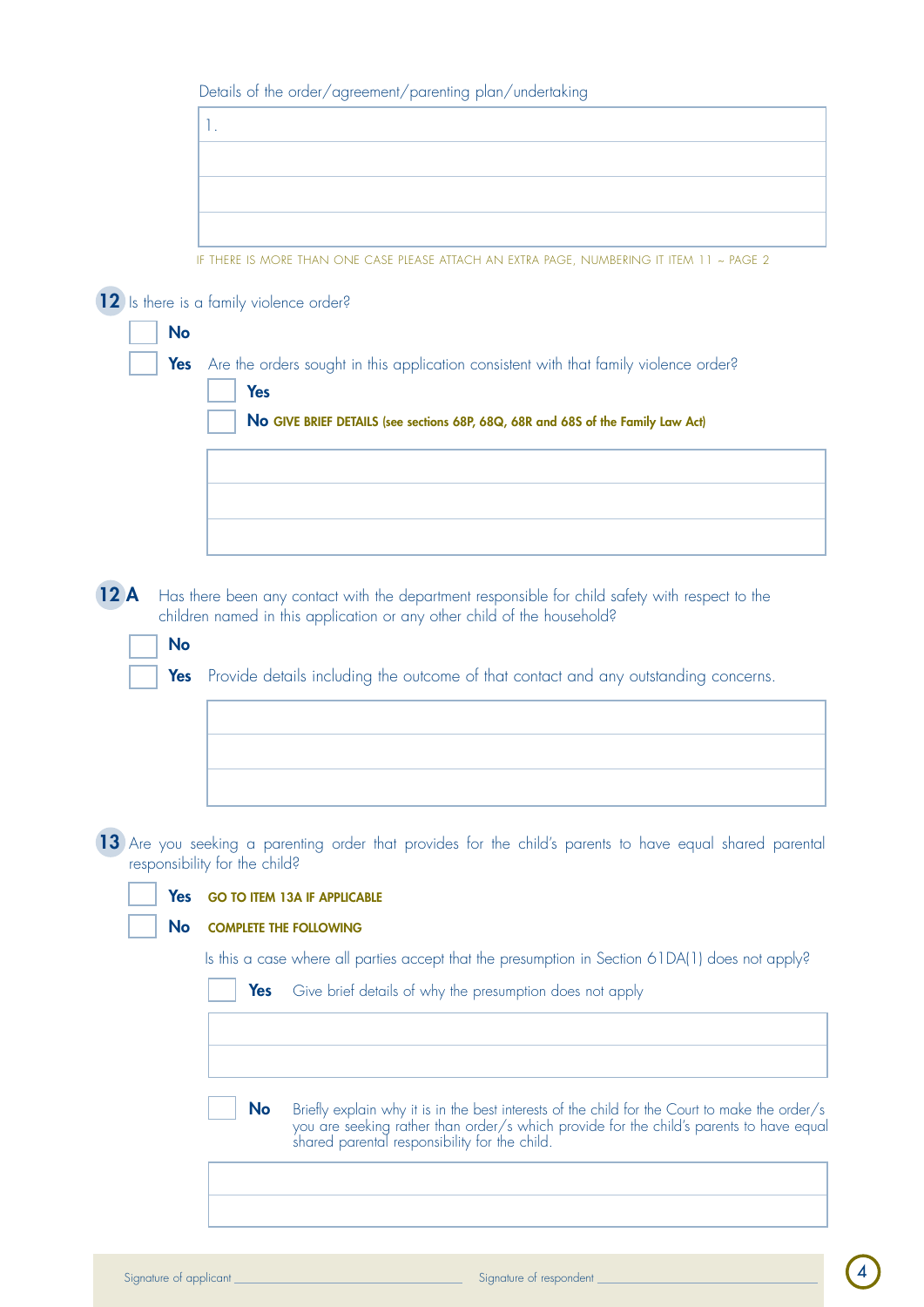|            | 1.                                                                                                                                                                                                                                                      |
|------------|---------------------------------------------------------------------------------------------------------------------------------------------------------------------------------------------------------------------------------------------------------|
|            |                                                                                                                                                                                                                                                         |
|            |                                                                                                                                                                                                                                                         |
|            |                                                                                                                                                                                                                                                         |
|            | IF THERE IS MORE THAN ONE CASE PLEASE ATTACH AN EXTRA PAGE, NUMBERING IT ITEM 11 ~ PAGE 2                                                                                                                                                               |
|            | (12) Is there is a family violence order?                                                                                                                                                                                                               |
| <b>No</b>  |                                                                                                                                                                                                                                                         |
| Yes        | Are the orders sought in this application consistent with that family violence order?<br><b>Yes</b>                                                                                                                                                     |
|            | No GIVE BRIEF DETAILS (see sections 68P, 68Q, 68R and 68S of the Family Law Act)                                                                                                                                                                        |
|            |                                                                                                                                                                                                                                                         |
|            |                                                                                                                                                                                                                                                         |
|            |                                                                                                                                                                                                                                                         |
|            |                                                                                                                                                                                                                                                         |
| 12A        | Has there been any contact with the department responsible for child safety with respect to the                                                                                                                                                         |
| <b>No</b>  | children named in this application or any other child of the household?                                                                                                                                                                                 |
| Yes        |                                                                                                                                                                                                                                                         |
|            |                                                                                                                                                                                                                                                         |
|            | Provide details including the outcome of that contact and any outstanding concerns.                                                                                                                                                                     |
|            |                                                                                                                                                                                                                                                         |
|            |                                                                                                                                                                                                                                                         |
|            |                                                                                                                                                                                                                                                         |
|            |                                                                                                                                                                                                                                                         |
|            |                                                                                                                                                                                                                                                         |
|            | responsibility for the child?                                                                                                                                                                                                                           |
| <b>Yes</b> | <b>GO TO ITEM 13A IF APPLICABLE</b>                                                                                                                                                                                                                     |
| No         | <b>COMPLETE THE FOLLOWING</b>                                                                                                                                                                                                                           |
|            | Is this a case where all parties accept that the presumption in Section 61DA(1) does not apply?                                                                                                                                                         |
|            | Yes<br>Give brief details of why the presumption does not apply                                                                                                                                                                                         |
|            |                                                                                                                                                                                                                                                         |
|            | 13) Are you seeking a parenting order that provides for the child's parents to have equal shared parental                                                                                                                                               |
|            | <b>No</b><br>Briefly explain why it is in the best interests of the child for the Court to make the order/s<br>you are seeking rather than order/s which provide for the child's parents to have equal<br>shared parental responsibility for the child. |
|            |                                                                                                                                                                                                                                                         |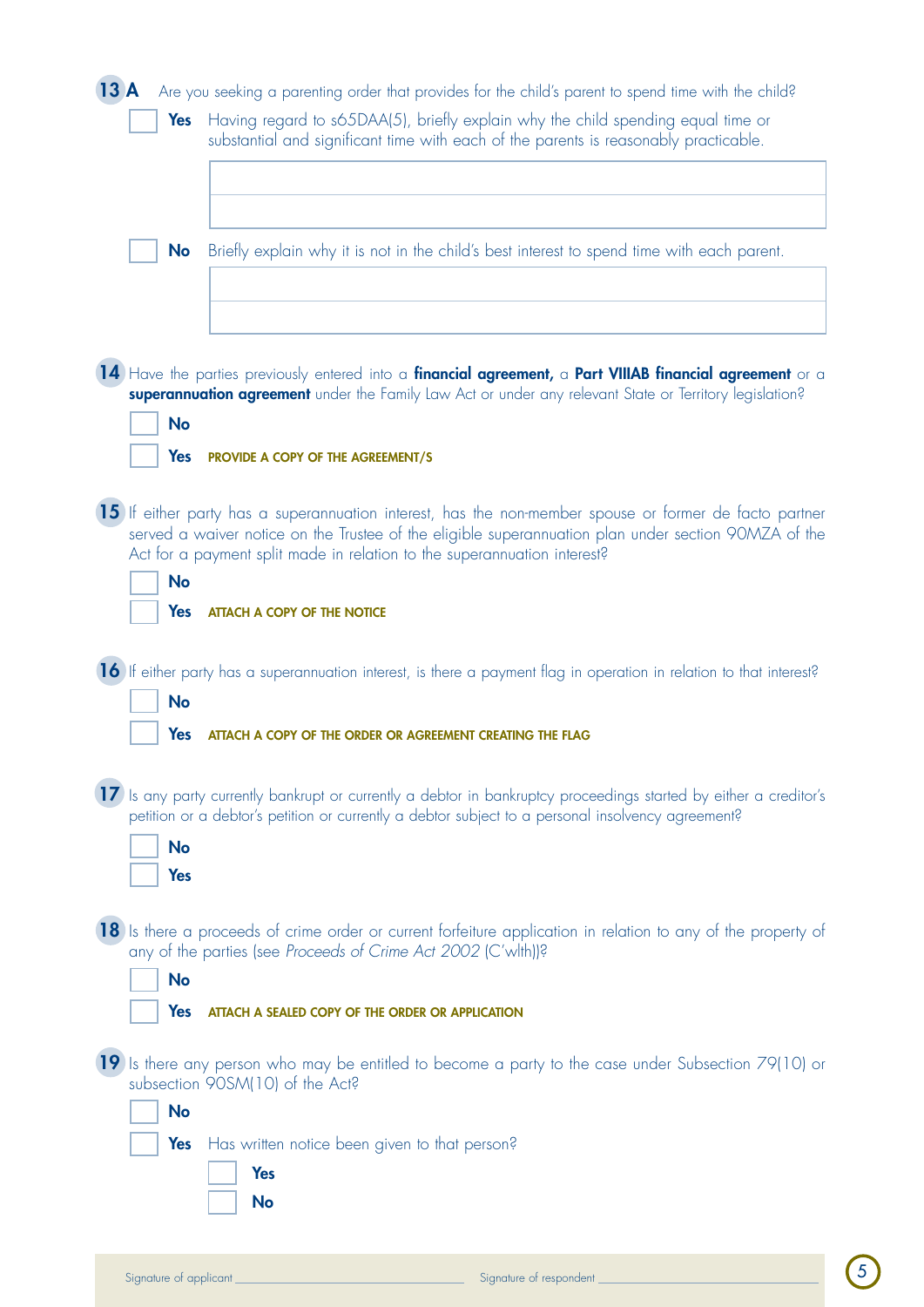| 13A                     | Are you seeking a parenting order that provides for the child's parent to spend time with the child?                                                                                                                                                                                                                              |
|-------------------------|-----------------------------------------------------------------------------------------------------------------------------------------------------------------------------------------------------------------------------------------------------------------------------------------------------------------------------------|
| Yes                     | Having regard to s65DAA(5), briefly explain why the child spending equal time or<br>substantial and significant time with each of the parents is reasonably practicable.                                                                                                                                                          |
| <b>No</b>               | Briefly explain why it is not in the child's best interest to spend time with each parent.                                                                                                                                                                                                                                        |
| <b>No</b><br><b>Yes</b> | 14) Have the parties previously entered into a financial agreement, a Part VIIIAB financial agreement or a<br>superannuation agreement under the Family Law Act or under any relevant State or Territory legislation?<br>PROVIDE A COPY OF THE AGREEMENT/S                                                                        |
| <b>No</b><br>Yes        | 15) If either party has a superannuation interest, has the non-member spouse or former de facto partner<br>served a waiver notice on the Trustee of the eligible superannuation plan under section 90MZA of the<br>Act for a payment split made in relation to the superannuation interest?<br><b>ATTACH A COPY OF THE NOTICE</b> |
| <b>No</b><br>Yes        | <b>16</b> If either party has a superannuation interest, is there a payment flag in operation in relation to that interest?<br>ATTACH A COPY OF THE ORDER OR AGREEMENT CREATING THE FLAG                                                                                                                                          |
| <b>No</b><br>Yes        | 17) Is any party currently bankrupt or currently a debtor in bankruptcy proceedings started by either a creditor's<br>petition or a debtor's petition or currently a debtor subject to a personal insolvency agreement?                                                                                                           |
| <b>No</b><br>Yes        | 18 Is there a proceeds of crime order or current forfeiture application in relation to any of the property of<br>any of the parties (see Proceeds of Crime Act 2002 (C'wlth))?<br>ATTACH A SEALED COPY OF THE ORDER OR APPLICATION                                                                                                |
| <b>No</b>               | 19 Is there any person who may be entitled to become a party to the case under Subsection 79(10) or<br>subsection 90SM(10) of the Act?                                                                                                                                                                                            |
| <b>Yes</b>              | Has written notice been given to that person?<br><b>Yes</b><br><b>No</b>                                                                                                                                                                                                                                                          |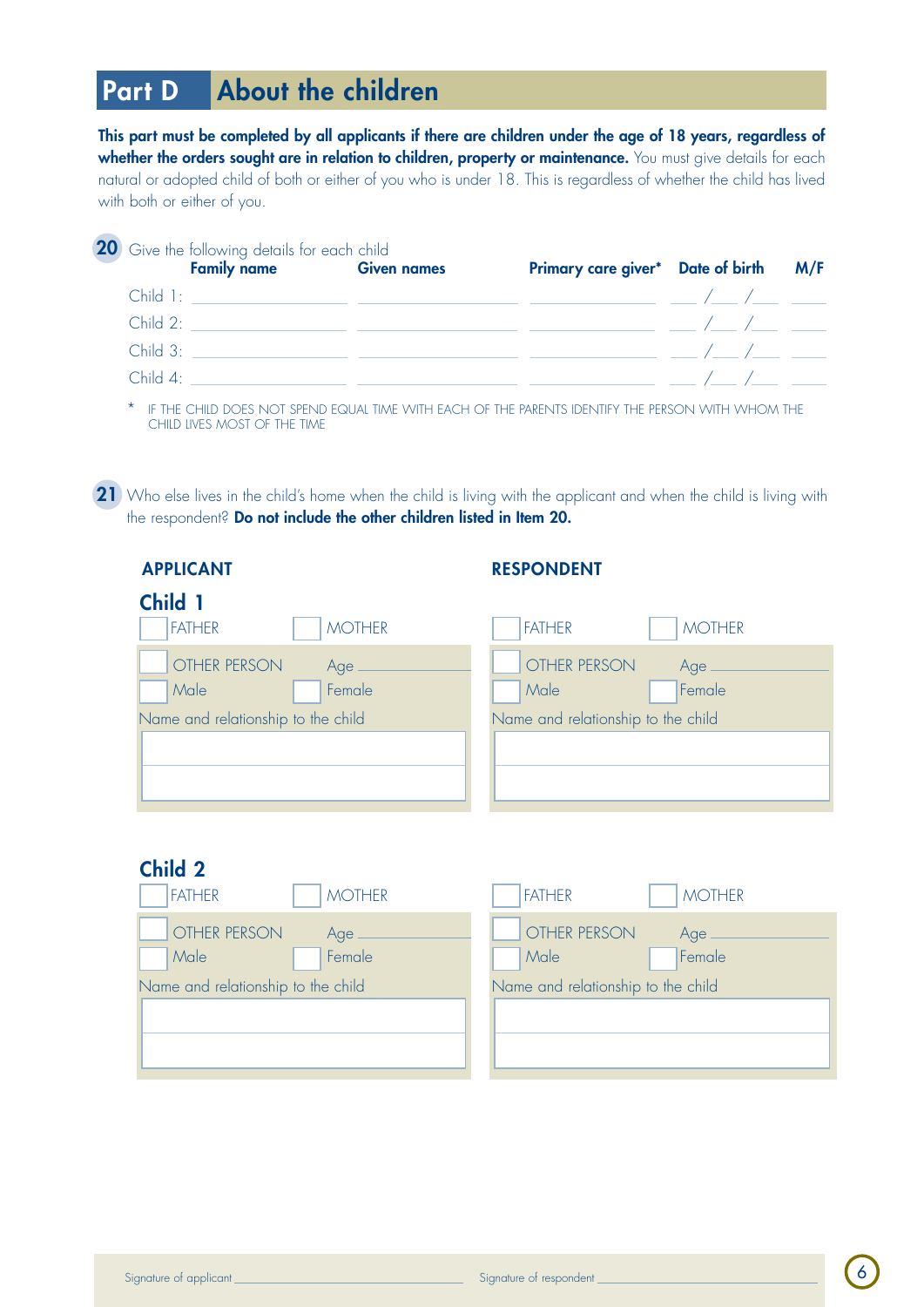## Part D About the children

This part must be completed by all applicants if there are children under the age of 18 years, regardless of whether the orders sought are in relation to children, property or maintenance. You must give details for each natural or adopted child of both or either of you who is under 18. This is regardless of whether the child has lived with both or either of you.

| <b>20</b> Give the following details for each child<br><b>Family name Given names</b> | Primary care giver* Date of birth M/F |  |
|---------------------------------------------------------------------------------------|---------------------------------------|--|
|                                                                                       |                                       |  |
|                                                                                       |                                       |  |
| Child 3:                                                                              |                                       |  |
| Child $4^{\circ}$                                                                     |                                       |  |

IF THE CHILD DOES NOT SPEND EQUAL TIME WITH EACH OF THE PARENTS IDENTIFY THE PERSON WITH WHOM THE child lives most of the time

21 Who else lives in the child's home when the child is living with the applicant and when the child is living with the respondent? Do not include the other children listed in Item 20.

| <b>APPLICANT</b> |  |  |
|------------------|--|--|
|------------------|--|--|

### applicant respondent respondent respondent

| <b>Child</b>                       |                                    |
|------------------------------------|------------------------------------|
| <b>FATHER</b><br><b>MOTHER</b>     | <b>FATHER</b><br><b>MOTHER</b>     |
| OTHER PERSON<br>Age .              | OTHER PERSON<br>Age                |
| Female<br>Male                     | Female<br>Male                     |
| Name and relationship to the child | Name and relationship to the child |
|                                    |                                    |
|                                    |                                    |
|                                    |                                    |

### Child 2

| <b>FATHER</b>                      | <b>MOTHER</b>                      |
|------------------------------------|------------------------------------|
| <b>MOTHER</b>                      | <b>FATHER</b>                      |
| OTHER PERSON                       | OTHER PERSON                       |
| Age                                | Age                                |
| Female                             | Female                             |
| Male                               | Male                               |
| Name and relationship to the child | Name and relationship to the child |
|                                    |                                    |
|                                    |                                    |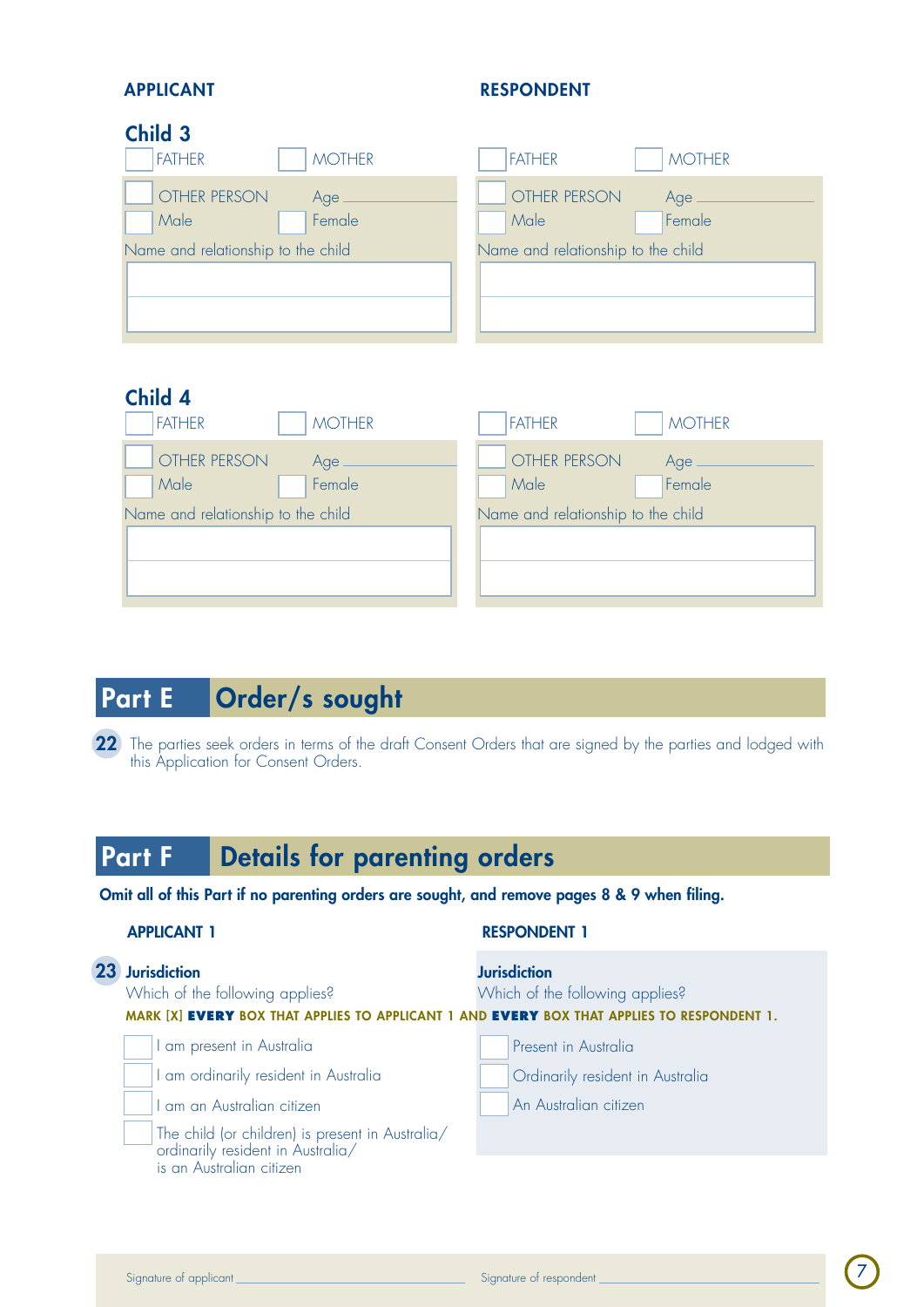### APPLICANT RESPONDENT

## Child 3

| <b>FATHER</b>                      | <b>FATHER</b>                      |
|------------------------------------|------------------------------------|
| <b>MOTHER</b>                      | <b>MOTHER</b>                      |
| OTHER PERSON                       | OTHER PERSON                       |
| Age                                | Age                                |
| Female                             | Female                             |
| Male                               | Male                               |
| Name and relationship to the child | Name and relationship to the child |

## Child 4

| <b>FATHER</b>                      | <b>FATHER</b>                      |
|------------------------------------|------------------------------------|
| <b>MOTHER</b>                      | <b>MOTHER</b>                      |
| OTHER PERSON                       | OTHER PERSON                       |
| Age                                | Age                                |
| Female                             | Female                             |
| Male                               | Male                               |
| Name and relationship to the child | Name and relationship to the child |

## Part E Order/s sought

22 The parties seek orders in terms of the draft Consent Orders that are signed by the parties and lodged with this Application for Consent Orders.

## Part F **Details for parenting orders**

Omit all of this Part if no parenting orders are sought, and remove pages 8 & 9 when filing.

| <b>APPLICANT 1</b> |  |
|--------------------|--|
|                    |  |

#### **RESPONDENT 1**

| 23 Jurisdiction<br>Which of the following applies?<br>MARK [X] EVERY BOX THAT APPLIES TO APPLICANT 1 AND EVERY BOX THAT APPLIES TO RESPONDENT 1. |                                                                                                                       | <b>Jurisdiction</b><br>Which of the following applies? |  |  |
|--------------------------------------------------------------------------------------------------------------------------------------------------|-----------------------------------------------------------------------------------------------------------------------|--------------------------------------------------------|--|--|
|                                                                                                                                                  | I am present in Australia                                                                                             | Present in Australia                                   |  |  |
|                                                                                                                                                  | I am ordinarily resident in Australia                                                                                 | Ordinarily resident in Australia                       |  |  |
|                                                                                                                                                  | I am an Australian citizen                                                                                            | An Australian citizen                                  |  |  |
|                                                                                                                                                  | The child (or children) is present in Australia/<br>  ordinarily resident in Australia/<br>  is an Australian citizen |                                                        |  |  |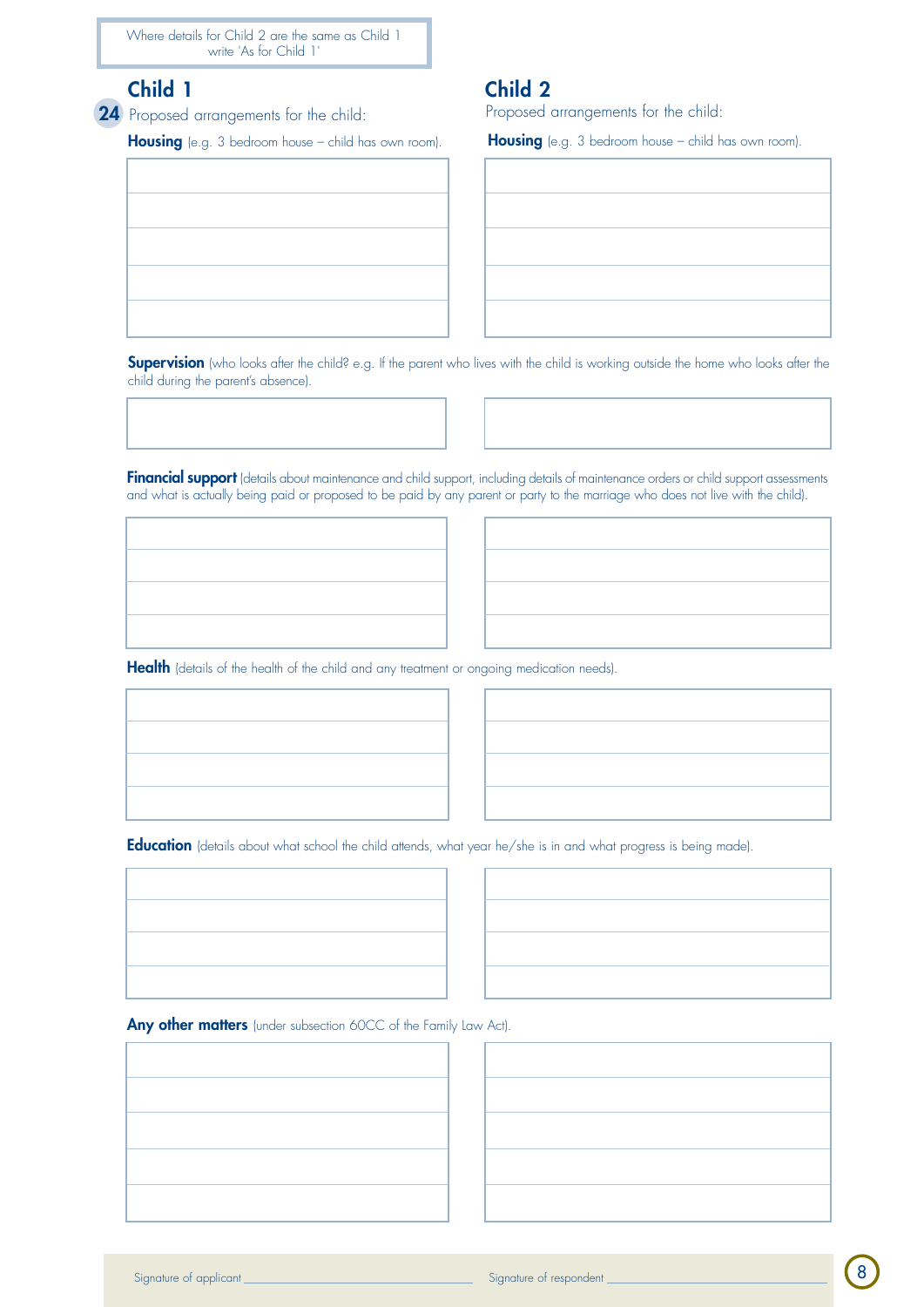Where details for Child 2 are the same as Child 1 write 'As for Child 1'

## Child 1 Child 2

24 Proposed arrangements for the child:

Housing (e.g. 3 bedroom house – child has own room).



Proposed arrangements for the child:

Housing (e.g. 3 bedroom house – child has own room).

**Supervision** (who looks after the child? e.g. If the parent who lives with the child is working outside the home who looks after the child during the parent's absence).

Financial support (details about maintenance and child support, including details of maintenance orders or child support assessments and what is actually being paid or proposed to be paid by any parent or party to the marriage who does not live with the child).

Health (details of the health of the child and any treatment or ongoing medication needs).





Education (details about what school the child attends, what year he/she is in and what progress is being made).



Any other matters (under subsection 60CC of the Family Law Act).

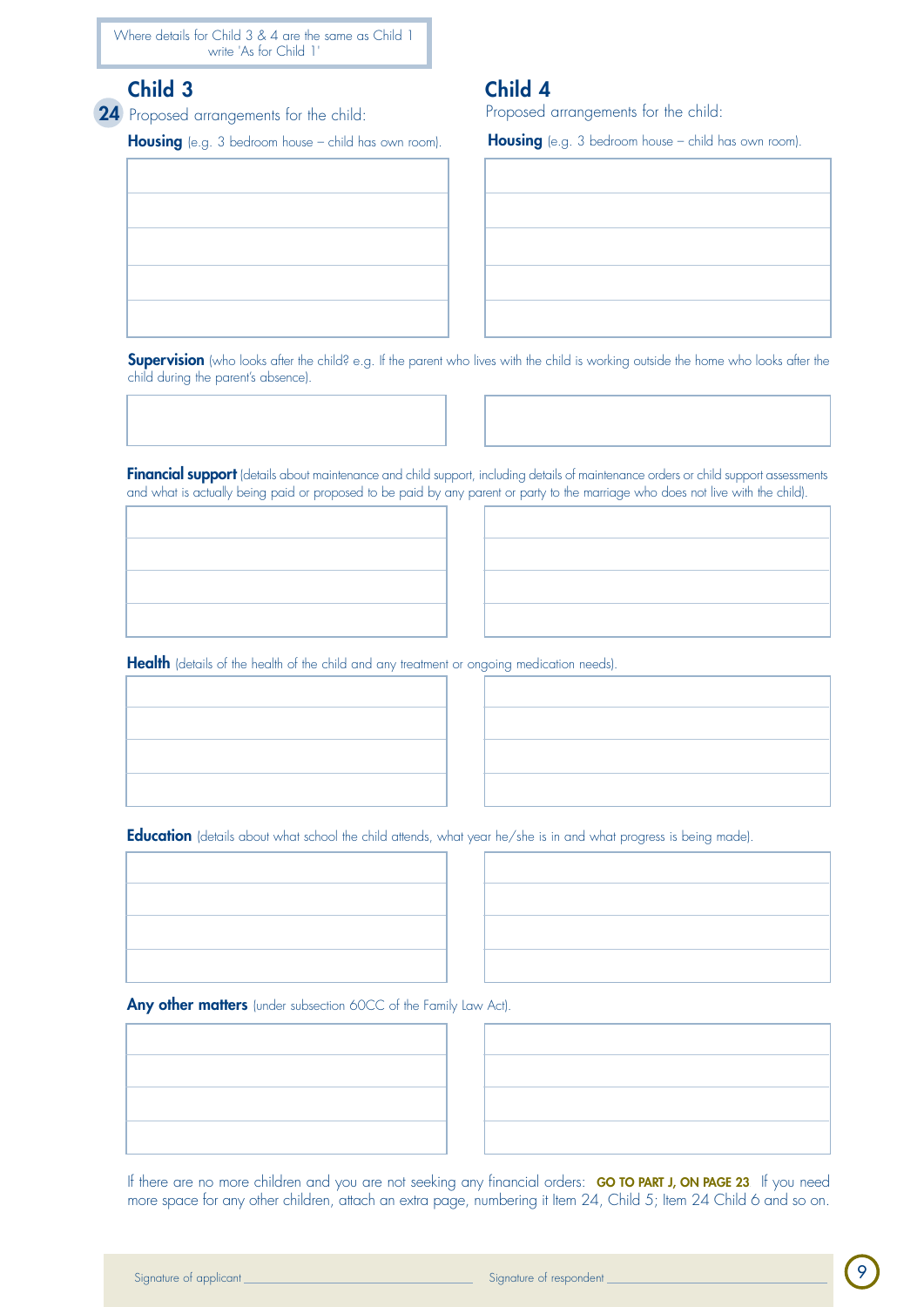Where details for Child 3 & 4 are the same as Child 1 write 'As for Child 1'

## Child 3 Child 4

24 Proposed arrangements for the child:

Housing (e.g. 3 bedroom house – child has own room).



Proposed arrangements for the child:

Housing (e.g. 3 bedroom house – child has own room).

Supervision (who looks after the child? e.g. If the parent who lives with the child is working outside the home who looks after the child during the parent's absence).

Financial support (details about maintenance and child support, including details of maintenance orders or child support assessments and what is actually being paid or proposed to be paid by any parent or party to the marriage who does not live with the child).

Health (details of the health of the child and any treatment or ongoing medication needs).



Education (details about what school the child attends, what year he/she is in and what progress is being made).



Any other matters (under subsection 60CC of the Family Law Act).



If there are no more children and you are not seeking any financial orders: GO TO PART J, ON PAGE 23. If you need more space for any other children, attach an extra page, numbering it Item 24, Child 5; Item 24 Child 6 and so on.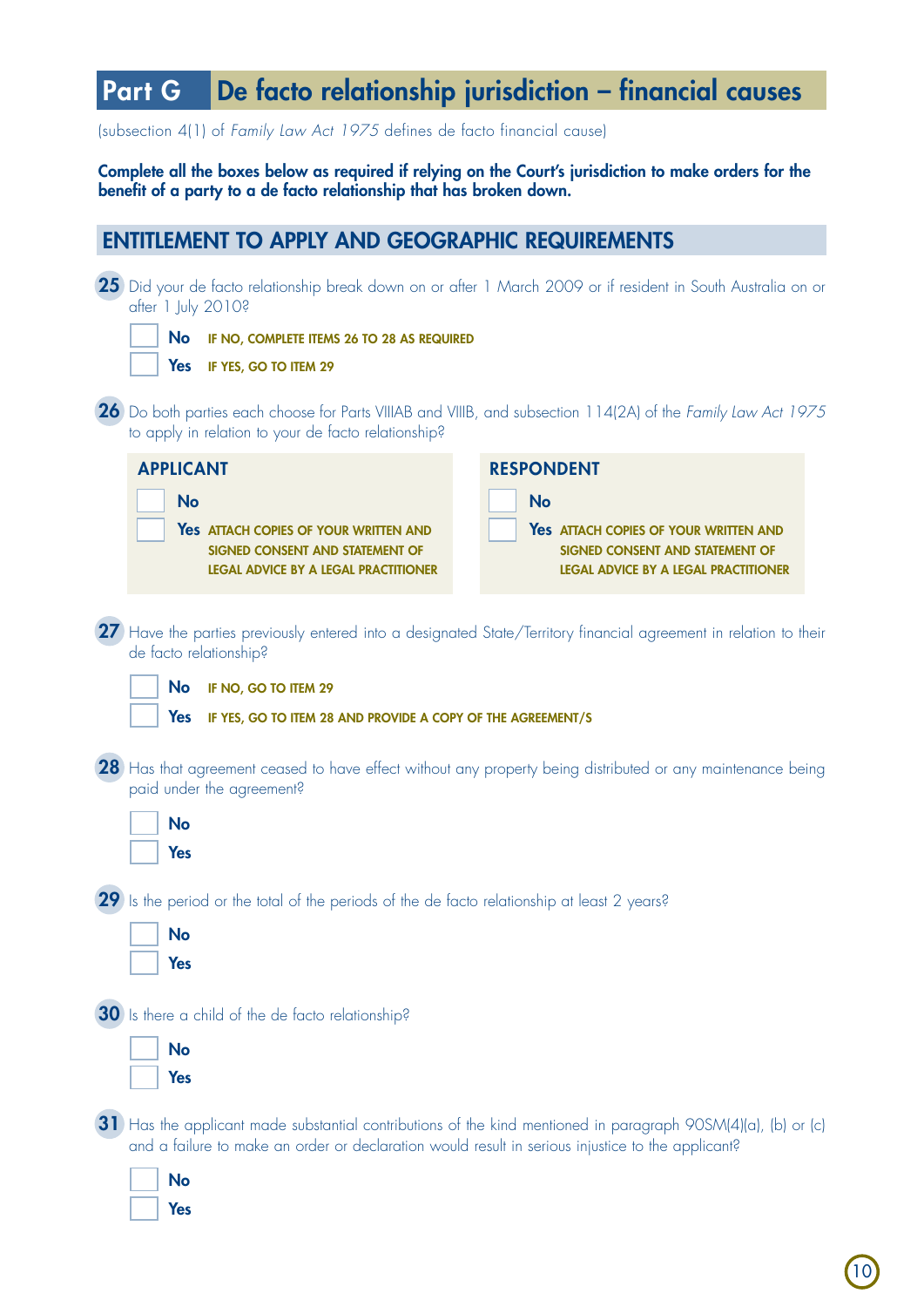## Part G De facto relationship jurisdiction – financial causes

(subsection 4(1) of *Family Law Act 1975* defines de facto financial cause)

Complete all the boxes below as required if relying on the Court's jurisdiction to make orders for the benefit of a party to a de facto relationship that has broken down.

## Entitlement to apply and geographic requirements

|                                                   | 25 Did your de facto relationship break down on or after 1 March 2009 or if resident in South Australia on or<br>after 1 July 2010?                                                                                 |                                                                                                                         |                   |                                                                                                                         |
|---------------------------------------------------|---------------------------------------------------------------------------------------------------------------------------------------------------------------------------------------------------------------------|-------------------------------------------------------------------------------------------------------------------------|-------------------|-------------------------------------------------------------------------------------------------------------------------|
|                                                   | <b>No</b><br>IF NO, COMPLETE ITEMS 26 TO 28 AS REQUIRED                                                                                                                                                             |                                                                                                                         |                   |                                                                                                                         |
|                                                   | <b>Yes</b><br>IF YES, GO TO ITEM 29                                                                                                                                                                                 |                                                                                                                         |                   |                                                                                                                         |
|                                                   |                                                                                                                                                                                                                     | to apply in relation to your de facto relationship?                                                                     |                   | 26 Do both parties each choose for Parts VIIIAB and VIIIB, and subsection 114(2A) of the Family Law Act 1975            |
|                                                   | <b>APPLICANT</b>                                                                                                                                                                                                    |                                                                                                                         | <b>RESPONDENT</b> |                                                                                                                         |
|                                                   | <b>No</b>                                                                                                                                                                                                           | Yes ATTACH COPIES OF YOUR WRITTEN AND<br>SIGNED CONSENT AND STATEMENT OF<br><b>LEGAL ADVICE BY A LEGAL PRACTITIONER</b> | <b>No</b>         | Yes ATTACH COPIES OF YOUR WRITTEN AND<br>SIGNED CONSENT AND STATEMENT OF<br><b>LEGAL ADVICE BY A LEGAL PRACTITIONER</b> |
|                                                   | de facto relationship?                                                                                                                                                                                              |                                                                                                                         |                   | 27 Have the parties previously entered into a designated State/Territory financial agreement in relation to their       |
|                                                   | <b>No</b>                                                                                                                                                                                                           | IF NO, GO TO ITEM 29                                                                                                    |                   |                                                                                                                         |
|                                                   | <b>Yes</b>                                                                                                                                                                                                          | IF YES, GO TO ITEM 28 AND PROVIDE A COPY OF THE AGREEMENT/S                                                             |                   |                                                                                                                         |
|                                                   | 28 Has that agreement ceased to have effect without any property being distributed or any maintenance being<br>paid under the agreement?                                                                            |                                                                                                                         |                   |                                                                                                                         |
|                                                   | <b>No</b><br><b>Yes</b>                                                                                                                                                                                             |                                                                                                                         |                   |                                                                                                                         |
|                                                   |                                                                                                                                                                                                                     | 29 Is the period or the total of the periods of the de facto relationship at least 2 years?                             |                   |                                                                                                                         |
|                                                   | <b>No</b>                                                                                                                                                                                                           |                                                                                                                         |                   |                                                                                                                         |
|                                                   | Yes                                                                                                                                                                                                                 |                                                                                                                         |                   |                                                                                                                         |
| 30 Is there a child of the de facto relationship? |                                                                                                                                                                                                                     |                                                                                                                         |                   |                                                                                                                         |
|                                                   | <b>No</b><br><b>Yes</b>                                                                                                                                                                                             |                                                                                                                         |                   |                                                                                                                         |
|                                                   | 31) Has the applicant made substantial contributions of the kind mentioned in paragraph 90SM(4)(a), (b) or (c)<br>and a failure to make an order or declaration would result in serious injustice to the applicant? |                                                                                                                         |                   |                                                                                                                         |
|                                                   | <b>No</b>                                                                                                                                                                                                           |                                                                                                                         |                   |                                                                                                                         |

Yes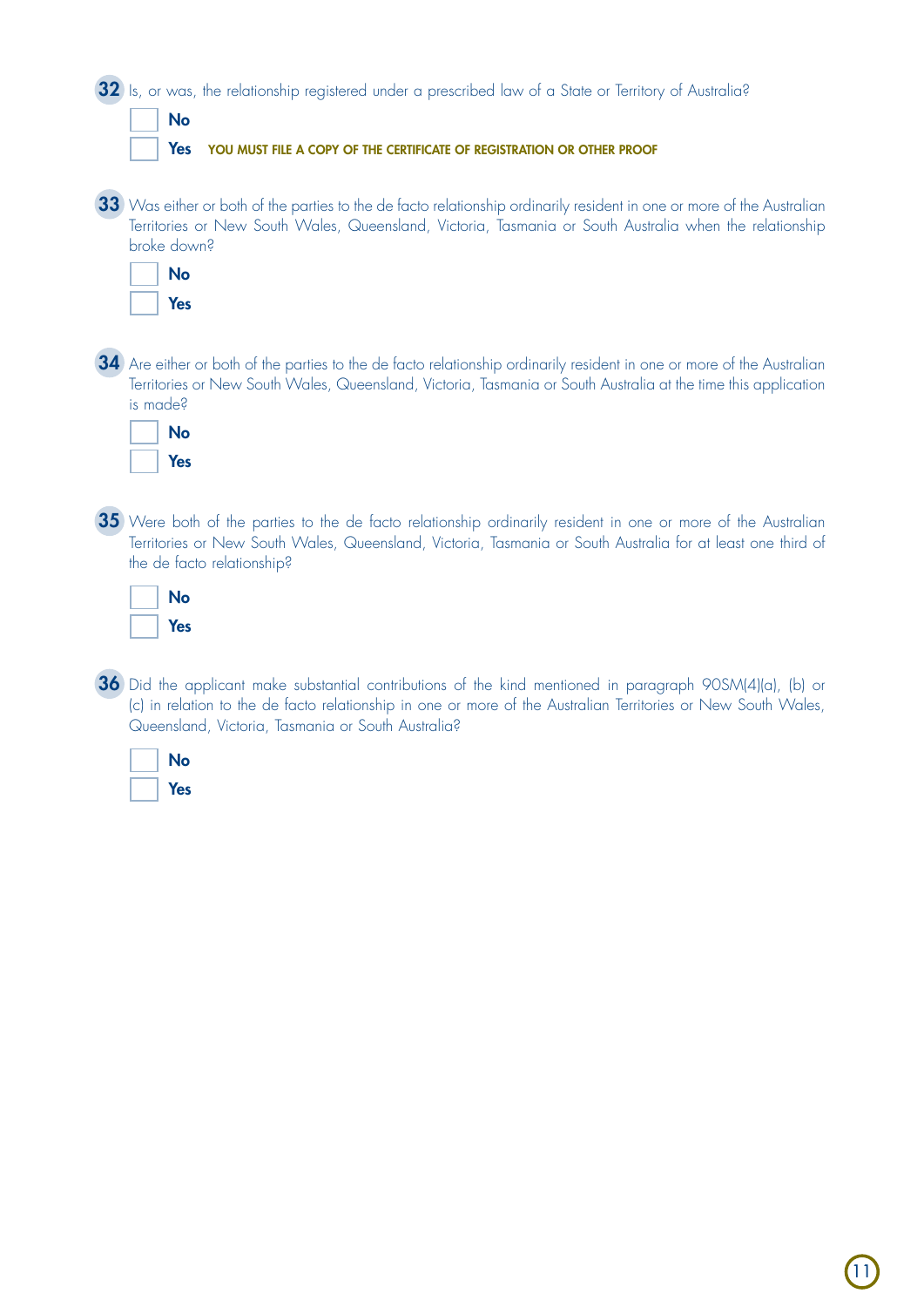| 32) Is, or was, the relationship registered under a prescribed law of a State or Territory of Australia?                                                                                                                                                   |
|------------------------------------------------------------------------------------------------------------------------------------------------------------------------------------------------------------------------------------------------------------|
| <b>No</b><br>Yes<br>YOU MUST FILE A COPY OF THE CERTIFICATE OF REGISTRATION OR OTHER PROOF                                                                                                                                                                 |
|                                                                                                                                                                                                                                                            |
| 33 Was either or both of the parties to the de facto relationship ordinarily resident in one or more of the Australian<br>Territories or New South Wales, Queensland, Victoria, Tasmania or South Australia when the relationship<br>broke down?           |
| <b>No</b><br><b>Yes</b>                                                                                                                                                                                                                                    |
| 34) Are either or both of the parties to the de facto relationship ordinarily resident in one or more of the Australian<br>Territories or New South Wales, Queensland, Victoria, Tasmania or South Australia at the time this application<br>is made?      |
| <b>No</b><br><b>Yes</b>                                                                                                                                                                                                                                    |
| 35 Were both of the parties to the de facto relationship ordinarily resident in one or more of the Australian<br>Territories or New South Wales, Queensland, Victoria, Tasmania or South Australia for at least one third of<br>the de facto relationship? |
| <b>No</b><br><b>Yes</b>                                                                                                                                                                                                                                    |
| 36 Did the applicant make substantial contributions of the kind mentioned in paragraph 90SM(4)(a), (b) or                                                                                                                                                  |

(c) in relation to the de facto relationship in one or more of the Australian Territories or New South Wales, Queensland, Victoria, Tasmania or South Australia?

|  | No  |
|--|-----|
|  | Yes |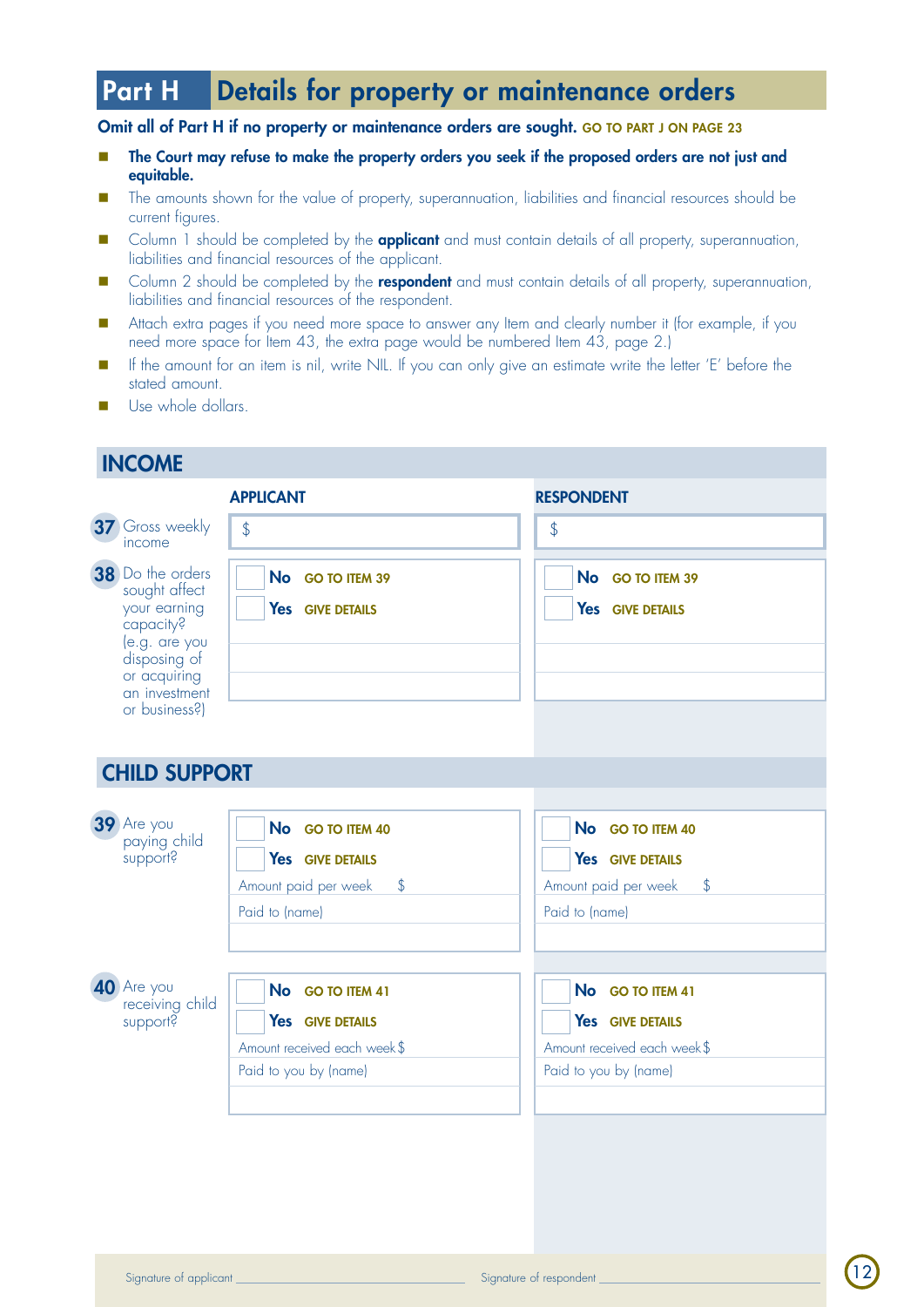## Part H Details for property or maintenance orders

#### Omit all of Part H if no property or maintenance orders are sought. GO TO PART J ON PAGE 23

- n The Court may refuse to make the property orders you seek if the proposed orders are not just and equitable.
- The amounts shown for the value of property, superannuation, liabilities and financial resources should be current figures.
- Column 1 should be completed by the **applicant** and must contain details of all property, superannuation, liabilities and financial resources of the applicant.
- **n** Column 2 should be completed by the **respondent** and must contain details of all property, superannuation, liabilities and financial resources of the respondent.
- n Attach extra pages if you need more space to answer any Item and clearly number it (for example, if you need more space for Item 43, the extra page would be numbered Item 43, page 2.)
- n If the amount for an item is nil, write NIL. If you can only give an estimate write the letter 'E' before the stated amount.
- Use whole dollars.

## **INCOME**

|                                                                                                                                                   | <b>APPLICANT</b>                                                                               | <b>RESPONDENT</b>                                                                            |
|---------------------------------------------------------------------------------------------------------------------------------------------------|------------------------------------------------------------------------------------------------|----------------------------------------------------------------------------------------------|
| 37 Gross weekly<br>income                                                                                                                         | $\oint$                                                                                        | $\oint$                                                                                      |
| 38 Do the orders<br>sought affect<br>your earning<br>capacity?<br>le.g. are you<br>disposing of<br>or acquiring<br>an investment<br>or business?) | No GO TO ITEM 39<br>Yes GIVE DETAILS                                                           | No GO TO ITEM 39<br>Yes GIVE DETAILS                                                         |
| <b>CHILD SUPPORT</b>                                                                                                                              |                                                                                                |                                                                                              |
| 39 Are you<br>paying child<br>support?                                                                                                            | No GO TO ITEM 40<br>Yes GIVE DETAILS<br>Amount paid per week<br>$\sqrt[6]{}$<br>Paid to (name) | No GO TO ITEM 40<br>Yes GIVE DETAILS<br>\$<br>Amount paid per week<br>Paid to (name)         |
| 40 Are you<br>receiving child<br>support?                                                                                                         | No GO TO ITEM 41<br>Yes GIVE DETAILS<br>Amount received each week\$<br>Paid to you by (name)   | No GO TO ITEM 41<br>Yes GIVE DETAILS<br>Amount received each week\$<br>Paid to you by (name) |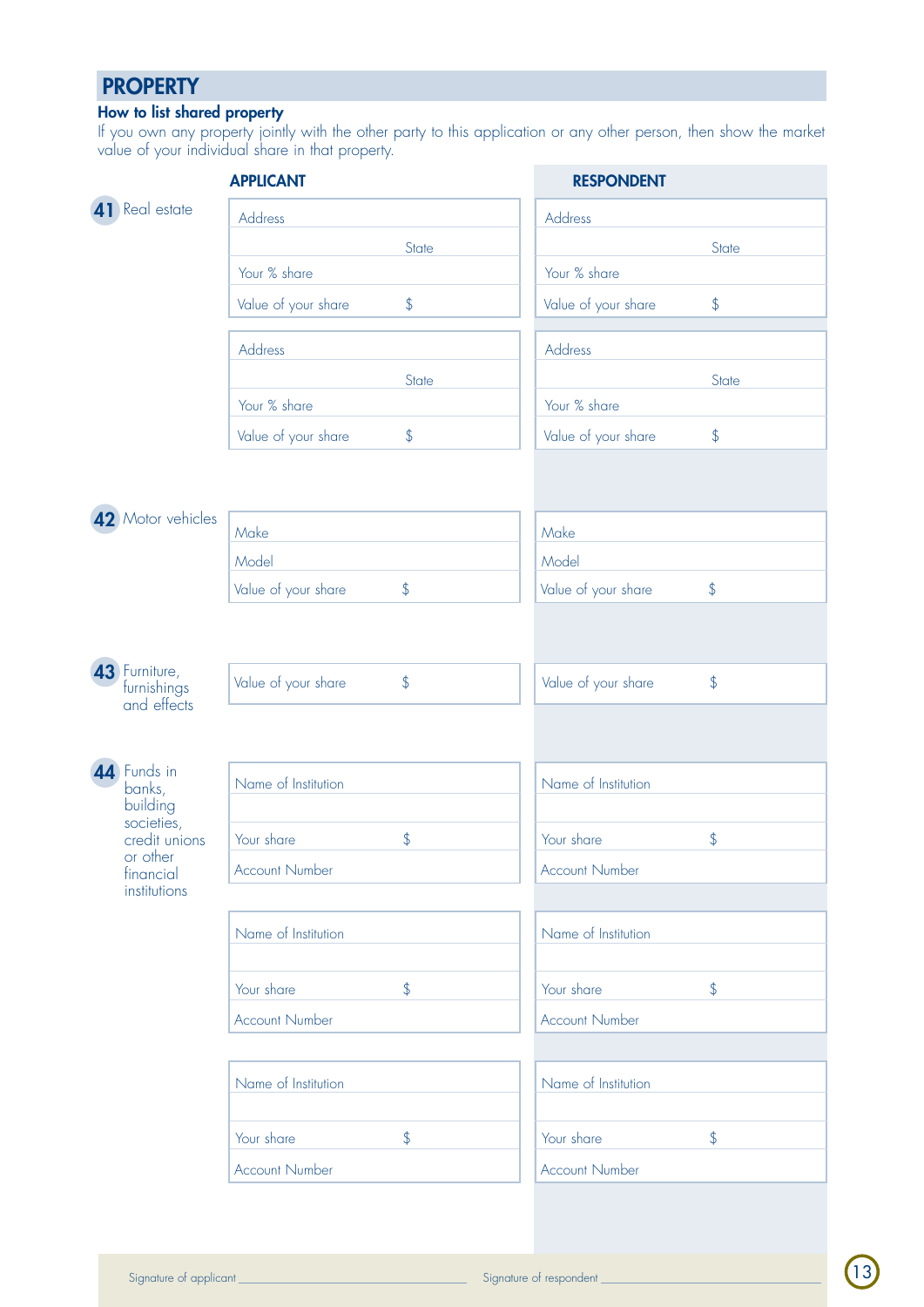## **PROPERTY**

#### How to list shared property

If you own any property jointly with the other party to this application or any other person, then show the market value of your individual share in that property.

|                                                    | <b>APPLICANT</b>                     | <b>RESPONDENT</b>                     |
|----------------------------------------------------|--------------------------------------|---------------------------------------|
| Real estate                                        | Address                              | Address                               |
|                                                    | State                                | State                                 |
|                                                    | Your % share                         | Your % share                          |
|                                                    | $\upphi$<br>Value of your share      | Value of your share<br>\$             |
|                                                    | Address                              | Address                               |
|                                                    | State                                | State                                 |
|                                                    | Your % share                         | Your % share                          |
|                                                    | $\frac{1}{2}$<br>Value of your share | Value of your share<br>\$             |
|                                                    |                                      |                                       |
|                                                    |                                      |                                       |
| 42 Motor vehicles                                  | Make                                 | Make                                  |
|                                                    | Model                                | Model                                 |
|                                                    | $\oint$<br>Value of your share       | Value of your share<br>\$             |
|                                                    |                                      |                                       |
|                                                    |                                      |                                       |
| <b>43</b> Furniture,<br>furnishings<br>and effects | Value of your share<br>$\upphi$      | $\updownarrow$<br>Value of your share |
|                                                    |                                      |                                       |
|                                                    |                                      |                                       |
| 44 Funds in<br>banks,                              | Name of Institution                  | Name of Institution                   |
| building                                           |                                      |                                       |
| societies,<br>credit unions                        | Your share<br>\$                     | $\frac{1}{2}$<br>Your share           |
| or other<br>financial                              | <b>Account Number</b>                | <b>Account Number</b>                 |
| institutions                                       |                                      |                                       |
|                                                    | Name of Institution                  | Name of Institution                   |
|                                                    |                                      |                                       |
|                                                    | $\upphi$<br>Your share               | \$<br>Your share                      |
|                                                    | <b>Account Number</b>                | <b>Account Number</b>                 |
|                                                    |                                      |                                       |
|                                                    | Name of Institution                  | Name of Institution                   |
|                                                    |                                      |                                       |
|                                                    | \$<br>Your share                     | \$<br>Your share                      |
|                                                    | <b>Account Number</b>                | <b>Account Number</b>                 |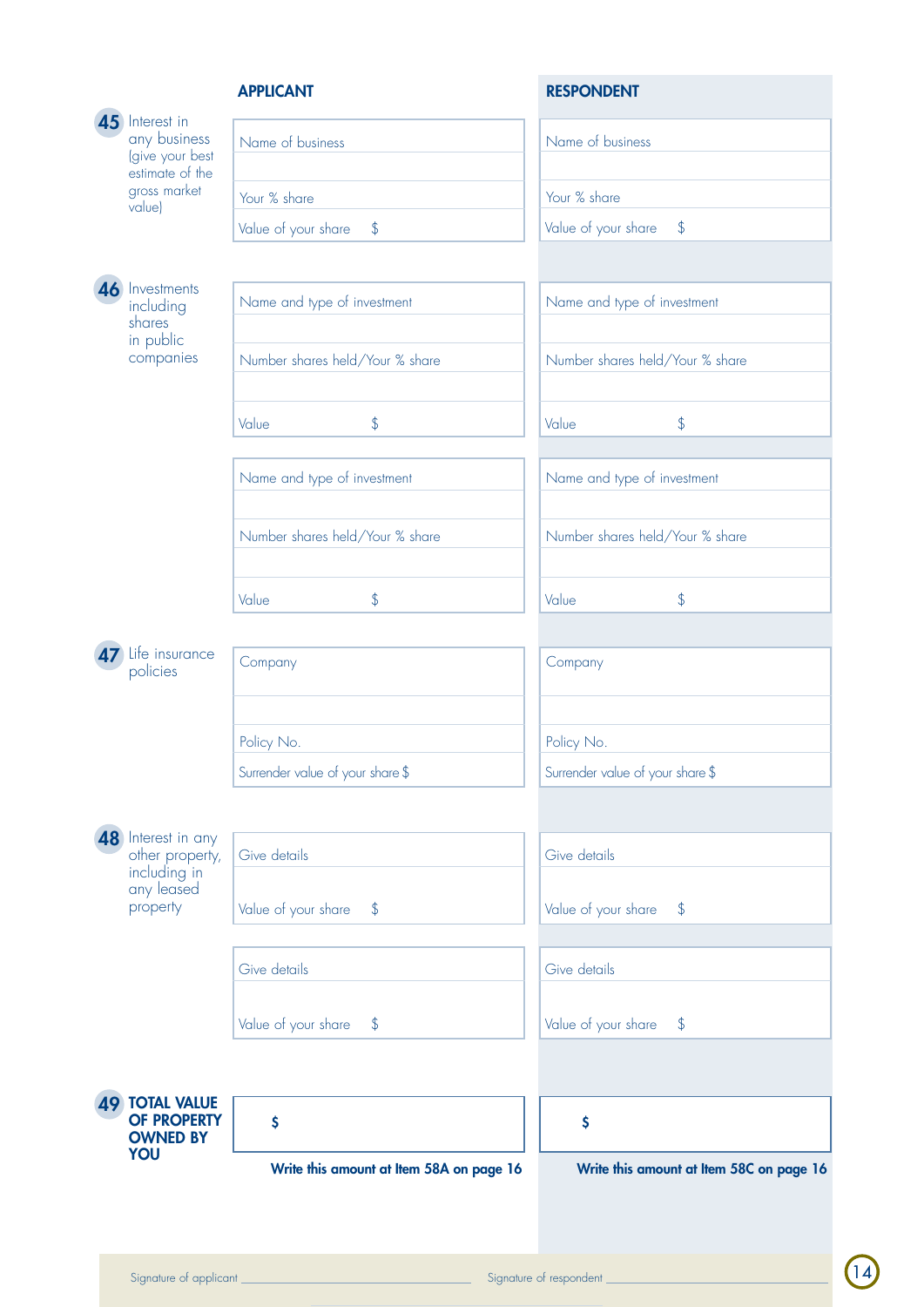### APPLICANT RESPONDENT

| YOU                                                                | Write this amount at Item 58A on page 16 | Write this amount at Item 58C on page 16 |
|--------------------------------------------------------------------|------------------------------------------|------------------------------------------|
| <b>49 TOTAL VALUE</b><br><b>OF PROPERTY</b><br><b>OWNED BY</b>     | \$                                       | \$                                       |
|                                                                    |                                          |                                          |
|                                                                    | Value of your share<br>$\frac{1}{2}$     | Value of your share<br>\$                |
|                                                                    | Give details                             | Give details                             |
| property                                                           | Value of your share<br>$\frac{1}{2}$     | Value of your share<br>\$                |
| 8 Interest in any<br>other property,<br>including in<br>any leased | Give details                             | Give details                             |
|                                                                    |                                          |                                          |
|                                                                    | Surrender value of your share \$         | Surrender value of your share \$         |
|                                                                    | Policy No.                               | Policy No.                               |
| Life insurance<br>policies                                         | Company                                  | Company                                  |
|                                                                    |                                          |                                          |
|                                                                    | \$<br>Value                              | $\frac{1}{2}$<br>Value                   |
|                                                                    | Number shares held/Your % share          | Number shares held/Your % share          |
|                                                                    | Name and type of investment              | Name and type of investment              |
|                                                                    |                                          |                                          |
|                                                                    | \$<br>Value                              | $\upphi$<br>Value                        |
| in public<br>companies                                             | Number shares held/Your % share          | Number shares held/Your % share          |
| 46 Investments<br>including<br>shares                              | Name and type of investment              | Name and type of investment              |
|                                                                    |                                          |                                          |
| value)                                                             | Value of your share<br>$\sqrt[4]{}$      | Value of your share<br>\$                |
| estimate of the<br>gross market                                    | Your % share                             | Your % share                             |
| 45 Interest in<br>any business<br>(give your best                  | Name of business                         | Name of business                         |
|                                                                    |                                          |                                          |

 $\frac{14}{2}$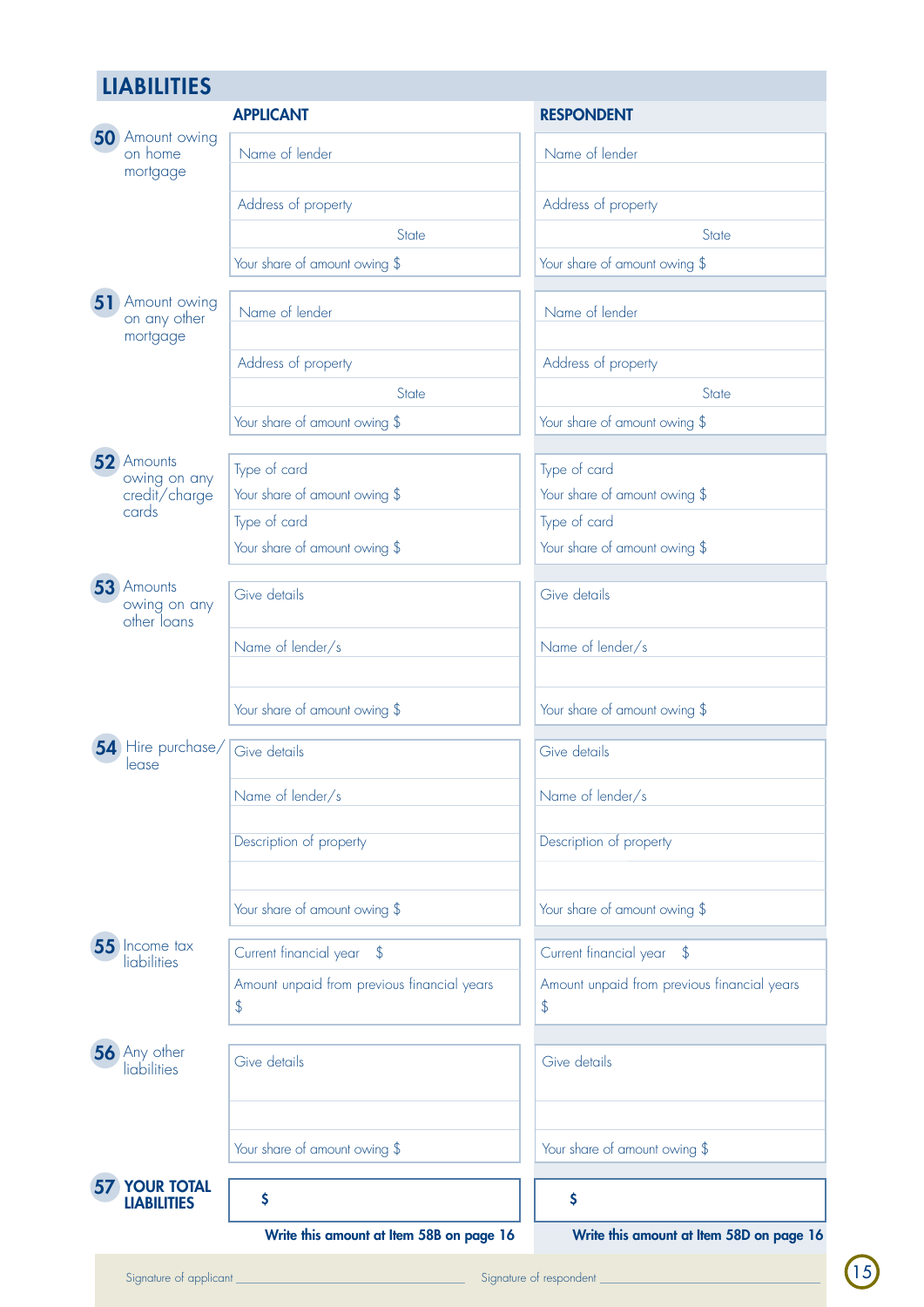## **LIABILITIES**

|                                             | <b>APPLICANT</b>                                  | <b>RESPONDENT</b>                                 |
|---------------------------------------------|---------------------------------------------------|---------------------------------------------------|
| 50 Amount owing<br>on home<br>mortgage      | Name of lender                                    | Name of lender                                    |
|                                             | Address of property                               | Address of property                               |
|                                             | State                                             | <b>State</b>                                      |
|                                             | Your share of amount owing \$                     | Your share of amount owing \$                     |
| 51 Amount owing<br>on any other<br>mortgage | Name of lender                                    | Name of lender                                    |
|                                             | Address of property                               | Address of property                               |
|                                             | State                                             | <b>State</b>                                      |
|                                             | Your share of amount owing \$                     | Your share of amount owing \$                     |
| 52 Amounts                                  | Type of card                                      | Type of card                                      |
| owing on any<br>credit/charge               | Your share of amount owing \$                     | Your share of amount owing \$                     |
| cards                                       | Type of card                                      | Type of card                                      |
|                                             | Your share of amount owing \$                     | Your share of amount owing \$                     |
| 53 Amounts                                  |                                                   |                                                   |
| owing on any<br>other loans                 | Give details                                      | Give details                                      |
|                                             | Name of lender/s                                  | Name of lender/s                                  |
|                                             | Your share of amount owing \$                     | Your share of amount owing \$                     |
| 54 Hire purchase/<br>lease                  | Give details                                      | Give details                                      |
|                                             | Name of lender/s                                  | Name of lender/s                                  |
|                                             | Description of property                           | Description of property                           |
|                                             | Your share of amount owing \$                     | Your share of amount owing \$                     |
| 55 Income tax<br>liabilities                | Current financial year<br>$\mathcal{L}$           | Current financial year<br>$\sqrt[6]{}$            |
|                                             | Amount unpaid from previous financial years<br>\$ | Amount unpaid from previous financial years<br>\$ |
| <b>56</b> Any other<br>liabilities          | Give details                                      | Give details                                      |
|                                             | Your share of amount owing \$                     | Your share of amount owing \$                     |
| <b>YOUR TOTAL</b><br><b>LIABILITIES</b>     | \$                                                | \$                                                |
|                                             | Write this amount at Item 58B on page 16          | Write this amount at Item 58D on page 16          |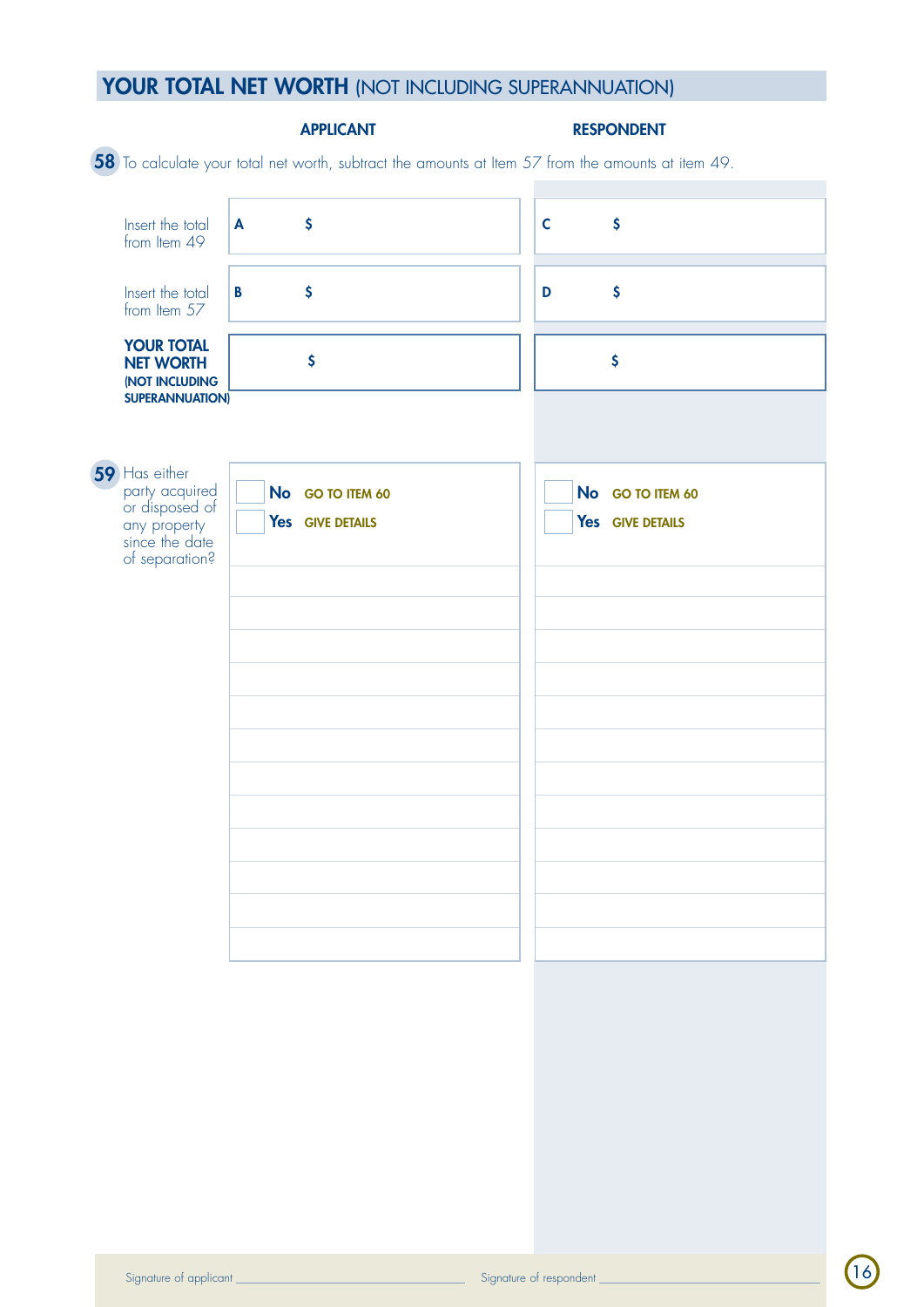## YOUR TOTAL NET WORTH (NOT INCLUDING SUPERANNUATION)

|                                                                                                       | <b>APPLICANT</b>                     | <b>RESPONDENT</b>                                                                                  |  |
|-------------------------------------------------------------------------------------------------------|--------------------------------------|----------------------------------------------------------------------------------------------------|--|
|                                                                                                       |                                      | 58 To calculate your total net worth, subtract the amounts at Item 57 from the amounts at item 49. |  |
| Insert the total<br>from Item 49                                                                      | $\boldsymbol{\zeta}$<br>A            | \$<br>$\mathsf{C}$                                                                                 |  |
| Insert the total<br>from Item 57                                                                      | \$<br>$\mathbf{B}$                   | \$<br>D                                                                                            |  |
| <b>YOUR TOTAL</b><br><b>NET WORTH</b><br>(NOT INCLUDING<br><b>SUPERANNUATION)</b>                     | \$                                   | \$                                                                                                 |  |
|                                                                                                       |                                      |                                                                                                    |  |
| 59 Has either<br>party acquired<br>or disposed of<br>any property<br>since the date<br>of separation? | No GO TO ITEM 60<br>Yes GIVE DETAILS | No GO TO ITEM 60<br>Yes GIVE DETAILS                                                               |  |
|                                                                                                       |                                      |                                                                                                    |  |
|                                                                                                       |                                      |                                                                                                    |  |
|                                                                                                       |                                      |                                                                                                    |  |
|                                                                                                       |                                      |                                                                                                    |  |
|                                                                                                       |                                      |                                                                                                    |  |
|                                                                                                       |                                      |                                                                                                    |  |
|                                                                                                       |                                      |                                                                                                    |  |
|                                                                                                       |                                      |                                                                                                    |  |
|                                                                                                       |                                      |                                                                                                    |  |

16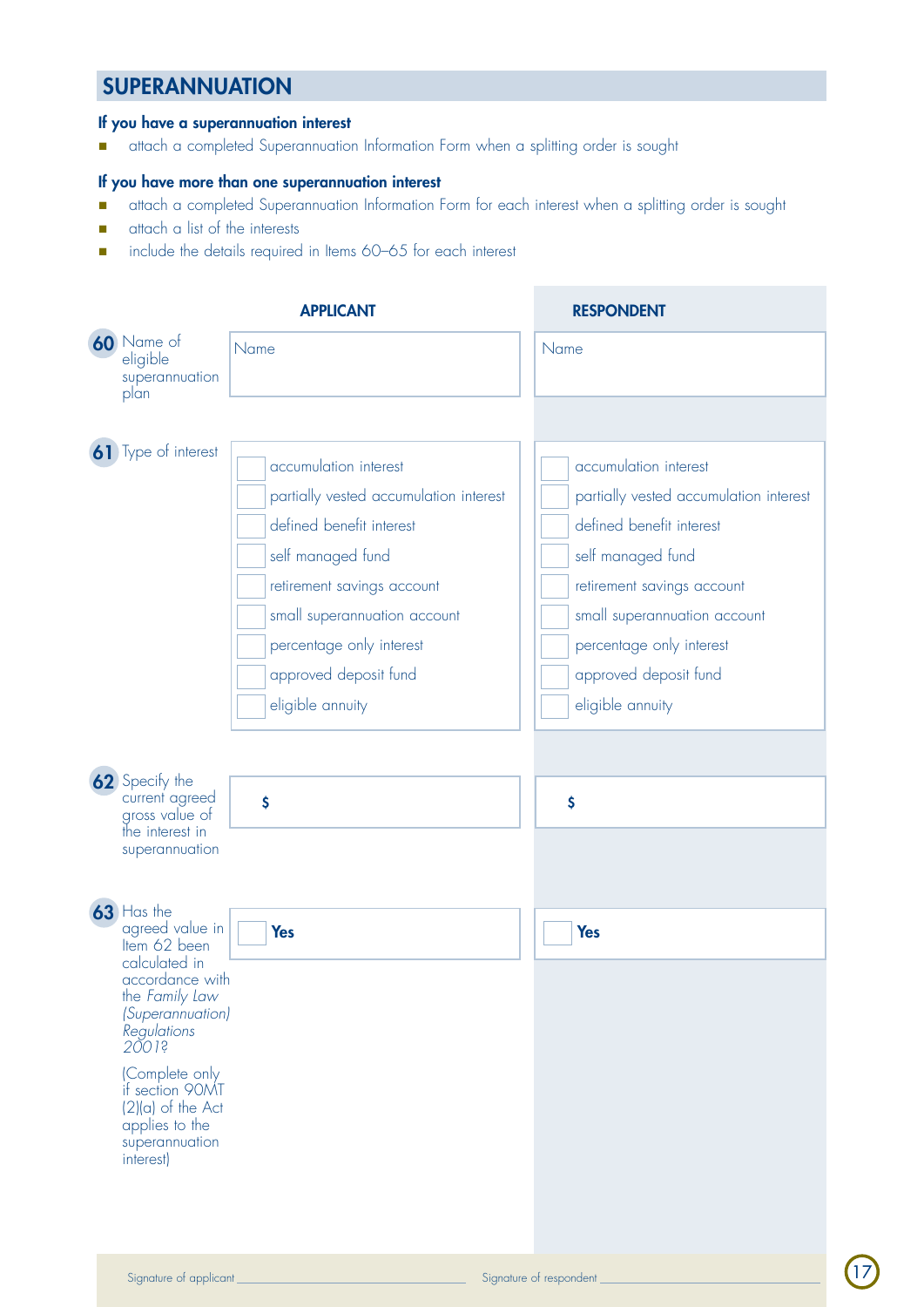## **SUPERANNUATION**

#### If you have a superannuation interest

n attach a completed Superannuation Information Form when a splitting order is sought

### If you have more than one superannuation interest

- n attach a completed Superannuation Information Form for each interest when a splitting order is sought
- **n** attach a list of the interests
- n include the details required in Items 60-65 for each interest

|                                                                                                                                                                                                                                                                                   | <b>APPLICANT</b>                                                                                                                                                                                                                                        | <b>RESPONDENT</b>                                                                                                                                                                                                                                       |
|-----------------------------------------------------------------------------------------------------------------------------------------------------------------------------------------------------------------------------------------------------------------------------------|---------------------------------------------------------------------------------------------------------------------------------------------------------------------------------------------------------------------------------------------------------|---------------------------------------------------------------------------------------------------------------------------------------------------------------------------------------------------------------------------------------------------------|
| 60 Name of<br>eligible<br>superannuation<br>plan                                                                                                                                                                                                                                  | Name                                                                                                                                                                                                                                                    | Name                                                                                                                                                                                                                                                    |
| 61 Type of interest<br>62 Specify the                                                                                                                                                                                                                                             | accumulation interest<br>partially vested accumulation interest<br>defined benefit interest<br>self managed fund<br>retirement savings account<br>small superannuation account<br>percentage only interest<br>approved deposit fund<br>eligible annuity | accumulation interest<br>partially vested accumulation interest<br>defined benefit interest<br>self managed fund<br>retirement savings account<br>small superannuation account<br>percentage only interest<br>approved deposit fund<br>eligible annuity |
| current agreed<br>gross value of<br>the interest in<br>superannuation                                                                                                                                                                                                             | \$                                                                                                                                                                                                                                                      | \$                                                                                                                                                                                                                                                      |
| 63 Has the<br>agreed value in<br>Item 62 been<br>calculated in<br>accordance with<br>the Family Law<br><i>(Superannuation)</i><br>Regulations<br>$2001$ <sup>s</sup><br>(Complete only<br>if section 90MT<br>$(2)(a)$ of the Act<br>applies to the<br>superannuation<br>interest) | <b>Yes</b>                                                                                                                                                                                                                                              | <b>Yes</b>                                                                                                                                                                                                                                              |

17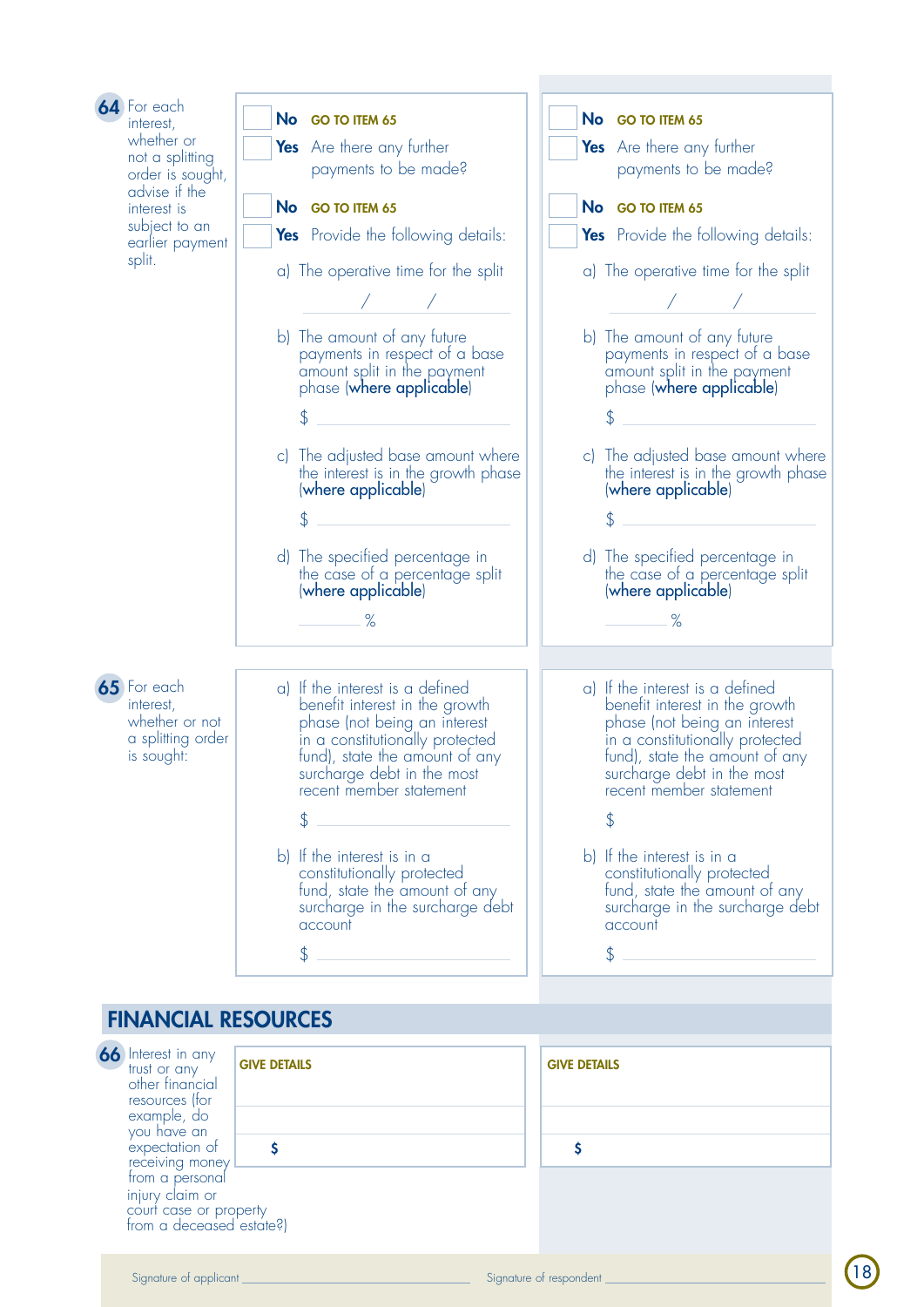| 64 For each<br>interest,<br>whether or<br>not a splitting<br>order is sought,<br>advise if the<br>interest is<br>subject to an<br>earlier payment<br>split. | No GO TO ITEM 65<br>Yes Are there any further<br>payments to be made?<br>No GO TO ITEM 65<br>Yes Provide the following details:<br>a) The operative time for the split<br>b) The amount of any future<br>payments in respect of a base<br>amount split in the payment<br>phase (where applicable)<br>\$<br>c) The adjusted base amount where<br>the interest is in the growth phase<br>(where applicable)<br>\$<br>d) The specified percentage in | No GO TO ITEM 65<br>Yes Are there any further<br>payments to be made?<br>No GO TO ITEM 65<br><b>Yes</b> Provide the following details:<br>a) The operative time for the split<br>b) The amount of any future<br>payments in respect of a base<br>amount split in the payment<br>phase (where applicable)<br>S<br>c) The adjusted base amount where<br>the interest is in the growth phase<br>(where applicable)<br>\$<br>d) The specified percentage in |
|-------------------------------------------------------------------------------------------------------------------------------------------------------------|---------------------------------------------------------------------------------------------------------------------------------------------------------------------------------------------------------------------------------------------------------------------------------------------------------------------------------------------------------------------------------------------------------------------------------------------------|---------------------------------------------------------------------------------------------------------------------------------------------------------------------------------------------------------------------------------------------------------------------------------------------------------------------------------------------------------------------------------------------------------------------------------------------------------|
| 65 For each<br>interest,<br>whether or not<br>a splitting order<br>is sought:                                                                               | $\%$<br>a) If the interest is a defined<br>benefit interest in the growth<br>phase (not being an interest<br>in a constitutionally protected<br>fund), state the amount of any<br>surcharge debt in the most<br>recent member statement<br>\$<br>b) If the interest is in a<br>constitutionally protected<br>fund, state the amount of any<br>surcharge in the surcharge debt<br>account<br>\$                                                    | $\%$<br>a) If the interest is a defined<br>benefit interest in the growth<br>phase (not being an interest<br>in a constitutionally protected<br>fund), state the amount of any<br>surcharge debt in the most<br>recent member statement<br>\$<br>b) If the interest is in a<br>constitutionally protected<br>fund, state the amount of any<br>surcharge in the surcharge debt<br>account<br>\$                                                          |

## **FINANCIAL R**

**66** Interest in any trust or any other financial resources (for example, do you have an expectation of receiving money from a personal injury claim or court case or property from a deceased estate?)

|   | <b>RESOURCES</b>    |                     |
|---|---------------------|---------------------|
|   | <b>GIVE DETAILS</b> | <b>GIVE DETAILS</b> |
|   |                     |                     |
| V |                     |                     |
|   |                     |                     |
|   | roperty             |                     |

| <b>GIVE DETAILS</b> |  |
|---------------------|--|
|                     |  |
| Ś                   |  |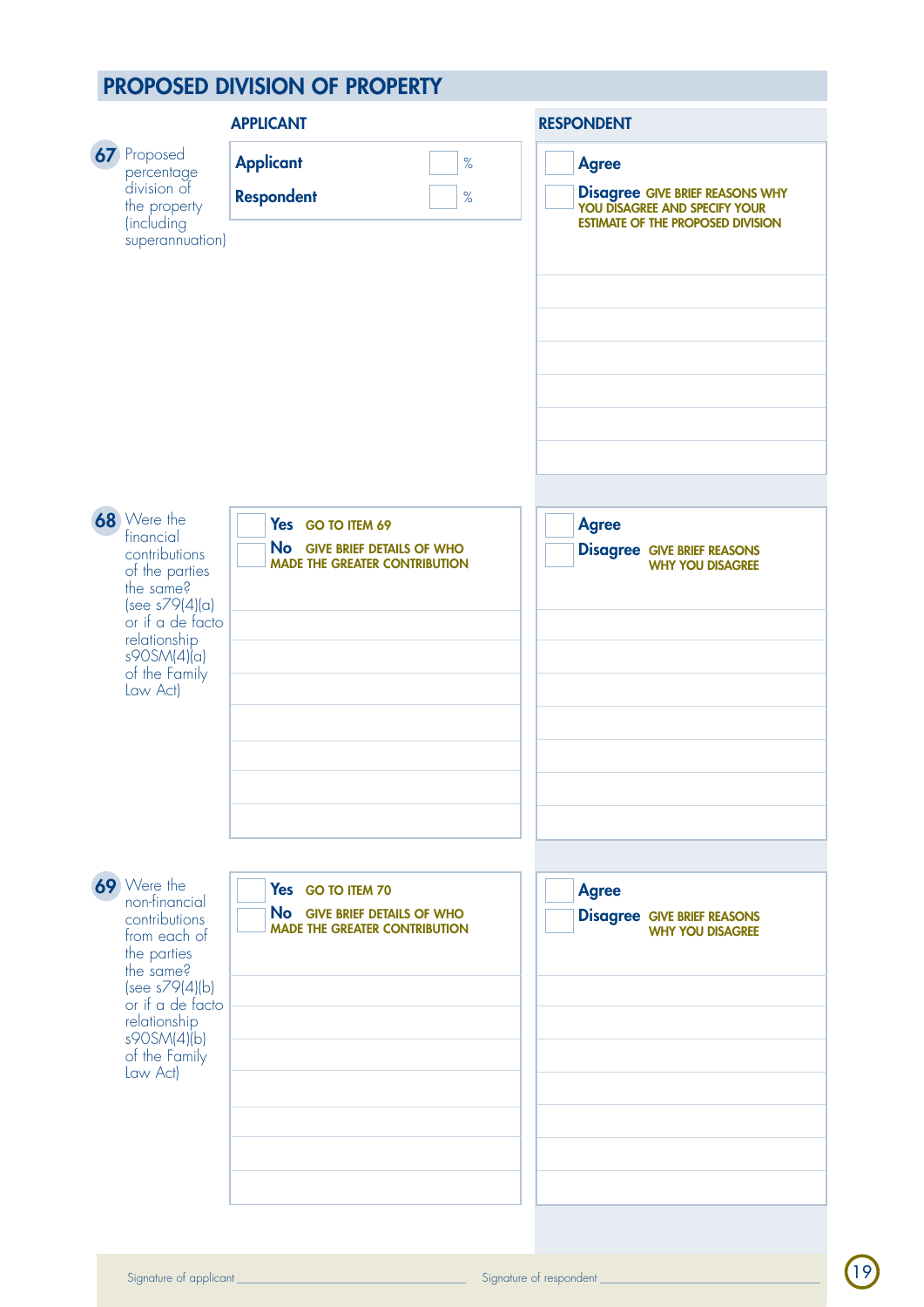## proposed division of property

|                                                                                                                                                                                             | <b>APPLICANT</b>                                                                          | <b>RESPONDENT</b>                                                                                                                |
|---------------------------------------------------------------------------------------------------------------------------------------------------------------------------------------------|-------------------------------------------------------------------------------------------|----------------------------------------------------------------------------------------------------------------------------------|
| 67 Proposed<br>percentage<br>division of<br>the property<br>(including<br>superannuation)                                                                                                   | <b>Applicant</b><br>$\%$<br><b>Respondent</b><br>$\%$                                     | <b>Agree</b><br><b>Disagree GIVE BRIEF REASONS WHY YOU DISAGREE AND SPECIFY YOUR</b><br><b>ESTIMATE OF THE PROPOSED DIVISION</b> |
| 68 Were the<br>financial<br>contributions<br>of the parties<br>the same?<br>(see s79(4)(a)<br>or if a de facto<br>relationship<br>s90SM(4)(a)<br>of the Family<br>Law Act)                  | Yes GO TO ITEM 69<br>No GIVE BRIEF DETAILS OF WHO<br><b>MADE THE GREATER CONTRIBUTION</b> | <b>Agree</b><br><b>Disagree GIVE BRIEF REASONS</b><br><b>WHY YOU DISAGREE</b>                                                    |
| 69 Were the<br>non-financial<br>contributions<br>from each of<br>the parties<br>the same?<br>(see s79(4)(b)<br>or if a de facto<br>relationship<br>s90SM(4)(b)<br>of the Family<br>Law Act) | Yes GO TO ITEM 70<br>No GIVE BRIEF DETAILS OF WHO<br><b>MADE THE GREATER CONTRIBUTION</b> | <b>Agree</b><br><b>Disagree GIVE BRIEF REASONS</b><br>WHY YOU DISAGREE                                                           |

19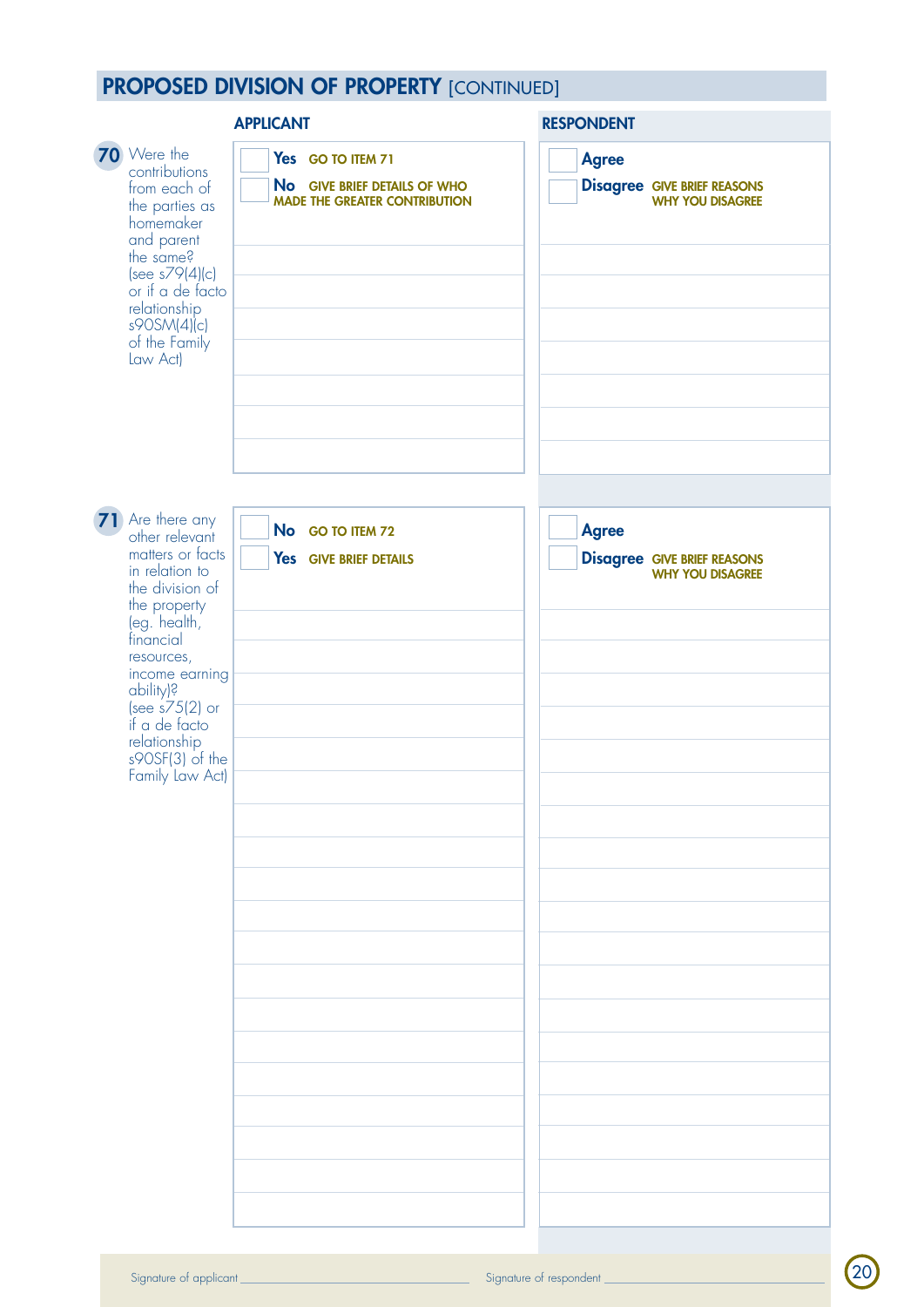## **PROPOSED DIVISION OF PROPERTY [CONTINUED]**

|                                                                                                                                                                                                                                                                                | <b>APPLICANT</b>                                                                          | <b>RESPONDENT</b>                                                             |  |  |  |
|--------------------------------------------------------------------------------------------------------------------------------------------------------------------------------------------------------------------------------------------------------------------------------|-------------------------------------------------------------------------------------------|-------------------------------------------------------------------------------|--|--|--|
| 70 Were the<br>contributions<br>from each of<br>the parties as<br>homemaker<br>and parent<br>the same?<br>$(see s79 4) c)$<br>or if a de facto<br>relationship<br>s90SM(4)(c)<br>of the Family<br>Law Act)                                                                     | Yes GO TO ITEM 71<br>No GIVE BRIEF DETAILS OF WHO<br><b>MADE THE GREATER CONTRIBUTION</b> | <b>Agree</b><br><b>Disagree GIVE BRIEF REASONS</b><br><b>WHY YOU DISAGREE</b> |  |  |  |
|                                                                                                                                                                                                                                                                                |                                                                                           |                                                                               |  |  |  |
| 71 Are there any<br>other relevant<br>matters or facts<br>in relation to<br>the division of<br>the property<br>(eg. health,<br>financial<br>resources,<br>income earning<br>ability)?<br>(see s75(2) or<br>if a de facto<br>relationship<br>s90SF(3) of the<br>Family Law Act) | No GO TO ITEM 72<br>Yes GIVE BRIEF DETAILS                                                | <b>Agree</b><br><b>Disagree GIVE BRIEF REASONS</b><br><b>WHY YOU DISAGREE</b> |  |  |  |
|                                                                                                                                                                                                                                                                                |                                                                                           |                                                                               |  |  |  |

20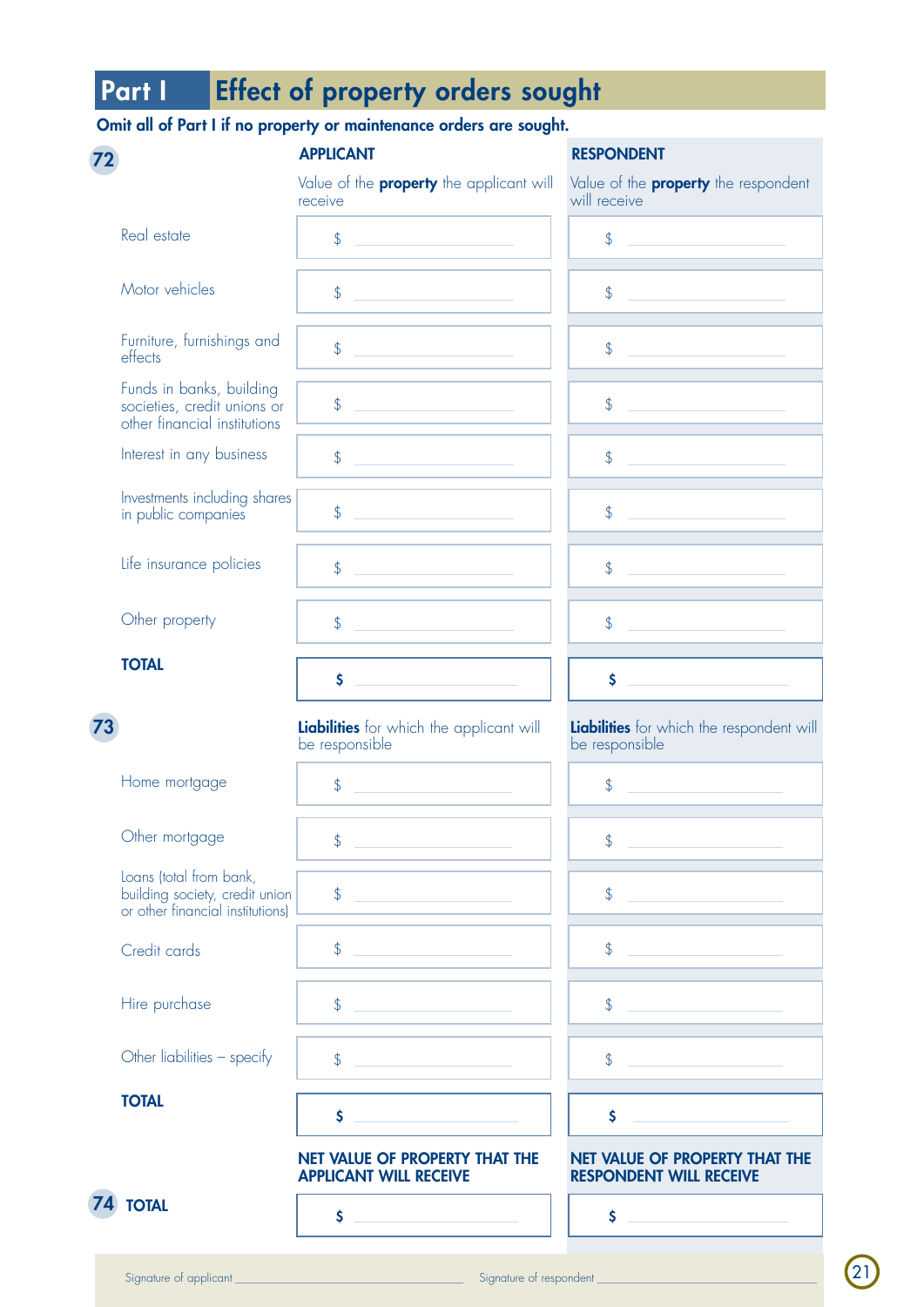# Part I Effect of property orders sought

## Omit all of Part I if no property or maintenance orders are sought.

|    |                                                                                               | <b>APPLICANT</b>                                                                                                                                                                              | <b>RESPONDENT</b>                                                  |
|----|-----------------------------------------------------------------------------------------------|-----------------------------------------------------------------------------------------------------------------------------------------------------------------------------------------------|--------------------------------------------------------------------|
|    |                                                                                               | Value of the <b>property</b> the applicant will<br>receive                                                                                                                                    | Value of the <b>property</b> the respondent<br>will receive        |
|    | Real estate                                                                                   | $\frac{1}{2}$                                                                                                                                                                                 | $\sqrt[6]{}$                                                       |
|    | Motor vehicles                                                                                | $\frac{1}{2}$                                                                                                                                                                                 | \$                                                                 |
|    | Furniture, furnishings and<br>effects                                                         | \$                                                                                                                                                                                            | \$                                                                 |
|    | Funds in banks, building<br>societies, credit unions or<br>other financial institutions       | \$                                                                                                                                                                                            | \$                                                                 |
|    | Interest in any business                                                                      | $\frac{1}{2}$                                                                                                                                                                                 | \$                                                                 |
|    | Investments including shares<br>in public companies                                           | $\frac{1}{2}$                                                                                                                                                                                 | \$                                                                 |
|    | Life insurance policies                                                                       | $\frac{1}{2}$                                                                                                                                                                                 | \$                                                                 |
|    | Other property                                                                                | $\frac{1}{2}$                                                                                                                                                                                 | $\frac{1}{2}$                                                      |
|    | <b>TOTAL</b>                                                                                  | \$                                                                                                                                                                                            | \$                                                                 |
| 73 |                                                                                               | Liabilities for which the applicant will<br>be responsible                                                                                                                                    | <b>Liabilities</b> for which the respondent will<br>be responsible |
|    | Home mortgage                                                                                 | $\frac{1}{2}$<br>$\mathcal{L}^{\mathcal{L}}(\mathcal{L}^{\mathcal{L}})$ and $\mathcal{L}^{\mathcal{L}}(\mathcal{L}^{\mathcal{L}})$ and $\mathcal{L}^{\mathcal{L}}(\mathcal{L}^{\mathcal{L}})$ | \$                                                                 |
|    | Other mortgage                                                                                | $\frac{1}{2}$                                                                                                                                                                                 | $\sqrt$                                                            |
|    | Loans (total from bank,<br>building society, credit union<br>or other financial institutions) | $\frac{1}{2}$                                                                                                                                                                                 | $\frac{1}{2}$                                                      |
|    | Credit cards                                                                                  | $\frac{1}{2}$                                                                                                                                                                                 | \$                                                                 |
|    | Hire purchase                                                                                 | $\frac{1}{2}$                                                                                                                                                                                 | \$                                                                 |
|    | Other liabilities - specify                                                                   | $\frac{1}{2}$                                                                                                                                                                                 | \$                                                                 |
|    | <b>TOTAL</b>                                                                                  | $\mathsf{\hat{S}}$                                                                                                                                                                            | \$                                                                 |
|    |                                                                                               | NET VALUE OF PROPERTY THAT THE<br><b>APPLICANT WILL RECEIVE</b>                                                                                                                               | NET VALUE OF PROPERTY THAT THE<br><b>RESPONDENT WILL RECEIVE</b>   |
|    | <b>74 TOTAL</b>                                                                               | \$                                                                                                                                                                                            | \$                                                                 |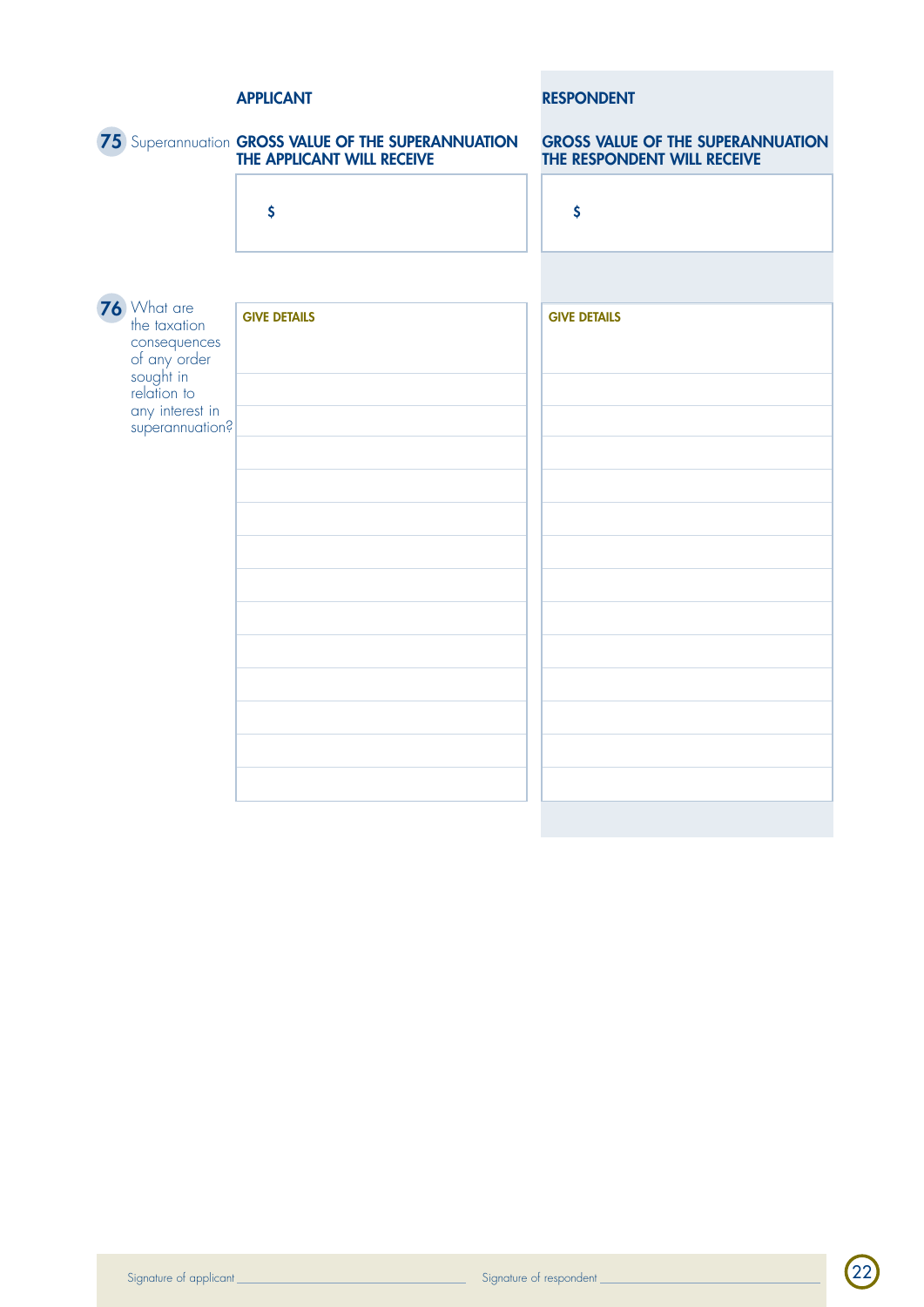|                                                                                         | <b>APPLICANT</b>                                                                  | <b>RESPONDENT</b>                                                       |
|-----------------------------------------------------------------------------------------|-----------------------------------------------------------------------------------|-------------------------------------------------------------------------|
|                                                                                         | 75 Superannuation GROSS VALUE OF THE SUPERANNUATION<br>THE APPLICANT WILL RECEIVE | <b>GROSS VALUE OF THE SUPERANNUATION</b><br>THE RESPONDENT WILL RECEIVE |
|                                                                                         | $\boldsymbol{\zeta}$                                                              | $\boldsymbol{\zeta}$                                                    |
|                                                                                         |                                                                                   |                                                                         |
| 76 What are<br>the taxation<br>consequences<br>of any order<br>sought in<br>relation to | <b>GIVE DETAILS</b>                                                               | <b>GIVE DETAILS</b>                                                     |
| any interest in<br>superannuation?                                                      |                                                                                   |                                                                         |
|                                                                                         |                                                                                   |                                                                         |
|                                                                                         |                                                                                   |                                                                         |
|                                                                                         |                                                                                   |                                                                         |
|                                                                                         |                                                                                   |                                                                         |
|                                                                                         |                                                                                   |                                                                         |
|                                                                                         |                                                                                   |                                                                         |
|                                                                                         |                                                                                   |                                                                         |

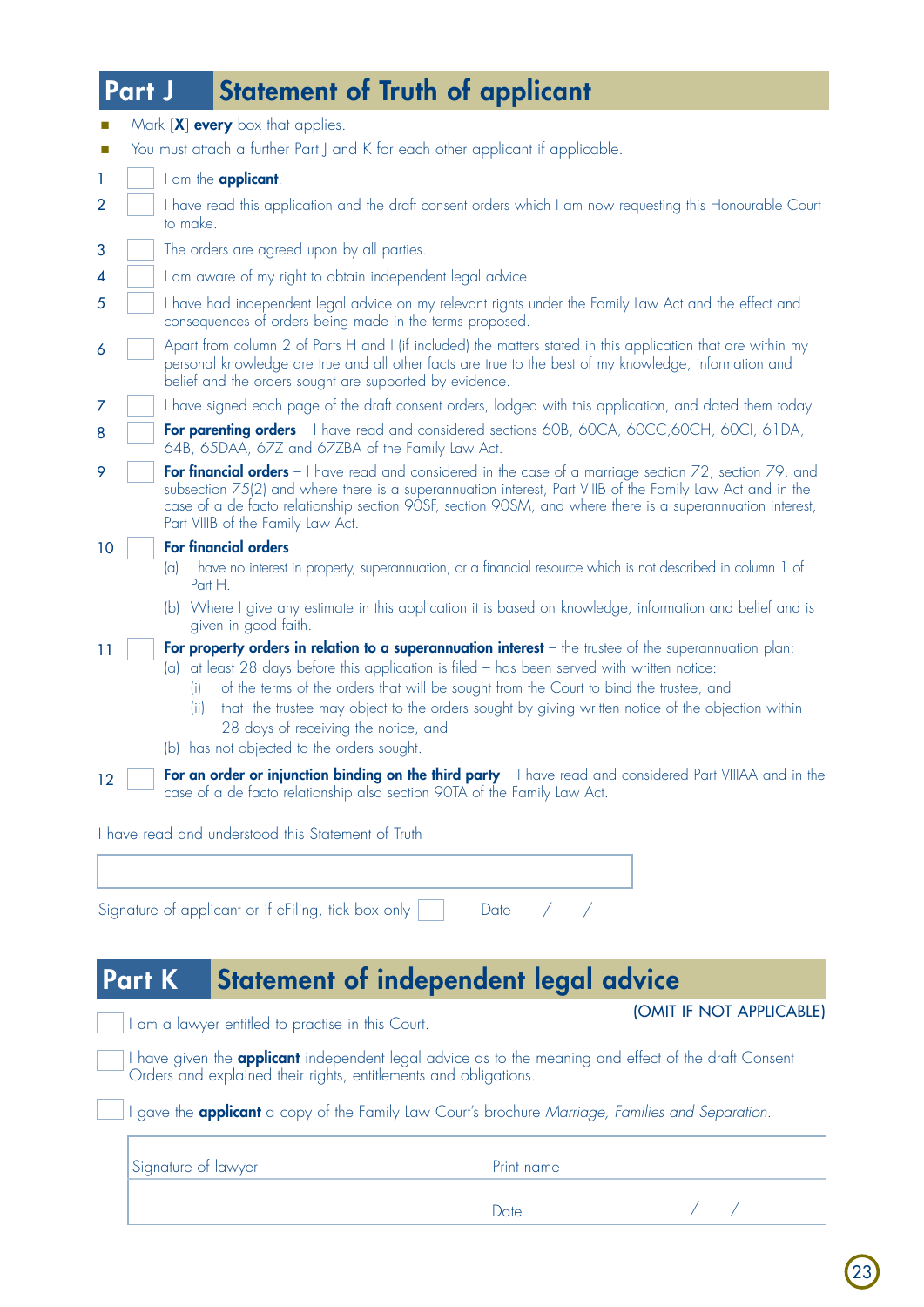## Part J Statement of Truth of applicant

|                | Mark [X] every box that applies.                                                                                                                                                                                                                                                                                                                                                                                                                               |
|----------------|----------------------------------------------------------------------------------------------------------------------------------------------------------------------------------------------------------------------------------------------------------------------------------------------------------------------------------------------------------------------------------------------------------------------------------------------------------------|
|                | You must attach a further Part J and K for each other applicant if applicable.                                                                                                                                                                                                                                                                                                                                                                                 |
| 1              | I am the <b>applicant</b> .                                                                                                                                                                                                                                                                                                                                                                                                                                    |
| $\overline{2}$ | I have read this application and the draft consent orders which I am now requesting this Honourable Court<br>to make.                                                                                                                                                                                                                                                                                                                                          |
| 3              | The orders are agreed upon by all parties.                                                                                                                                                                                                                                                                                                                                                                                                                     |
| 4              | I am aware of my right to obtain independent legal advice.                                                                                                                                                                                                                                                                                                                                                                                                     |
| 5              | I have had independent legal advice on my relevant rights under the Family Law Act and the effect and<br>consequences of orders being made in the terms proposed.                                                                                                                                                                                                                                                                                              |
| 6              | Apart from column 2 of Parts H and I (if included) the matters stated in this application that are within my<br>personal knowledge are true and all other facts are true to the best of my knowledge, information and<br>belief and the orders sought are supported by evidence.                                                                                                                                                                               |
| 7              | I have signed each page of the draft consent orders, lodged with this application, and dated them today.                                                                                                                                                                                                                                                                                                                                                       |
| 8              | For parenting orders - I have read and considered sections 60B, 60CA, 60CC,60CH, 60CI, 61DA,<br>64B, 65DAA, 67Z and 67ZBA of the Family Law Act.                                                                                                                                                                                                                                                                                                               |
| 9              | For financial orders - I have read and considered in the case of a marriage section 72, section 79, and<br>subsection 75(2) and where there is a superannuation interest, Part VIIIB of the Family Law Act and in the<br>case of a de facto relationship section 90SF, section 90SM, and where there is a superannuation interest,<br>Part VIIIB of the Family Law Act.                                                                                        |
| 10             | <b>For financial orders</b>                                                                                                                                                                                                                                                                                                                                                                                                                                    |
|                | (a) I have no interest in property, superannuation, or a financial resource which is not described in column 1 of<br>Part H.                                                                                                                                                                                                                                                                                                                                   |
|                | (b) Where I give any estimate in this application it is based on knowledge, information and belief and is<br>given in good faith.                                                                                                                                                                                                                                                                                                                              |
| 11             | For property orders in relation to a superannuation interest $-$ the trustee of the superannuation plan:<br>(a) at least 28 days before this application is filed - has been served with written notice:<br>of the terms of the orders that will be sought from the Court to bind the trustee, and<br>(i)<br>that the trustee may object to the orders sought by giving written notice of the objection within<br>(ii)<br>28 days of receiving the notice, and |
|                | (b) has not objected to the orders sought.                                                                                                                                                                                                                                                                                                                                                                                                                     |
| 12             | For an order or injunction binding on the third party - I have read and considered Part VIIIAA and in the<br>case of a de facto relationship also section 90TA of the Family Law Act.                                                                                                                                                                                                                                                                          |
|                | I have read and understood this Statement of Truth                                                                                                                                                                                                                                                                                                                                                                                                             |
|                |                                                                                                                                                                                                                                                                                                                                                                                                                                                                |

Signature of applicant or if eFiling, tick box only  $\vert \quad \vert$  Date / /

## Part K Statement of independent legal advice

I am a lawyer entitled to practise in this Court. **If I APPLICABLE** (OMIT IF NOT APPLICABLE)

r

I have given the **applicant** independent legal advice as to the meaning and effect of the draft Consent Orders and explained their rights, entitlements and obligations.

**Date** 

I gave the applicant a copy of the Family Law Court's brochure *Marriage, Families and Separation.*

| Signature of lawyer | Print name  |  |
|---------------------|-------------|--|
|                     | <b>Date</b> |  |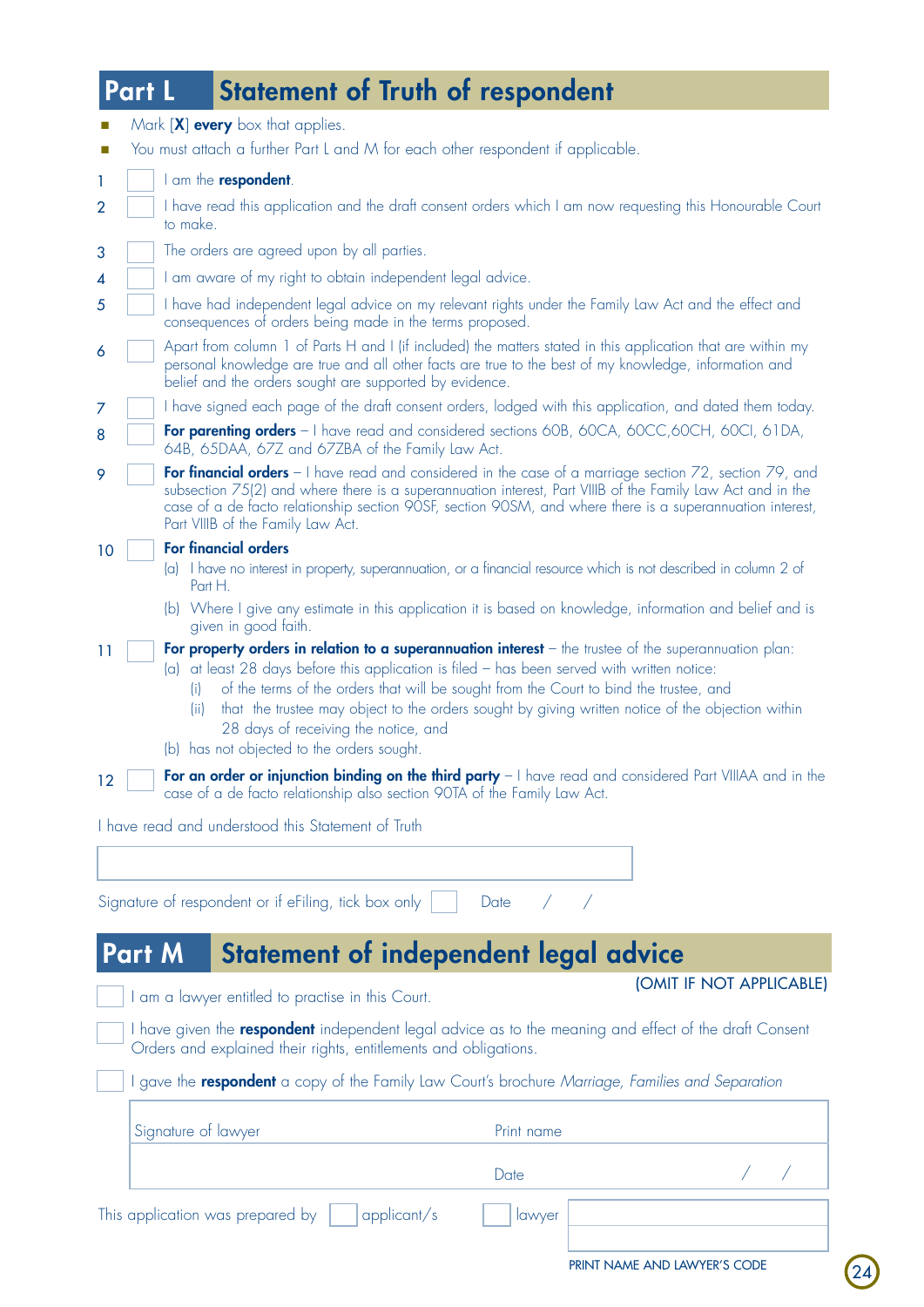## Part L Statement of Truth of respondent

| $\Box$                      | Mark [X] every box that applies.<br>You must attach a further Part L and M for each other respondent if applicable.                                                                                                                                                                                                                                                                                                                                                                                        |
|-----------------------------|------------------------------------------------------------------------------------------------------------------------------------------------------------------------------------------------------------------------------------------------------------------------------------------------------------------------------------------------------------------------------------------------------------------------------------------------------------------------------------------------------------|
| $\mathcal{L}_{\mathcal{A}}$ |                                                                                                                                                                                                                                                                                                                                                                                                                                                                                                            |
| 1                           | I am the <b>respondent</b> .                                                                                                                                                                                                                                                                                                                                                                                                                                                                               |
| 2                           | I have read this application and the draft consent orders which I am now requesting this Honourable Court<br>to make.                                                                                                                                                                                                                                                                                                                                                                                      |
| 3                           | The orders are agreed upon by all parties.                                                                                                                                                                                                                                                                                                                                                                                                                                                                 |
| 4                           | I am aware of my right to obtain independent legal advice.                                                                                                                                                                                                                                                                                                                                                                                                                                                 |
| 5                           | I have had independent legal advice on my relevant rights under the Family Law Act and the effect and<br>consequences of orders being made in the terms proposed.                                                                                                                                                                                                                                                                                                                                          |
| 6                           | Apart from column 1 of Parts H and I (if included) the matters stated in this application that are within my<br>personal knowledge are true and all other facts are true to the best of my knowledge, information and<br>belief and the orders sought are supported by evidence.                                                                                                                                                                                                                           |
| 7                           | I have signed each page of the draft consent orders, lodged with this application, and dated them today.                                                                                                                                                                                                                                                                                                                                                                                                   |
| 8                           | For parenting orders - I have read and considered sections 60B, 60CA, 60CC,60CH, 60CI, 61DA,<br>64B, 65DAA, 67Z and 67ZBA of the Family Law Act.                                                                                                                                                                                                                                                                                                                                                           |
| 9                           | For financial orders - I have read and considered in the case of a marriage section 72, section 79, and<br>subsection 75(2) and where there is a superannuation interest, Part VIIIB of the Family Law Act and in the<br>case of a de facto relationship section 90SF, section 90SM, and where there is a superannuation interest,<br>Part VIIIB of the Family Law Act.                                                                                                                                    |
| 10                          | <b>For financial orders</b>                                                                                                                                                                                                                                                                                                                                                                                                                                                                                |
|                             | (a) I have no interest in property, superannuation, or a financial resource which is not described in column 2 of<br>Part H.                                                                                                                                                                                                                                                                                                                                                                               |
|                             | (b) Where I give any estimate in this application it is based on knowledge, information and belief and is<br>given in good faith.                                                                                                                                                                                                                                                                                                                                                                          |
| 11                          | For property orders in relation to a superannuation interest - the trustee of the superannuation plan:<br>(a) at least 28 days before this application is filed - has been served with written notice:<br>of the terms of the orders that will be sought from the Court to bind the trustee, and<br>(i)<br>that the trustee may object to the orders sought by giving written notice of the objection within<br>(ii)<br>28 days of receiving the notice, and<br>(b) has not objected to the orders sought. |
| 12                          | For an order or injunction binding on the third party - I have read and considered Part VIIIAA and in the<br>case of a de facto relationship also section 90TA of the Family Law Act.                                                                                                                                                                                                                                                                                                                      |
|                             | I have read and understood this Statement of Truth                                                                                                                                                                                                                                                                                                                                                                                                                                                         |
|                             |                                                                                                                                                                                                                                                                                                                                                                                                                                                                                                            |

## Part M Statement of independent legal advice

Signature of respondent or if eFiling, tick box only | | Date / /

I am a lawyer entitled to practise in this Court. **If NOT APPLICABLE** 

r

24

I have given the **respondent** independent legal advice as to the meaning and effect of the draft Consent Orders and explained their rights, entitlements and obligations.

**Date** 

I gave the respondent a copy of the Family Law Court's brochure *Marriage, Families and Separation*

| Signature of lawyer                                          | Print name |  |  |  |
|--------------------------------------------------------------|------------|--|--|--|
|                                                              | Date       |  |  |  |
| This application was prepared by $\; \mid \;$<br>appliednt/s | lawyer     |  |  |  |
|                                                              |            |  |  |  |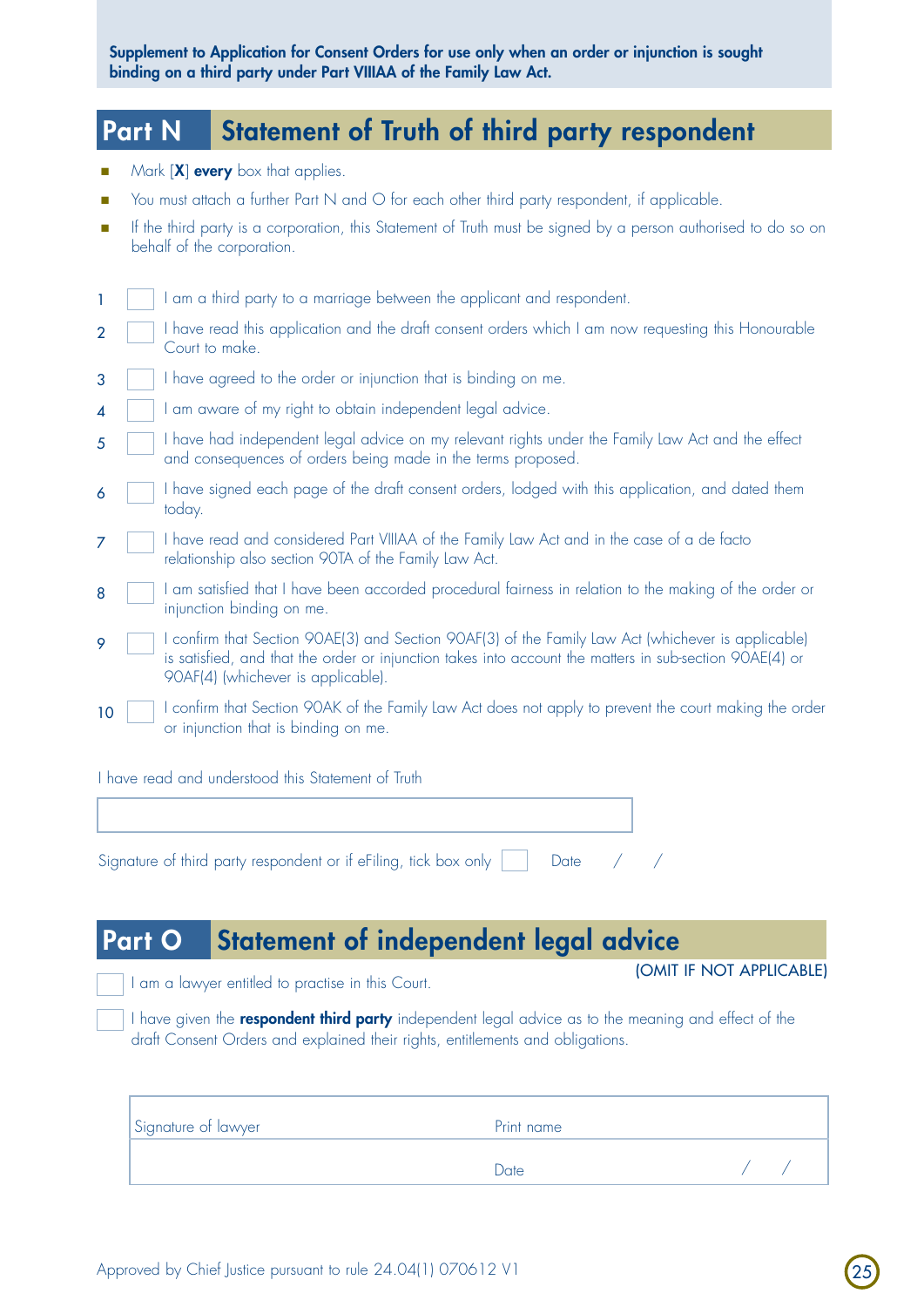Supplement to Application for Consent Orders for use only when an order or injunction is sought binding on a third party under Part VIIIAA of the Family Law Act.

## Part N Statement of Truth of third party respondent

Mark  $[X]$  every box that applies.

Court to make.

- You must attach a further Part N and O for each other third party respondent, if applicable.
- n If the third party is a corporation, this Statement of Truth must be signed by a person authorised to do so on behalf of the corporation.

I am a third party to a marriage between the applicant and respondent. I have read this application and the draft consent orders which I am now requesting this Honourable 1 2

- I have agreed to the order or injunction that is binding on me. 3
- I am aware of my right to obtain independent legal advice. 4
- I have had independent legal advice on my relevant rights under the Family Law Act and the effect and consequences of orders being made in the terms proposed. 5
- I have signed each page of the draft consent orders, lodged with this application, and dated them today. 6
- I have read and considered Part VIIIAA of the Family Law Act and in the case of a de facto relationship also section 90TA of the Family Law Act. 7
- I am satisfied that I have been accorded procedural fairness in relation to the making of the order or injunction binding on me. 8
- I confirm that Section 90AE(3) and Section 90AF(3) of the Family Law Act (whichever is applicable) is satisfied, and that the order or injunction takes into account the matters in sub-section 90AE(4) or 90AF(4) (whichever is applicable). 9
- I confirm that Section 90AK of the Family Law Act does not apply to prevent the court making the order or injunction that is binding on me. 10

I have read and understood this Statement of Truth

| Signature of third party respondent or if eFiling, tick box only $\Box$ Date / / |  |  |  |  |
|----------------------------------------------------------------------------------|--|--|--|--|

## Part O Statement of independent legal advice

I am a lawyer entitled to practise in this Court. **If I COMIT IF NOT APPLICABLE)** 

25

I have given the **respondent third party** independent legal advice as to the meaning and effect of the draft Consent Orders and explained their rights, entitlements and obligations.

| Signature of lawyer | Print name |  |
|---------------------|------------|--|
|                     | Date       |  |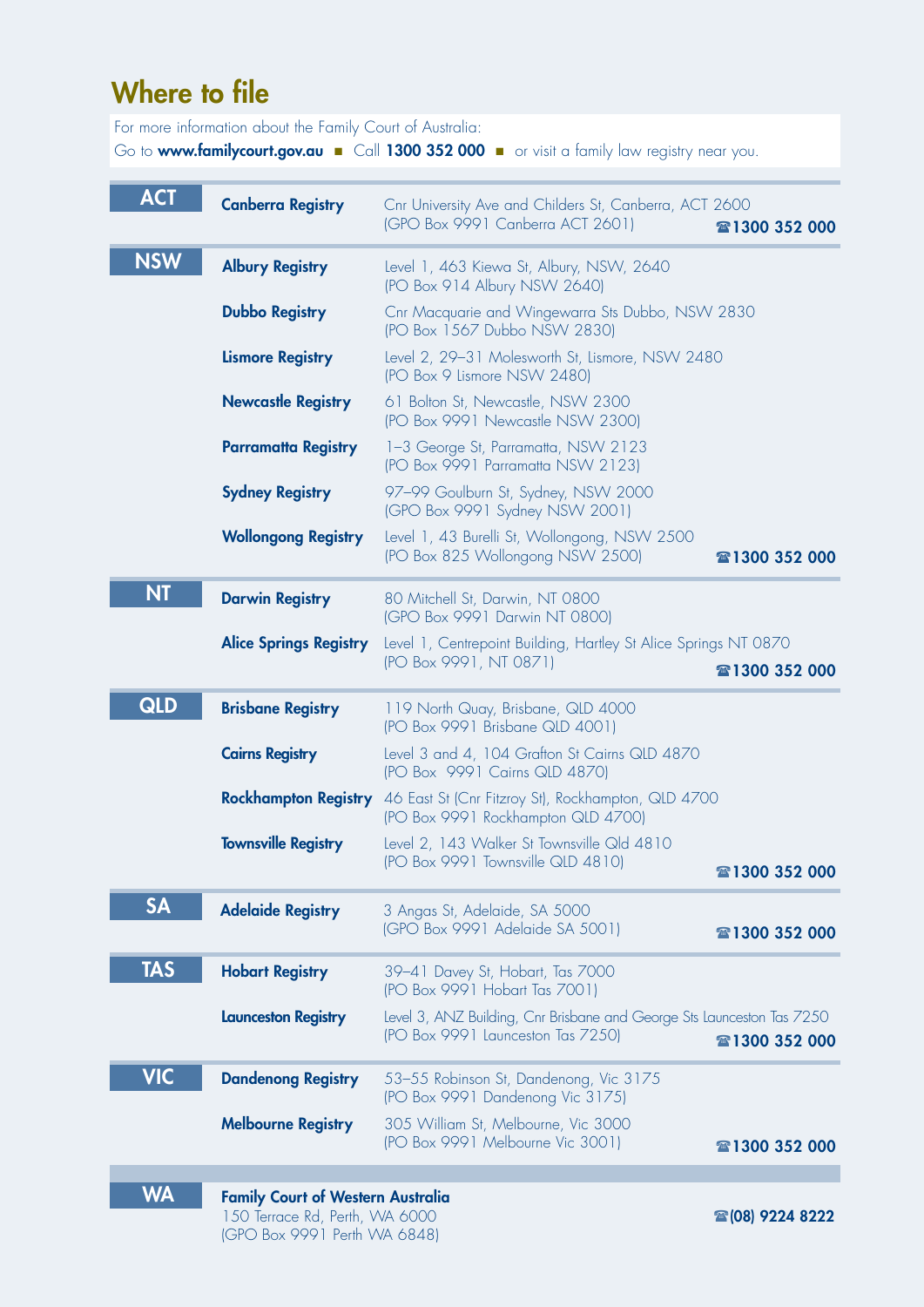# Where to file

For more information about the Family Court of Australia:

Go to www.familycourt.gov.au Call 1300 352 000 **n** or visit a family law registry near you.

| <b>ACT</b> | <b>Canberra Registry</b>      | Cnr University Ave and Childers St, Canberra, ACT 2600<br>(GPO Box 9991 Canberra ACT 2601)                  | 雷1300 352 000 |
|------------|-------------------------------|-------------------------------------------------------------------------------------------------------------|---------------|
| <b>NSW</b> | <b>Albury Registry</b>        | Level 1, 463 Kiewa St, Albury, NSW, 2640<br>(PO Box 914 Albury NSW 2640)                                    |               |
|            | <b>Dubbo Registry</b>         | Cnr Macquarie and Wingewarra Sts Dubbo, NSW 2830<br>(PO Box 1567 Dubbo NSW 2830)                            |               |
|            | <b>Lismore Registry</b>       | Level 2, 29-31 Molesworth St, Lismore, NSW 2480<br>(PO Box 9 Lismore NSW 2480)                              |               |
|            | <b>Newcastle Registry</b>     | 61 Bolton St, Newcastle, NSW 2300<br>(PO Box 9991 Newcastle NSW 2300)                                       |               |
|            | <b>Parramatta Registry</b>    | 1-3 George St, Parramatta, NSW 2123<br>(PO Box 9991 Parramatta NSW 2123)                                    |               |
|            | <b>Sydney Registry</b>        | 97-99 Goulburn St, Sydney, NSW 2000<br>(GPO Box 9991 Sydney NSW 2001)                                       |               |
|            | <b>Wollongong Registry</b>    | Level 1, 43 Burelli St, Wollongong, NSW 2500<br>(PO Box 825 Wollongong NSW 2500)                            | 雷1300 352 000 |
| <b>NT</b>  | <b>Darwin Registry</b>        | 80 Mitchell St, Darwin, NT 0800<br>(GPO Box 9991 Darwin NT 0800)                                            |               |
|            | <b>Alice Springs Registry</b> | Level 1, Centrepoint Building, Hartley St Alice Springs NT 0870<br>(PO Box 9991, NT 0871)                   | 雷1300 352 000 |
| QLD        | <b>Brisbane Registry</b>      | 119 North Quay, Brisbane, QLD 4000<br>(PO Box 9991 Brisbane QLD 4001)                                       |               |
|            | <b>Cairns Registry</b>        | Level 3 and 4, 104 Grafton St Cairns QLD 4870<br>(PO Box 9991 Cairns QLD 4870)                              |               |
|            | <b>Rockhampton Registry</b>   | 46 East St (Cnr Fitzroy St), Rockhampton, QLD 4700<br>(PO Box 9991 Rockhampton QLD 4700)                    |               |
|            | <b>Townsville Registry</b>    | Level 2, 143 Walker St Townsville Qld 4810<br>(PO Box 9991 Townsville QLD 4810)                             | 雷1300 352 000 |
| <b>SA</b>  | <b>Adelaide Registry</b>      | 3 Angas St, Adelaide, SA 5000<br>(GPO Box 9991 Adelaide SA 5001)                                            | 雷1300 352 000 |
| <b>TAS</b> | <b>Hobart Registry</b>        | 39-41 Davey St, Hobart, Tas 7000<br>(PO Box 9991 Hobart Tas 7001)                                           |               |
|            | <b>Launceston Registry</b>    | Level 3, ANZ Building, Cnr Brisbane and George Sts Launceston Tas 7250<br>(PO Box 9991 Launceston Tas 7250) | 雷1300 352 000 |
| <b>VIC</b> | <b>Dandenong Registry</b>     | 53-55 Robinson St, Dandenong, Vic 3175<br>(PO Box 9991 Dandenong Vic 3175)                                  |               |
|            | <b>Melbourne Registry</b>     | 305 William St, Melbourne, Vic 3000<br>(PO Box 9991 Melbourne Vic 3001)                                     | 雷1300 352 000 |